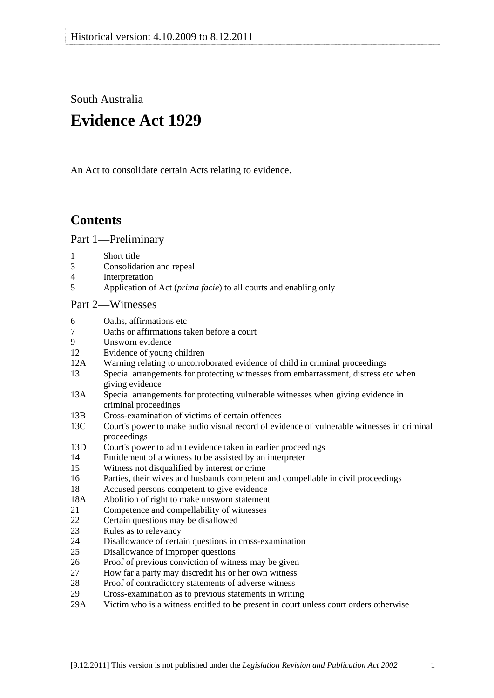South Australia

# **Evidence Act 1929**

An Act to consolidate certain Acts relating to evidence.

# **Contents**

[Part 1—Preliminary](#page-6-0)

- [1 Short title](#page-6-0)
- [3 Consolidation and repeal](#page-6-0)
- [4 Interpretation](#page-6-0)
- [5 Application of Act \(](#page-8-0)*prima facie*) to all courts and enabling only

# [Part 2—Witnesses](#page-10-0)

- [6 Oaths, affirmations etc](#page-10-0)
- [7 Oaths or affirmations taken before a court](#page-10-0)
- [9 Unsworn evidence](#page-10-0)
- [12 Evidence of young children](#page-11-0)
- [12A Warning relating to uncorroborated evidence of child in criminal proceedings](#page-11-0)
- [13 Special arrangements for protecting witnesses from embarrassment, distress etc when](#page-11-0)  [giving evidence](#page-11-0)
- [13A Special arrangements for protecting vulnerable witnesses when giving evidence in](#page-13-0)  [criminal proceedings](#page-13-0)
- [13B Cross-examination of victims of certain offences](#page-15-0)
- [13C Court's power to make audio visual record of evidence of vulnerable witnesses in criminal](#page-16-0)  [proceedings](#page-16-0)
- [13D Court's power to admit evidence taken in earlier proceedings](#page-17-0)
- [14 Entitlement of a witness to be assisted by an interpreter](#page-18-0)
- [15 Witness not disqualified by interest or crime](#page-18-0)
- [16 Parties, their wives and husbands competent and compellable in civil proceedings](#page-18-0)
- [18 Accused persons competent to give evidence](#page-18-0)
- [18A Abolition of right to make unsworn statement](#page-19-0)
- [21 Competence and compellability of witnesses](#page-19-0)
- [22 Certain questions may be disallowed](#page-21-0)
- [23 Rules as to relevancy](#page-21-0)
- [24 Disallowance of certain questions in cross-examination](#page-21-0)
- [25 Disallowance of improper questions](#page-21-0)
- [26 Proof of previous conviction of witness may be given](#page-22-0)
- [27 How far a party may discredit his or her own witness](#page-22-0)
- [28 Proof of contradictory statements of adverse witness](#page-23-0)
- [29 Cross-examination as to previous statements in writing](#page-23-0)
- [29A Victim who is a witness entitled to be present in court unless court orders otherwise](#page-23-0)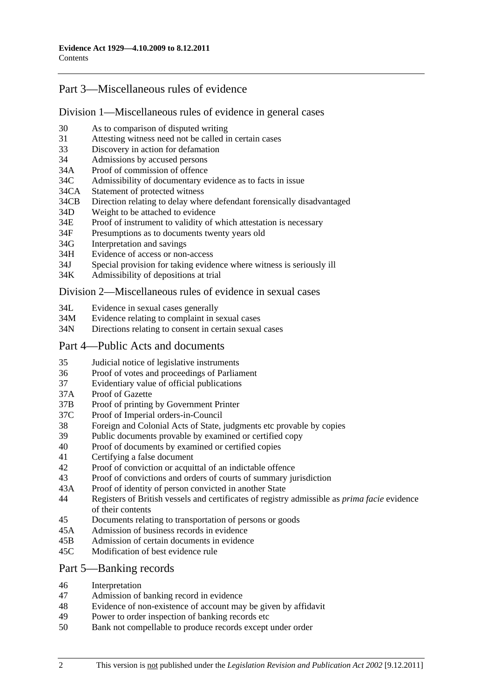# [Part 3—Miscellaneous rules of evidence](#page-24-0)

#### [Division 1—Miscellaneous rules of evidence in general cases](#page-24-0)

- [30 As to comparison of disputed writing](#page-24-0)
- [31 Attesting witness need not be called in certain cases](#page-24-0)
- [33 Discovery in action for defamation](#page-24-0)
- [34 Admissions by accused persons](#page-24-0)
- [34A Proof of commission of offence](#page-24-0)
- [34C Admissibility of documentary evidence as to facts in issue](#page-24-0)
- [34CA Statement of protected witness](#page-26-0)
- [34CB Direction relating to delay where defendant forensically disadvantaged](#page-26-0)
- [34D Weight to be attached to evidence](#page-27-0)
- [34E Proof of instrument to validity of which attestation is necessary](#page-27-0)
- [34F Presumptions as to documents twenty years old](#page-27-0)
- [34G Interpretation and savings](#page-27-0)
- [34H Evidence of access or non-access](#page-28-0)
- [34J Special provision for taking evidence where witness is seriously ill](#page-28-0)
- [34K Admissibility of depositions at trial](#page-28-0)

#### [Division 2—Miscellaneous rules of evidence in sexual cases](#page-28-0)

- [34L Evidence in sexual cases generally](#page-28-0)
- [34M Evidence relating to complaint in sexual cases](#page-29-0)
- [34N Directions relating to consent in certain sexual cases](#page-30-0)

#### [Part 4—Public Acts and documents](#page-32-0)

- [35 Judicial notice of legislative instruments](#page-32-0)
- [36 Proof of votes and proceedings of Parliament](#page-32-0)
- [37 Evidentiary value of official publications](#page-32-0)
- [37A Proof of Gazette](#page-32-0)
- [37B Proof of printing by Government Printer](#page-32-0)
- [37C Proof of Imperial orders-in-Council](#page-33-0)
- [38 Foreign and Colonial Acts of State, judgments etc provable by copies](#page-33-0)
- [39 Public documents provable by examined or certified copy](#page-33-0)
- [40 Proof of documents by examined or certified copies](#page-34-0)
- [41 Certifying a false document](#page-34-0)
- [42 Proof of conviction or acquittal of an indictable offence](#page-34-0)
- [43 Proof of convictions and orders of courts of summary jurisdiction](#page-34-0)
- [43A Proof of identity of person convicted in another State](#page-35-0)
- [44 Registers of British vessels and certificates of registry admissible as](#page-35-0) *prima facie* evidence of their contents
- [45 Documents relating to transportation of persons or goods](#page-35-0)
- [45A Admission of business records in evidence](#page-36-0)
- [45B Admission of certain documents in evidence](#page-37-0)
- [45C Modification of best evidence rule](#page-37-0)

#### [Part 5—Banking records](#page-40-0)

- [46 Interpretation](#page-40-0)
- [47 Admission of banking record in evidence](#page-40-0)
- [48 Evidence of non-existence of account may be given by affidavit](#page-40-0)
- [49 Power to order inspection of banking records etc](#page-41-0)
- [50 Bank not compellable to produce records except under order](#page-42-0)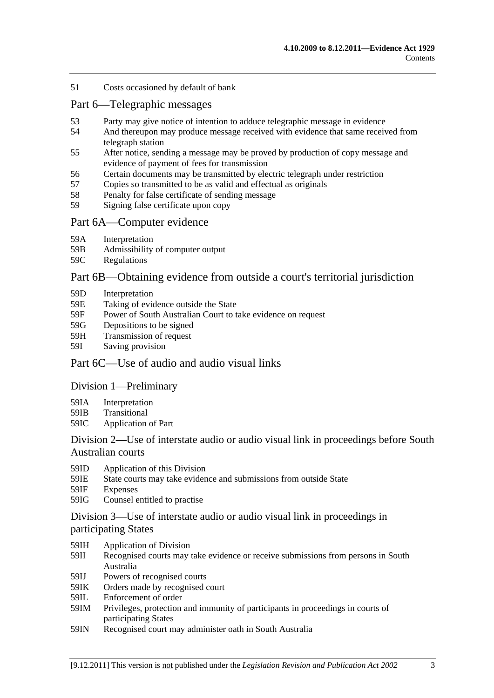#### [51 Costs occasioned by default of bank](#page-42-0)

#### [Part 6—Telegraphic messages](#page-44-0)

- [53 Party may give notice of intention to adduce telegraphic message in evidence](#page-44-0)
- [54 And thereupon may produce message received with evidence that same received from](#page-44-0)  [telegraph station](#page-44-0)
- [55 After notice, sending a message may be proved by production of copy message and](#page-44-0)  [evidence of payment of fees for transmission](#page-44-0)
- [56 Certain documents may be transmitted by electric telegraph under restriction](#page-45-0)
- [57 Copies so transmitted to be as valid and effectual as originals](#page-46-0)
- [58 Penalty for false certificate of sending message](#page-46-0)
- [59 Signing false certificate upon copy](#page-46-0)

#### [Part 6A—Computer evidence](#page-48-0)

- [59A Interpretation](#page-48-0)
- [59B Admissibility of computer output](#page-48-0)
- [59C Regulations](#page-49-0)

# [Part 6B—Obtaining evidence from outside a court's territorial jurisdiction](#page-50-0)

- [59D Interpretation](#page-50-0)
- [59E Taking of evidence outside the State](#page-50-0)
- [59F Power of South Australian Court to take evidence on request](#page-51-0)
- [59G Depositions to be signed](#page-51-0)
- [59H Transmission of request](#page-51-0)
- [59I Saving provision](#page-52-0)

# [Part 6C—Use of audio and audio visual links](#page-54-0)

#### [Division 1—Preliminary](#page-54-0)

- [59IA Interpretation](#page-54-0)
- [59IB Transitional](#page-54-0)
- [59IC Application of Part](#page-54-0)

# [Division 2—Use of interstate audio or audio visual link in proceedings before South](#page-55-0)  [Australian courts](#page-55-0)

- [59ID Application of this Division](#page-55-0)
- [59IE State courts may take evidence and submissions from outside State](#page-55-0)
- [59IF Expenses](#page-55-0)
- [59IG Counsel entitled to practise](#page-55-0)

#### [Division 3—Use of interstate audio or audio visual link in proceedings in](#page-56-0)  [participating States](#page-56-0)

- [59IH Application of Division](#page-56-0)
- [59II Recognised courts may take evidence or receive submissions from persons in South](#page-56-0)  [Australia](#page-56-0)
- [59IJ Powers of recognised courts](#page-56-0)
- [59IK Orders made by recognised court](#page-56-0)
- [59IL Enforcement of order](#page-56-0)
- [59IM Privileges, protection and immunity of participants in proceedings in courts of](#page-57-0)  [participating States](#page-57-0)
- [59IN Recognised court may administer oath in South Australia](#page-57-0)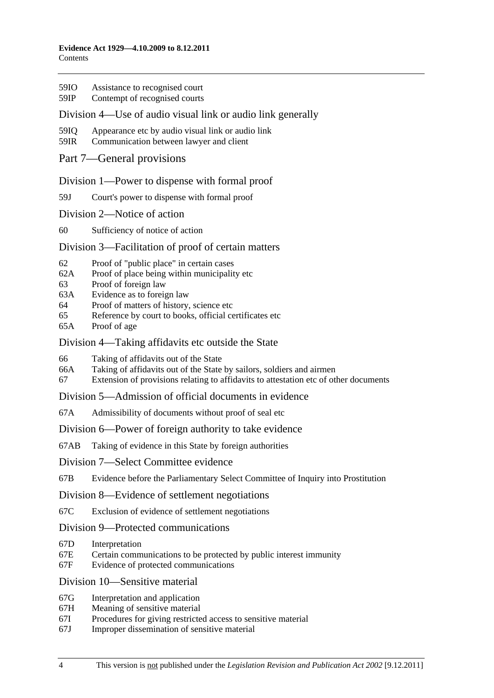| 59IO<br>59IP                                                | Assistance to recognised court<br>Contempt of recognised courts                                                                                                                                                                                                       |
|-------------------------------------------------------------|-----------------------------------------------------------------------------------------------------------------------------------------------------------------------------------------------------------------------------------------------------------------------|
| Division 4—Use of audio visual link or audio link generally |                                                                                                                                                                                                                                                                       |
| 59IQ<br>59IR                                                | Appearance etc by audio visual link or audio link<br>Communication between lawyer and client                                                                                                                                                                          |
| Part 7—General provisions                                   |                                                                                                                                                                                                                                                                       |
| Division 1—Power to dispense with formal proof              |                                                                                                                                                                                                                                                                       |
| 59J                                                         | Court's power to dispense with formal proof                                                                                                                                                                                                                           |
| Division 2—Notice of action                                 |                                                                                                                                                                                                                                                                       |
| 60                                                          | Sufficiency of notice of action                                                                                                                                                                                                                                       |
| Division 3—Facilitation of proof of certain matters         |                                                                                                                                                                                                                                                                       |
| 62<br>62A<br>63<br>63A<br>64<br>65<br>65A                   | Proof of "public place" in certain cases<br>Proof of place being within municipality etc<br>Proof of foreign law<br>Evidence as to foreign law<br>Proof of matters of history, science etc<br>Reference by court to books, official certificates etc.<br>Proof of age |
| Division 4—Taking affidavits etc outside the State          |                                                                                                                                                                                                                                                                       |
| 66<br>66A<br>67                                             | Taking of affidavits out of the State<br>Taking of affidavits out of the State by sailors, soldiers and airmen<br>Extension of provisions relating to affidavits to attestation etc of other documents                                                                |
| Division 5—Admission of official documents in evidence      |                                                                                                                                                                                                                                                                       |
| 67A                                                         | Admissibility of documents without proof of seal etc                                                                                                                                                                                                                  |
| Division 6—Power of foreign authority to take evidence      |                                                                                                                                                                                                                                                                       |
|                                                             | 67AB Taking of evidence in this State by foreign authorities                                                                                                                                                                                                          |
| Division 7—Select Committee evidence                        |                                                                                                                                                                                                                                                                       |
| 67B                                                         | Evidence before the Parliamentary Select Committee of Inquiry into Prostitution                                                                                                                                                                                       |
| Division 8—Evidence of settlement negotiations              |                                                                                                                                                                                                                                                                       |
| 67C                                                         | Exclusion of evidence of settlement negotiations                                                                                                                                                                                                                      |
| Division 9—Protected communications                         |                                                                                                                                                                                                                                                                       |
| 67D<br>67E<br>67F                                           | Interpretation<br>Certain communications to be protected by public interest immunity<br>Evidence of protected communications                                                                                                                                          |
| Division 10—Sensitive material                              |                                                                                                                                                                                                                                                                       |
| 67G<br>67H<br>67I<br>67J                                    | Interpretation and application<br>Meaning of sensitive material<br>Procedures for giving restricted access to sensitive material<br>Improper dissemination of sensitive material                                                                                      |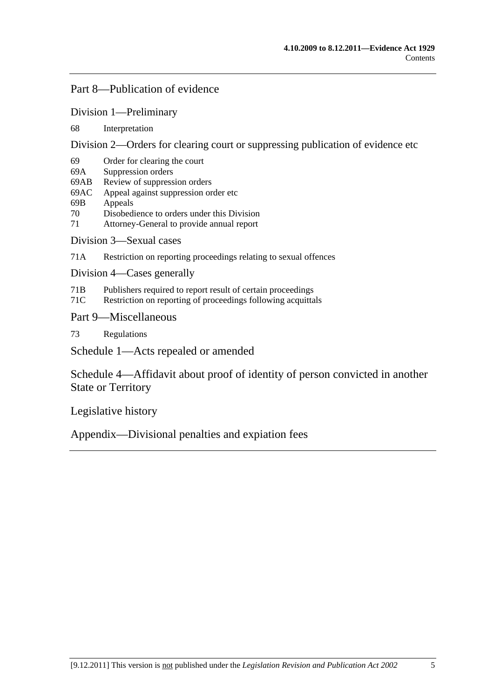# [Part 8—Publication of evidence](#page-76-0)

#### [Division 1—Preliminary](#page-76-0)

[68 Interpretation](#page-76-0) 

[Division 2—Orders for clearing court or suppressing publication of evidence etc](#page-76-0) 

- [69 Order for clearing the court](#page-76-0)
- [69A Suppression orders](#page-77-0)
- [69AB Review of suppression orders](#page-79-0)
- [69AC Appeal against suppression order etc](#page-80-0)
- [69B Appeals](#page-80-0)
- [70 Disobedience to orders under this Division](#page-81-0)
- [71 Attorney-General to provide annual report](#page-81-0)

[Division 3—Sexual cases](#page-82-0) 

[71A Restriction on reporting proceedings relating to sexual offences](#page-82-0)

[Division 4—Cases generally](#page-83-0) 

- [71B Publishers required to report result of certain proceedings](#page-83-0)
- [71C Restriction on reporting of proceedings following acquittals](#page-84-0)

# [Part 9—Miscellaneous](#page-86-0)

[73 Regulations](#page-86-0)

[Schedule 1—Acts repealed or amended](#page-88-0) 

[Schedule 4—Affidavit about proof of identity of person convicted in another](#page-89-0)  [State or Territory](#page-89-0)

[Legislative history](#page-90-0) 

[Appendix—Divisional penalties and expiation fees](#page-101-0)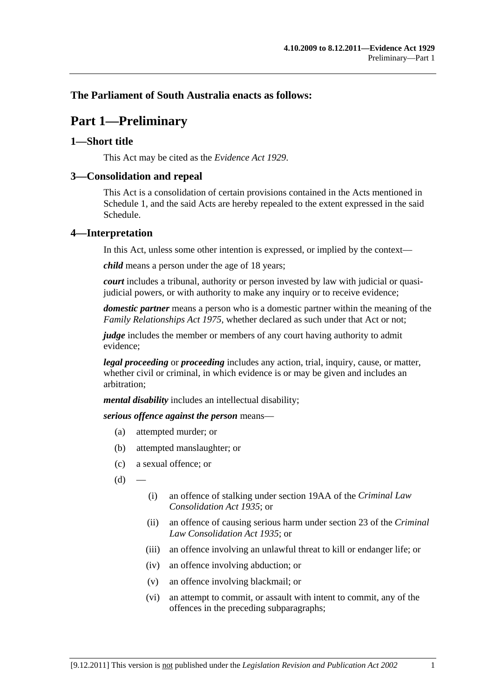# <span id="page-6-0"></span>**The Parliament of South Australia enacts as follows:**

# **Part 1—Preliminary**

#### **1—Short title**

This Act may be cited as the *Evidence Act 1929*.

# **3—Consolidation and repeal**

This Act is a consolidation of certain provisions contained in the Acts mentioned in [Schedule 1,](#page-88-0) and the said Acts are hereby repealed to the extent expressed in the said Schedule.

#### **4—Interpretation**

In this Act, unless some other intention is expressed, or implied by the context—

*child* means a person under the age of 18 years;

*court* includes a tribunal, authority or person invested by law with judicial or quasijudicial powers, or with authority to make any inquiry or to receive evidence;

*domestic partner* means a person who is a domestic partner within the meaning of the *[Family Relationships Act 1975](http://www.legislation.sa.gov.au/index.aspx?action=legref&type=act&legtitle=Family%20Relationships%20Act%201975)*, whether declared as such under that Act or not;

*judge* includes the member or members of any court having authority to admit evidence;

*legal proceeding* or *proceeding* includes any action, trial, inquiry, cause, or matter, whether civil or criminal, in which evidence is or may be given and includes an arbitration;

*mental disability* includes an intellectual disability;

*serious offence against the person* means—

- (a) attempted murder; or
- (b) attempted manslaughter; or
- (c) a sexual offence; or
- $(d)$
- (i) an offence of stalking under section 19AA of the *[Criminal Law](http://www.legislation.sa.gov.au/index.aspx?action=legref&type=act&legtitle=Criminal%20Law%20Consolidation%20Act%201935)  [Consolidation Act 1935](http://www.legislation.sa.gov.au/index.aspx?action=legref&type=act&legtitle=Criminal%20Law%20Consolidation%20Act%201935)*; or
- (ii) an offence of causing serious harm under section 23 of the *[Criminal](http://www.legislation.sa.gov.au/index.aspx?action=legref&type=act&legtitle=Criminal%20Law%20Consolidation%20Act%201935)  [Law Consolidation Act 1935](http://www.legislation.sa.gov.au/index.aspx?action=legref&type=act&legtitle=Criminal%20Law%20Consolidation%20Act%201935)*; or
- (iii) an offence involving an unlawful threat to kill or endanger life; or
- (iv) an offence involving abduction; or
- (v) an offence involving blackmail; or
- (vi) an attempt to commit, or assault with intent to commit, any of the offences in the preceding subparagraphs;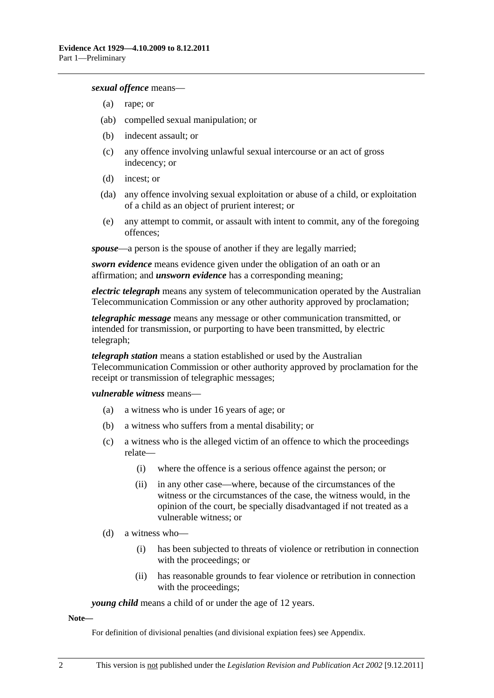#### *sexual offence* means—

- (a) rape; or
- (ab) compelled sexual manipulation; or
- (b) indecent assault; or
- (c) any offence involving unlawful sexual intercourse or an act of gross indecency; or
- (d) incest; or
- (da) any offence involving sexual exploitation or abuse of a child, or exploitation of a child as an object of prurient interest; or
- (e) any attempt to commit, or assault with intent to commit, any of the foregoing offences;

*spouse*—a person is the spouse of another if they are legally married;

*sworn evidence* means evidence given under the obligation of an oath or an affirmation; and *unsworn evidence* has a corresponding meaning;

*electric telegraph* means any system of telecommunication operated by the Australian Telecommunication Commission or any other authority approved by proclamation;

*telegraphic message* means any message or other communication transmitted, or intended for transmission, or purporting to have been transmitted, by electric telegraph;

*telegraph station* means a station established or used by the Australian Telecommunication Commission or other authority approved by proclamation for the receipt or transmission of telegraphic messages;

#### *vulnerable witness* means—

- (a) a witness who is under 16 years of age; or
- (b) a witness who suffers from a mental disability; or
- (c) a witness who is the alleged victim of an offence to which the proceedings relate—
	- (i) where the offence is a serious offence against the person; or
	- (ii) in any other case—where, because of the circumstances of the witness or the circumstances of the case, the witness would, in the opinion of the court, be specially disadvantaged if not treated as a vulnerable witness; or
- (d) a witness who—
	- (i) has been subjected to threats of violence or retribution in connection with the proceedings; or
	- (ii) has reasonable grounds to fear violence or retribution in connection with the proceedings;

*young child* means a child of or under the age of 12 years.

**Note—** 

For definition of divisional penalties (and divisional expiation fees) see Appendix.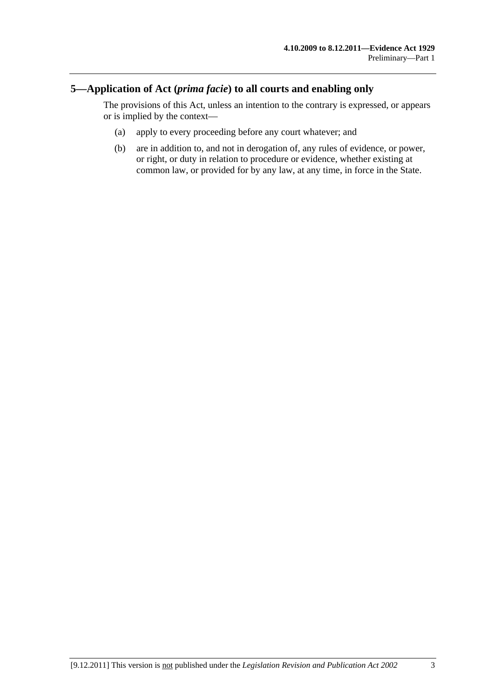# <span id="page-8-0"></span>**5—Application of Act (***prima facie***) to all courts and enabling only**

The provisions of this Act, unless an intention to the contrary is expressed, or appears or is implied by the context—

- (a) apply to every proceeding before any court whatever; and
- (b) are in addition to, and not in derogation of, any rules of evidence, or power, or right, or duty in relation to procedure or evidence, whether existing at common law, or provided for by any law, at any time, in force in the State.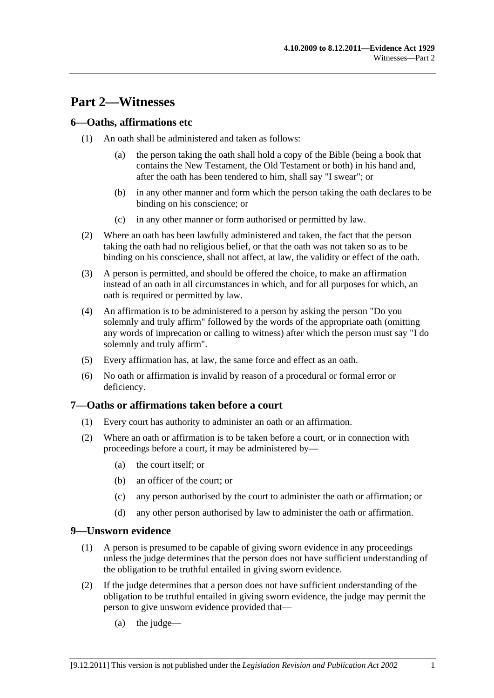# <span id="page-10-0"></span>**Part 2—Witnesses**

# **6—Oaths, affirmations etc**

- (1) An oath shall be administered and taken as follows:
	- (a) the person taking the oath shall hold a copy of the Bible (being a book that contains the New Testament, the Old Testament or both) in his hand and, after the oath has been tendered to him, shall say "I swear"; or
	- (b) in any other manner and form which the person taking the oath declares to be binding on his conscience; or
	- (c) in any other manner or form authorised or permitted by law.
- (2) Where an oath has been lawfully administered and taken, the fact that the person taking the oath had no religious belief, or that the oath was not taken so as to be binding on his conscience, shall not affect, at law, the validity or effect of the oath.
- (3) A person is permitted, and should be offered the choice, to make an affirmation instead of an oath in all circumstances in which, and for all purposes for which, an oath is required or permitted by law.
- (4) An affirmation is to be administered to a person by asking the person "Do you solemnly and truly affirm" followed by the words of the appropriate oath (omitting any words of imprecation or calling to witness) after which the person must say "I do solemnly and truly affirm".
- (5) Every affirmation has, at law, the same force and effect as an oath.
- (6) No oath or affirmation is invalid by reason of a procedural or formal error or deficiency.

#### **7—Oaths or affirmations taken before a court**

- (1) Every court has authority to administer an oath or an affirmation.
- (2) Where an oath or affirmation is to be taken before a court, or in connection with proceedings before a court, it may be administered by—
	- (a) the court itself; or
	- (b) an officer of the court; or
	- (c) any person authorised by the court to administer the oath or affirmation; or
	- (d) any other person authorised by law to administer the oath or affirmation.

#### **9—Unsworn evidence**

- (1) A person is presumed to be capable of giving sworn evidence in any proceedings unless the judge determines that the person does not have sufficient understanding of the obligation to be truthful entailed in giving sworn evidence.
- (2) If the judge determines that a person does not have sufficient understanding of the obligation to be truthful entailed in giving sworn evidence, the judge may permit the person to give unsworn evidence provided that—
	- (a) the judge—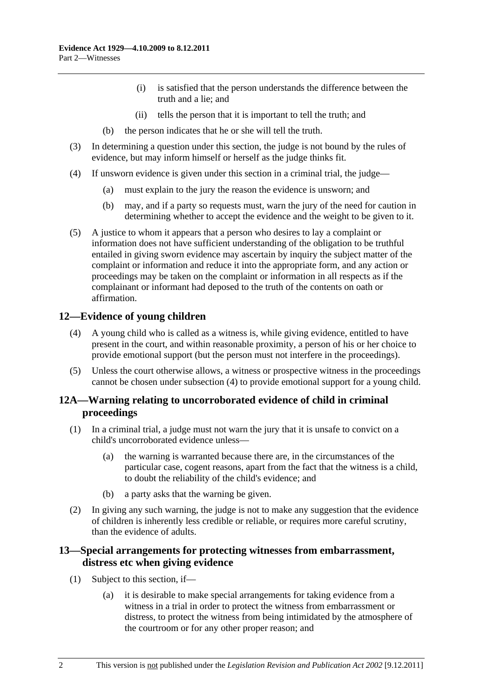- (i) is satisfied that the person understands the difference between the truth and a lie; and
- (ii) tells the person that it is important to tell the truth; and
- (b) the person indicates that he or she will tell the truth.
- <span id="page-11-0"></span> (3) In determining a question under this section, the judge is not bound by the rules of evidence, but may inform himself or herself as the judge thinks fit.
- (4) If unsworn evidence is given under this section in a criminal trial, the judge—
	- (a) must explain to the jury the reason the evidence is unsworn; and
	- (b) may, and if a party so requests must, warn the jury of the need for caution in determining whether to accept the evidence and the weight to be given to it.
- (5) A justice to whom it appears that a person who desires to lay a complaint or information does not have sufficient understanding of the obligation to be truthful entailed in giving sworn evidence may ascertain by inquiry the subject matter of the complaint or information and reduce it into the appropriate form, and any action or proceedings may be taken on the complaint or information in all respects as if the complainant or informant had deposed to the truth of the contents on oath or affirmation.

# **12—Evidence of young children**

- (4) A young child who is called as a witness is, while giving evidence, entitled to have present in the court, and within reasonable proximity, a person of his or her choice to provide emotional support (but the person must not interfere in the proceedings).
- (5) Unless the court otherwise allows, a witness or prospective witness in the proceedings cannot be chosen under [subsection \(4\)](#page-11-0) to provide emotional support for a young child.

# **12A—Warning relating to uncorroborated evidence of child in criminal proceedings**

- (1) In a criminal trial, a judge must not warn the jury that it is unsafe to convict on a child's uncorroborated evidence unless—
	- (a) the warning is warranted because there are, in the circumstances of the particular case, cogent reasons, apart from the fact that the witness is a child, to doubt the reliability of the child's evidence; and
	- (b) a party asks that the warning be given.
- (2) In giving any such warning, the judge is not to make any suggestion that the evidence of children is inherently less credible or reliable, or requires more careful scrutiny, than the evidence of adults.

# **13—Special arrangements for protecting witnesses from embarrassment, distress etc when giving evidence**

- (1) Subject to this section, if—
	- (a) it is desirable to make special arrangements for taking evidence from a witness in a trial in order to protect the witness from embarrassment or distress, to protect the witness from being intimidated by the atmosphere of the courtroom or for any other proper reason; and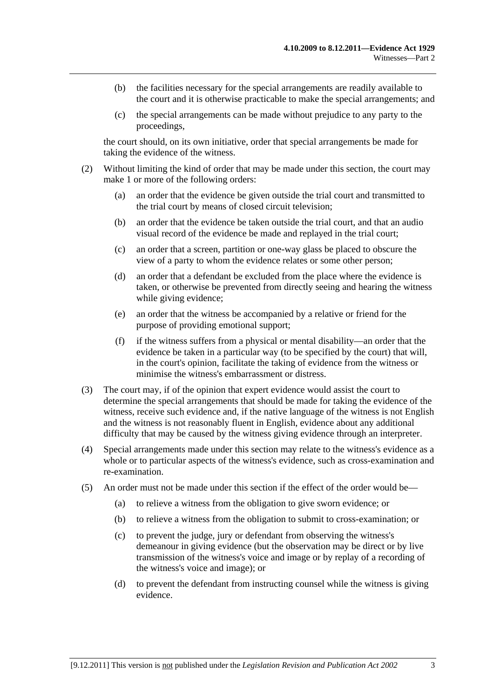- (b) the facilities necessary for the special arrangements are readily available to the court and it is otherwise practicable to make the special arrangements; and
- (c) the special arrangements can be made without prejudice to any party to the proceedings,

the court should, on its own initiative, order that special arrangements be made for taking the evidence of the witness.

- (2) Without limiting the kind of order that may be made under this section, the court may make 1 or more of the following orders:
	- (a) an order that the evidence be given outside the trial court and transmitted to the trial court by means of closed circuit television;
	- (b) an order that the evidence be taken outside the trial court, and that an audio visual record of the evidence be made and replayed in the trial court;
	- (c) an order that a screen, partition or one-way glass be placed to obscure the view of a party to whom the evidence relates or some other person;
	- (d) an order that a defendant be excluded from the place where the evidence is taken, or otherwise be prevented from directly seeing and hearing the witness while giving evidence;
	- (e) an order that the witness be accompanied by a relative or friend for the purpose of providing emotional support;
	- (f) if the witness suffers from a physical or mental disability—an order that the evidence be taken in a particular way (to be specified by the court) that will, in the court's opinion, facilitate the taking of evidence from the witness or minimise the witness's embarrassment or distress.
- (3) The court may, if of the opinion that expert evidence would assist the court to determine the special arrangements that should be made for taking the evidence of the witness, receive such evidence and, if the native language of the witness is not English and the witness is not reasonably fluent in English, evidence about any additional difficulty that may be caused by the witness giving evidence through an interpreter.
- (4) Special arrangements made under this section may relate to the witness's evidence as a whole or to particular aspects of the witness's evidence, such as cross-examination and re-examination.
- (5) An order must not be made under this section if the effect of the order would be—
	- (a) to relieve a witness from the obligation to give sworn evidence; or
	- (b) to relieve a witness from the obligation to submit to cross-examination; or
	- (c) to prevent the judge, jury or defendant from observing the witness's demeanour in giving evidence (but the observation may be direct or by live transmission of the witness's voice and image or by replay of a recording of the witness's voice and image); or
	- (d) to prevent the defendant from instructing counsel while the witness is giving evidence.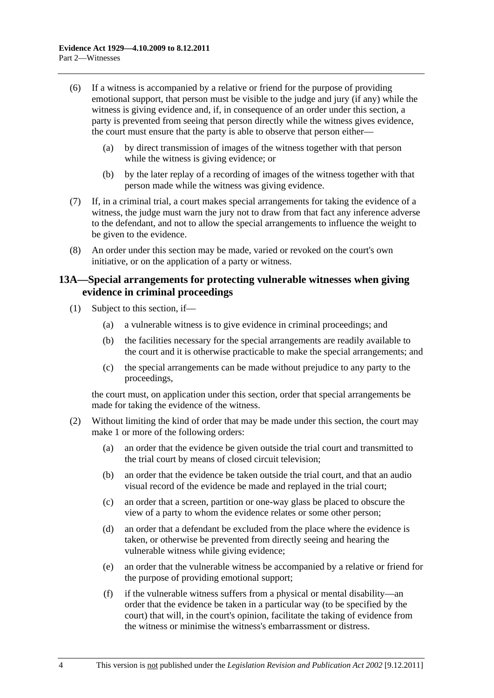- <span id="page-13-0"></span> (6) If a witness is accompanied by a relative or friend for the purpose of providing emotional support, that person must be visible to the judge and jury (if any) while the witness is giving evidence and, if, in consequence of an order under this section, a party is prevented from seeing that person directly while the witness gives evidence, the court must ensure that the party is able to observe that person either—
	- (a) by direct transmission of images of the witness together with that person while the witness is giving evidence; or
	- (b) by the later replay of a recording of images of the witness together with that person made while the witness was giving evidence.
- (7) If, in a criminal trial, a court makes special arrangements for taking the evidence of a witness, the judge must warn the jury not to draw from that fact any inference adverse to the defendant, and not to allow the special arrangements to influence the weight to be given to the evidence.
- (8) An order under this section may be made, varied or revoked on the court's own initiative, or on the application of a party or witness.

# **13A—Special arrangements for protecting vulnerable witnesses when giving evidence in criminal proceedings**

- (1) Subject to this section, if—
	- (a) a vulnerable witness is to give evidence in criminal proceedings; and
	- (b) the facilities necessary for the special arrangements are readily available to the court and it is otherwise practicable to make the special arrangements; and
	- (c) the special arrangements can be made without prejudice to any party to the proceedings,

the court must, on application under this section, order that special arrangements be made for taking the evidence of the witness.

- (2) Without limiting the kind of order that may be made under this section, the court may make 1 or more of the following orders:
	- (a) an order that the evidence be given outside the trial court and transmitted to the trial court by means of closed circuit television;
	- (b) an order that the evidence be taken outside the trial court, and that an audio visual record of the evidence be made and replayed in the trial court;
	- (c) an order that a screen, partition or one-way glass be placed to obscure the view of a party to whom the evidence relates or some other person;
	- (d) an order that a defendant be excluded from the place where the evidence is taken, or otherwise be prevented from directly seeing and hearing the vulnerable witness while giving evidence;
	- (e) an order that the vulnerable witness be accompanied by a relative or friend for the purpose of providing emotional support;
	- (f) if the vulnerable witness suffers from a physical or mental disability—an order that the evidence be taken in a particular way (to be specified by the court) that will, in the court's opinion, facilitate the taking of evidence from the witness or minimise the witness's embarrassment or distress.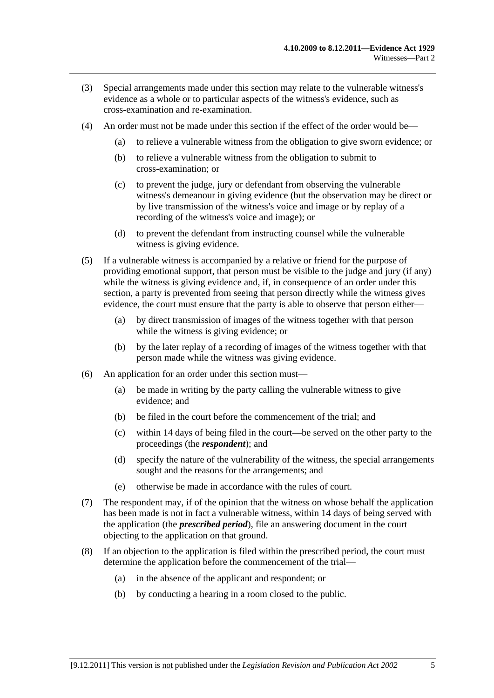- (3) Special arrangements made under this section may relate to the vulnerable witness's evidence as a whole or to particular aspects of the witness's evidence, such as cross-examination and re-examination.
- (4) An order must not be made under this section if the effect of the order would be—
	- (a) to relieve a vulnerable witness from the obligation to give sworn evidence; or
	- (b) to relieve a vulnerable witness from the obligation to submit to cross-examination; or
	- (c) to prevent the judge, jury or defendant from observing the vulnerable witness's demeanour in giving evidence (but the observation may be direct or by live transmission of the witness's voice and image or by replay of a recording of the witness's voice and image); or
	- (d) to prevent the defendant from instructing counsel while the vulnerable witness is giving evidence.
- (5) If a vulnerable witness is accompanied by a relative or friend for the purpose of providing emotional support, that person must be visible to the judge and jury (if any) while the witness is giving evidence and, if, in consequence of an order under this section, a party is prevented from seeing that person directly while the witness gives evidence, the court must ensure that the party is able to observe that person either—
	- (a) by direct transmission of images of the witness together with that person while the witness is giving evidence; or
	- (b) by the later replay of a recording of images of the witness together with that person made while the witness was giving evidence.
- (6) An application for an order under this section must—
	- (a) be made in writing by the party calling the vulnerable witness to give evidence; and
	- $(b)$  be filed in the court before the commencement of the trial; and
	- (c) within 14 days of being filed in the court—be served on the other party to the proceedings (the *respondent*); and
	- (d) specify the nature of the vulnerability of the witness, the special arrangements sought and the reasons for the arrangements; and
	- (e) otherwise be made in accordance with the rules of court.
- (7) The respondent may, if of the opinion that the witness on whose behalf the application has been made is not in fact a vulnerable witness, within 14 days of being served with the application (the *prescribed period*), file an answering document in the court objecting to the application on that ground.
- (8) If an objection to the application is filed within the prescribed period, the court must determine the application before the commencement of the trial—
	- (a) in the absence of the applicant and respondent; or
	- (b) by conducting a hearing in a room closed to the public.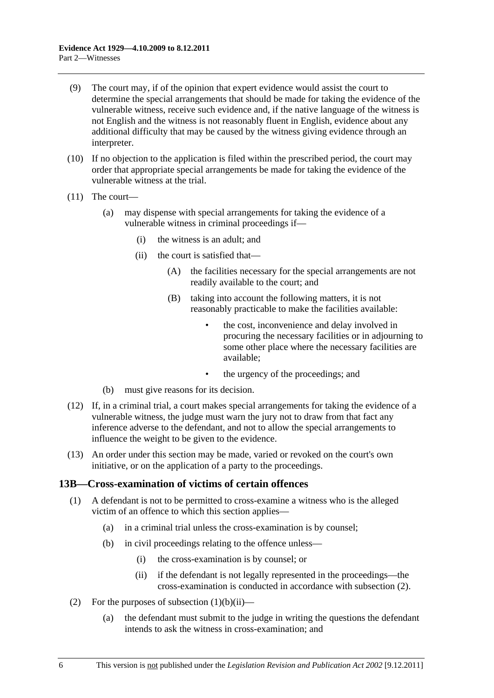- <span id="page-15-0"></span> (9) The court may, if of the opinion that expert evidence would assist the court to determine the special arrangements that should be made for taking the evidence of the vulnerable witness, receive such evidence and, if the native language of the witness is not English and the witness is not reasonably fluent in English, evidence about any additional difficulty that may be caused by the witness giving evidence through an interpreter.
- (10) If no objection to the application is filed within the prescribed period, the court may order that appropriate special arrangements be made for taking the evidence of the vulnerable witness at the trial.
- (11) The court—
	- (a) may dispense with special arrangements for taking the evidence of a vulnerable witness in criminal proceedings if—
		- (i) the witness is an adult; and
		- (ii) the court is satisfied that—
			- (A) the facilities necessary for the special arrangements are not readily available to the court; and
			- (B) taking into account the following matters, it is not reasonably practicable to make the facilities available:
				- the cost, inconvenience and delay involved in procuring the necessary facilities or in adjourning to some other place where the necessary facilities are available;
				- the urgency of the proceedings; and
	- (b) must give reasons for its decision.
- (12) If, in a criminal trial, a court makes special arrangements for taking the evidence of a vulnerable witness, the judge must warn the jury not to draw from that fact any inference adverse to the defendant, and not to allow the special arrangements to influence the weight to be given to the evidence.
- (13) An order under this section may be made, varied or revoked on the court's own initiative, or on the application of a party to the proceedings.

#### **13B—Cross-examination of victims of certain offences**

- (1) A defendant is not to be permitted to cross-examine a witness who is the alleged victim of an offence to which this section applies—
	- (a) in a criminal trial unless the cross-examination is by counsel;
	- (b) in civil proceedings relating to the offence unless—
		- (i) the cross-examination is by counsel; or
		- (ii) if the defendant is not legally represented in the proceedings—the cross-examination is conducted in accordance with [subsection \(2\)](#page-15-0).
- (2) For the purposes of subsection  $(1)(b)(ii)$ 
	- (a) the defendant must submit to the judge in writing the questions the defendant intends to ask the witness in cross-examination; and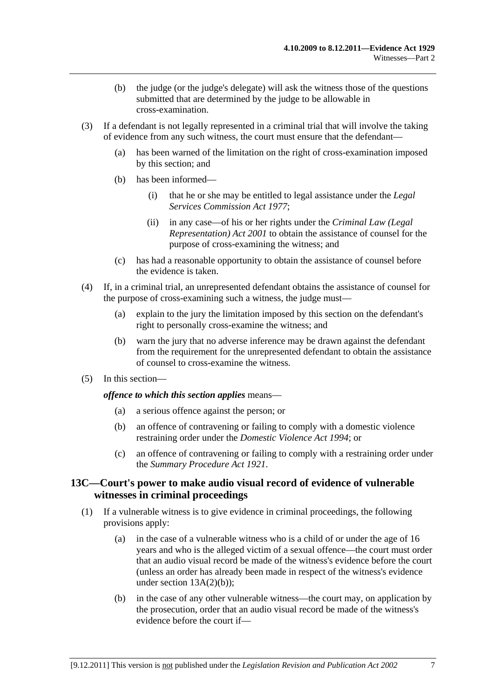- <span id="page-16-0"></span> (b) the judge (or the judge's delegate) will ask the witness those of the questions submitted that are determined by the judge to be allowable in cross-examination.
- (3) If a defendant is not legally represented in a criminal trial that will involve the taking of evidence from any such witness, the court must ensure that the defendant—
	- (a) has been warned of the limitation on the right of cross-examination imposed by this section; and
	- (b) has been informed—
		- (i) that he or she may be entitled to legal assistance under the *[Legal](http://www.legislation.sa.gov.au/index.aspx?action=legref&type=act&legtitle=Legal%20Services%20Commission%20Act%201977)  [Services Commission Act 1977](http://www.legislation.sa.gov.au/index.aspx?action=legref&type=act&legtitle=Legal%20Services%20Commission%20Act%201977)*;
		- (ii) in any case—of his or her rights under the *[Criminal Law \(Legal](http://www.legislation.sa.gov.au/index.aspx?action=legref&type=act&legtitle=Criminal%20Law%20(Legal%20Representation)%20Act%202001)  [Representation\) Act 2001](http://www.legislation.sa.gov.au/index.aspx?action=legref&type=act&legtitle=Criminal%20Law%20(Legal%20Representation)%20Act%202001)* to obtain the assistance of counsel for the purpose of cross-examining the witness; and
	- (c) has had a reasonable opportunity to obtain the assistance of counsel before the evidence is taken.
- (4) If, in a criminal trial, an unrepresented defendant obtains the assistance of counsel for the purpose of cross-examining such a witness, the judge must—
	- (a) explain to the jury the limitation imposed by this section on the defendant's right to personally cross-examine the witness; and
	- (b) warn the jury that no adverse inference may be drawn against the defendant from the requirement for the unrepresented defendant to obtain the assistance of counsel to cross-examine the witness.
- (5) In this section—

*offence to which this section applies* means—

- (a) a serious offence against the person; or
- (b) an offence of contravening or failing to comply with a domestic violence restraining order under the *[Domestic Violence Act 1994](http://www.legislation.sa.gov.au/index.aspx?action=legref&type=act&legtitle=Domestic%20Violence%20Act%201994)*; or
- (c) an offence of contravening or failing to comply with a restraining order under the *[Summary Procedure Act 1921](http://www.legislation.sa.gov.au/index.aspx?action=legref&type=act&legtitle=Summary%20Procedure%20Act%201921)*.

# **13C—Court's power to make audio visual record of evidence of vulnerable witnesses in criminal proceedings**

- (1) If a vulnerable witness is to give evidence in criminal proceedings, the following provisions apply:
	- (a) in the case of a vulnerable witness who is a child of or under the age of 16 years and who is the alleged victim of a sexual offence—the court must order that an audio visual record be made of the witness's evidence before the court (unless an order has already been made in respect of the witness's evidence under section  $13A(2)(b)$ ;
	- (b) in the case of any other vulnerable witness—the court may, on application by the prosecution, order that an audio visual record be made of the witness's evidence before the court if—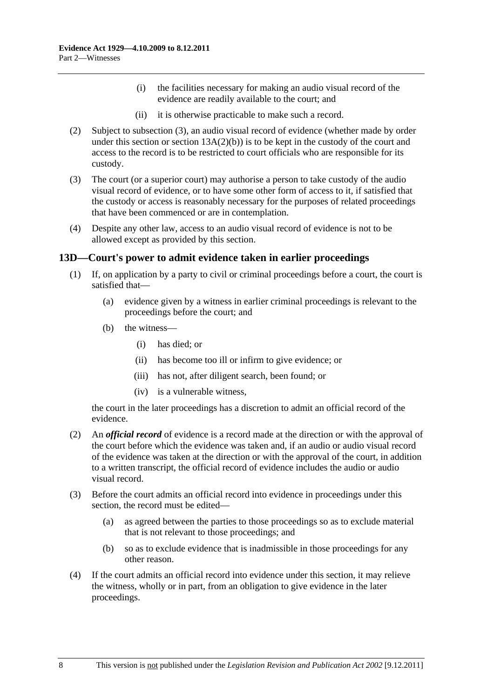- (i) the facilities necessary for making an audio visual record of the evidence are readily available to the court; and
- (ii) it is otherwise practicable to make such a record.
- <span id="page-17-0"></span> (2) Subject to [subsection \(3\),](#page-17-0) an audio visual record of evidence (whether made by order under this section or section  $13A(2)(b)$  is to be kept in the custody of the court and access to the record is to be restricted to court officials who are responsible for its custody.
- (3) The court (or a superior court) may authorise a person to take custody of the audio visual record of evidence, or to have some other form of access to it, if satisfied that the custody or access is reasonably necessary for the purposes of related proceedings that have been commenced or are in contemplation.
- (4) Despite any other law, access to an audio visual record of evidence is not to be allowed except as provided by this section.

#### **13D—Court's power to admit evidence taken in earlier proceedings**

- (1) If, on application by a party to civil or criminal proceedings before a court, the court is satisfied that—
	- (a) evidence given by a witness in earlier criminal proceedings is relevant to the proceedings before the court; and
	- (b) the witness—
		- (i) has died; or
		- (ii) has become too ill or infirm to give evidence; or
		- (iii) has not, after diligent search, been found; or
		- (iv) is a vulnerable witness,

the court in the later proceedings has a discretion to admit an official record of the evidence.

- (2) An *official record* of evidence is a record made at the direction or with the approval of the court before which the evidence was taken and, if an audio or audio visual record of the evidence was taken at the direction or with the approval of the court, in addition to a written transcript, the official record of evidence includes the audio or audio visual record.
- (3) Before the court admits an official record into evidence in proceedings under this section, the record must be edited—
	- (a) as agreed between the parties to those proceedings so as to exclude material that is not relevant to those proceedings; and
	- (b) so as to exclude evidence that is inadmissible in those proceedings for any other reason.
- (4) If the court admits an official record into evidence under this section, it may relieve the witness, wholly or in part, from an obligation to give evidence in the later proceedings.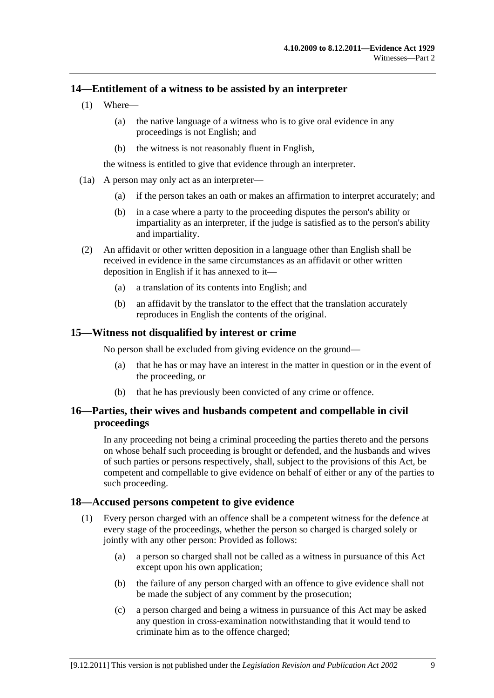# <span id="page-18-0"></span>**14—Entitlement of a witness to be assisted by an interpreter**

- (1) Where—
	- (a) the native language of a witness who is to give oral evidence in any proceedings is not English; and
	- (b) the witness is not reasonably fluent in English,

the witness is entitled to give that evidence through an interpreter.

- (1a) A person may only act as an interpreter—
	- (a) if the person takes an oath or makes an affirmation to interpret accurately; and
	- (b) in a case where a party to the proceeding disputes the person's ability or impartiality as an interpreter, if the judge is satisfied as to the person's ability and impartiality.
- (2) An affidavit or other written deposition in a language other than English shall be received in evidence in the same circumstances as an affidavit or other written deposition in English if it has annexed to it—
	- (a) a translation of its contents into English; and
	- (b) an affidavit by the translator to the effect that the translation accurately reproduces in English the contents of the original.

#### **15—Witness not disqualified by interest or crime**

No person shall be excluded from giving evidence on the ground—

- (a) that he has or may have an interest in the matter in question or in the event of the proceeding, or
- (b) that he has previously been convicted of any crime or offence.

# **16—Parties, their wives and husbands competent and compellable in civil proceedings**

In any proceeding not being a criminal proceeding the parties thereto and the persons on whose behalf such proceeding is brought or defended, and the husbands and wives of such parties or persons respectively, shall, subject to the provisions of this Act, be competent and compellable to give evidence on behalf of either or any of the parties to such proceeding.

#### **18—Accused persons competent to give evidence**

- (1) Every person charged with an offence shall be a competent witness for the defence at every stage of the proceedings, whether the person so charged is charged solely or jointly with any other person: Provided as follows:
	- (a) a person so charged shall not be called as a witness in pursuance of this Act except upon his own application;
	- (b) the failure of any person charged with an offence to give evidence shall not be made the subject of any comment by the prosecution;
	- (c) a person charged and being a witness in pursuance of this Act may be asked any question in cross-examination notwithstanding that it would tend to criminate him as to the offence charged;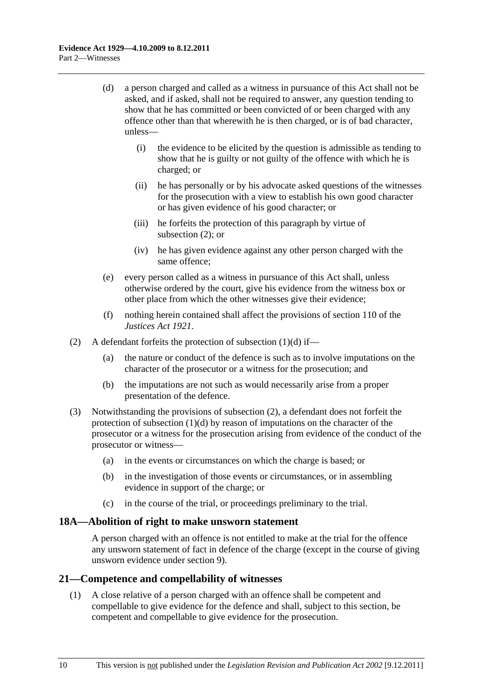- <span id="page-19-0"></span> (d) a person charged and called as a witness in pursuance of this Act shall not be asked, and if asked, shall not be required to answer, any question tending to show that he has committed or been convicted of or been charged with any offence other than that wherewith he is then charged, or is of bad character, unless—
	- (i) the evidence to be elicited by the question is admissible as tending to show that he is guilty or not guilty of the offence with which he is charged; or
	- (ii) he has personally or by his advocate asked questions of the witnesses for the prosecution with a view to establish his own good character or has given evidence of his good character; or
	- (iii) he forfeits the protection of this paragraph by virtue of [subsection \(2\);](#page-19-0) or
	- (iv) he has given evidence against any other person charged with the same offence;
- (e) every person called as a witness in pursuance of this Act shall, unless otherwise ordered by the court, give his evidence from the witness box or other place from which the other witnesses give their evidence;
- (f) nothing herein contained shall affect the provisions of section 110 of the *[Justices Act 1921](http://www.legislation.sa.gov.au/index.aspx?action=legref&type=act&legtitle=Justices%20Act%201921)*.
- (2) A defendant forfeits the protection of subsection  $(1)(d)$  if—
	- (a) the nature or conduct of the defence is such as to involve imputations on the character of the prosecutor or a witness for the prosecution; and
	- (b) the imputations are not such as would necessarily arise from a proper presentation of the defence.
- (3) Notwithstanding the provisions of [subsection \(2\)](#page-19-0), a defendant does not forfeit the protection of [subsection \(1\)\(d\)](#page-19-0) by reason of imputations on the character of the prosecutor or a witness for the prosecution arising from evidence of the conduct of the prosecutor or witness—
	- (a) in the events or circumstances on which the charge is based; or
	- (b) in the investigation of those events or circumstances, or in assembling evidence in support of the charge; or
	- (c) in the course of the trial, or proceedings preliminary to the trial.

# **18A—Abolition of right to make unsworn statement**

A person charged with an offence is not entitled to make at the trial for the offence any unsworn statement of fact in defence of the charge (except in the course of giving unsworn evidence under [section 9](#page-10-0)).

# **21—Competence and compellability of witnesses**

 (1) A close relative of a person charged with an offence shall be competent and compellable to give evidence for the defence and shall, subject to this section, be competent and compellable to give evidence for the prosecution.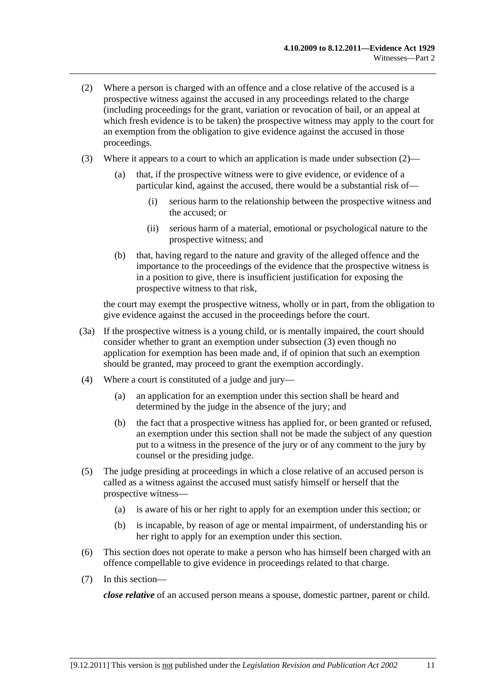- <span id="page-20-0"></span> (2) Where a person is charged with an offence and a close relative of the accused is a prospective witness against the accused in any proceedings related to the charge (including proceedings for the grant, variation or revocation of bail, or an appeal at which fresh evidence is to be taken) the prospective witness may apply to the court for an exemption from the obligation to give evidence against the accused in those proceedings.
- (3) Where it appears to a court to which an application is made under [subsection \(2\)—](#page-20-0)
	- (a) that, if the prospective witness were to give evidence, or evidence of a particular kind, against the accused, there would be a substantial risk of—
		- (i) serious harm to the relationship between the prospective witness and the accused; or
		- (ii) serious harm of a material, emotional or psychological nature to the prospective witness; and
	- (b) that, having regard to the nature and gravity of the alleged offence and the importance to the proceedings of the evidence that the prospective witness is in a position to give, there is insufficient justification for exposing the prospective witness to that risk,

the court may exempt the prospective witness, wholly or in part, from the obligation to give evidence against the accused in the proceedings before the court.

- (3a) If the prospective witness is a young child, or is mentally impaired, the court should consider whether to grant an exemption under [subsection \(3\)](#page-20-0) even though no application for exemption has been made and, if of opinion that such an exemption should be granted, may proceed to grant the exemption accordingly.
- (4) Where a court is constituted of a judge and jury—
	- (a) an application for an exemption under this section shall be heard and determined by the judge in the absence of the jury; and
	- (b) the fact that a prospective witness has applied for, or been granted or refused, an exemption under this section shall not be made the subject of any question put to a witness in the presence of the jury or of any comment to the jury by counsel or the presiding judge.
- (5) The judge presiding at proceedings in which a close relative of an accused person is called as a witness against the accused must satisfy himself or herself that the prospective witness—
	- (a) is aware of his or her right to apply for an exemption under this section; or
	- (b) is incapable, by reason of age or mental impairment, of understanding his or her right to apply for an exemption under this section.
- (6) This section does not operate to make a person who has himself been charged with an offence compellable to give evidence in proceedings related to that charge.
- (7) In this section—

*close relative* of an accused person means a spouse, domestic partner, parent or child.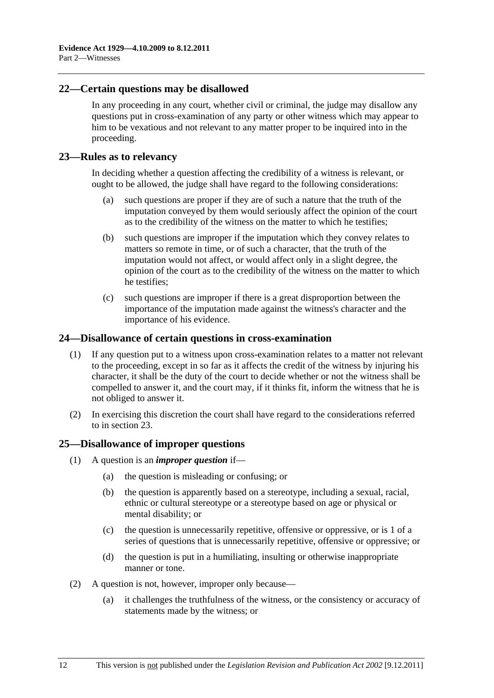# <span id="page-21-0"></span>**22—Certain questions may be disallowed**

In any proceeding in any court, whether civil or criminal, the judge may disallow any questions put in cross-examination of any party or other witness which may appear to him to be vexatious and not relevant to any matter proper to be inquired into in the proceeding.

#### **23—Rules as to relevancy**

In deciding whether a question affecting the credibility of a witness is relevant, or ought to be allowed, the judge shall have regard to the following considerations:

- (a) such questions are proper if they are of such a nature that the truth of the imputation conveyed by them would seriously affect the opinion of the court as to the credibility of the witness on the matter to which he testifies;
- (b) such questions are improper if the imputation which they convey relates to matters so remote in time, or of such a character, that the truth of the imputation would not affect, or would affect only in a slight degree, the opinion of the court as to the credibility of the witness on the matter to which he testifies;
- (c) such questions are improper if there is a great disproportion between the importance of the imputation made against the witness's character and the importance of his evidence.

#### **24—Disallowance of certain questions in cross-examination**

- (1) If any question put to a witness upon cross-examination relates to a matter not relevant to the proceeding, except in so far as it affects the credit of the witness by injuring his character, it shall be the duty of the court to decide whether or not the witness shall be compelled to answer it, and the court may, if it thinks fit, inform the witness that he is not obliged to answer it.
- (2) In exercising this discretion the court shall have regard to the considerations referred to in [section 23](#page-21-0).

#### **25—Disallowance of improper questions**

- (1) A question is an *improper question* if—
	- (a) the question is misleading or confusing; or
	- (b) the question is apparently based on a stereotype, including a sexual, racial, ethnic or cultural stereotype or a stereotype based on age or physical or mental disability; or
	- (c) the question is unnecessarily repetitive, offensive or oppressive, or is 1 of a series of questions that is unnecessarily repetitive, offensive or oppressive; or
	- (d) the question is put in a humiliating, insulting or otherwise inappropriate manner or tone.
- (2) A question is not, however, improper only because—
	- (a) it challenges the truthfulness of the witness, or the consistency or accuracy of statements made by the witness; or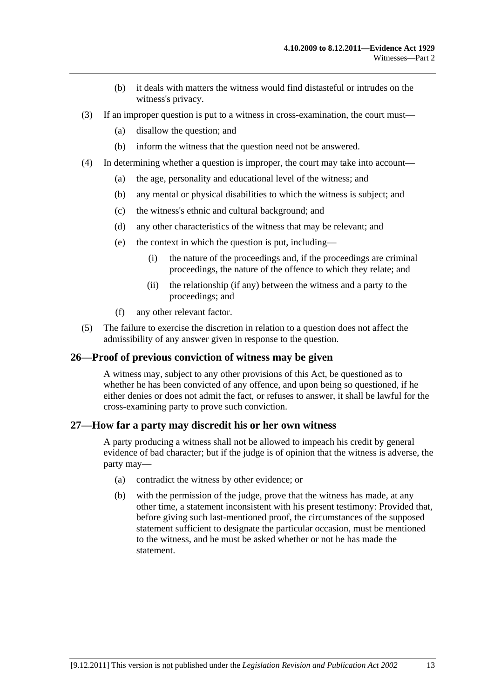- (b) it deals with matters the witness would find distasteful or intrudes on the witness's privacy.
- <span id="page-22-0"></span> (3) If an improper question is put to a witness in cross-examination, the court must—
	- (a) disallow the question; and
	- (b) inform the witness that the question need not be answered.
- (4) In determining whether a question is improper, the court may take into account—
	- (a) the age, personality and educational level of the witness; and
	- (b) any mental or physical disabilities to which the witness is subject; and
	- (c) the witness's ethnic and cultural background; and
	- (d) any other characteristics of the witness that may be relevant; and
	- (e) the context in which the question is put, including—
		- (i) the nature of the proceedings and, if the proceedings are criminal proceedings, the nature of the offence to which they relate; and
		- (ii) the relationship (if any) between the witness and a party to the proceedings; and
	- (f) any other relevant factor.
- (5) The failure to exercise the discretion in relation to a question does not affect the admissibility of any answer given in response to the question.

#### **26—Proof of previous conviction of witness may be given**

A witness may, subject to any other provisions of this Act, be questioned as to whether he has been convicted of any offence, and upon being so questioned, if he either denies or does not admit the fact, or refuses to answer, it shall be lawful for the cross-examining party to prove such conviction.

#### **27—How far a party may discredit his or her own witness**

A party producing a witness shall not be allowed to impeach his credit by general evidence of bad character; but if the judge is of opinion that the witness is adverse, the party may—

- (a) contradict the witness by other evidence; or
- (b) with the permission of the judge, prove that the witness has made, at any other time, a statement inconsistent with his present testimony: Provided that, before giving such last-mentioned proof, the circumstances of the supposed statement sufficient to designate the particular occasion, must be mentioned to the witness, and he must be asked whether or not he has made the statement.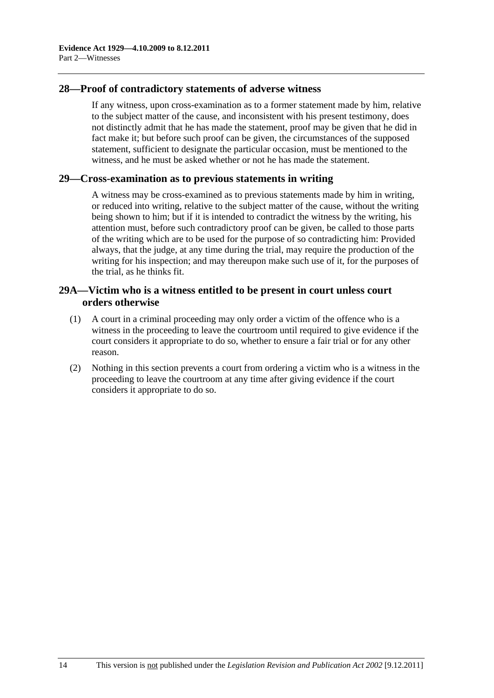# <span id="page-23-0"></span>**28—Proof of contradictory statements of adverse witness**

If any witness, upon cross-examination as to a former statement made by him, relative to the subject matter of the cause, and inconsistent with his present testimony, does not distinctly admit that he has made the statement, proof may be given that he did in fact make it; but before such proof can be given, the circumstances of the supposed statement, sufficient to designate the particular occasion, must be mentioned to the witness, and he must be asked whether or not he has made the statement.

#### **29—Cross-examination as to previous statements in writing**

A witness may be cross-examined as to previous statements made by him in writing, or reduced into writing, relative to the subject matter of the cause, without the writing being shown to him; but if it is intended to contradict the witness by the writing, his attention must, before such contradictory proof can be given, be called to those parts of the writing which are to be used for the purpose of so contradicting him: Provided always, that the judge, at any time during the trial, may require the production of the writing for his inspection; and may thereupon make such use of it, for the purposes of the trial, as he thinks fit.

# **29A—Victim who is a witness entitled to be present in court unless court orders otherwise**

- (1) A court in a criminal proceeding may only order a victim of the offence who is a witness in the proceeding to leave the courtroom until required to give evidence if the court considers it appropriate to do so, whether to ensure a fair trial or for any other reason.
- (2) Nothing in this section prevents a court from ordering a victim who is a witness in the proceeding to leave the courtroom at any time after giving evidence if the court considers it appropriate to do so.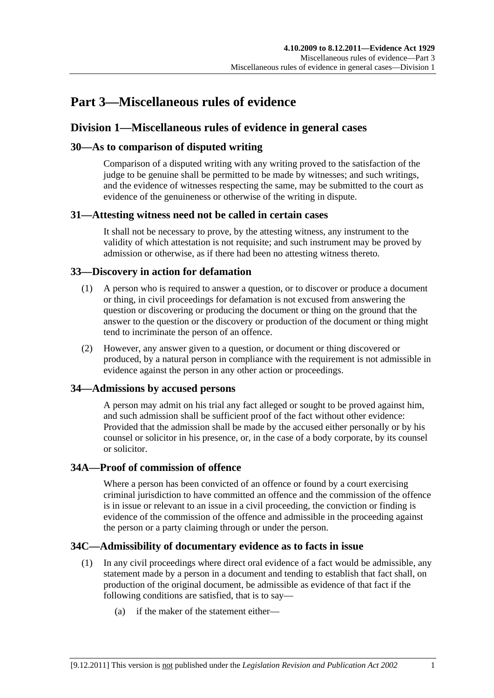# <span id="page-24-0"></span>**Part 3—Miscellaneous rules of evidence**

# **Division 1—Miscellaneous rules of evidence in general cases**

# **30—As to comparison of disputed writing**

Comparison of a disputed writing with any writing proved to the satisfaction of the judge to be genuine shall be permitted to be made by witnesses; and such writings, and the evidence of witnesses respecting the same, may be submitted to the court as evidence of the genuineness or otherwise of the writing in dispute.

# **31—Attesting witness need not be called in certain cases**

It shall not be necessary to prove, by the attesting witness, any instrument to the validity of which attestation is not requisite; and such instrument may be proved by admission or otherwise, as if there had been no attesting witness thereto.

# **33—Discovery in action for defamation**

- (1) A person who is required to answer a question, or to discover or produce a document or thing, in civil proceedings for defamation is not excused from answering the question or discovering or producing the document or thing on the ground that the answer to the question or the discovery or production of the document or thing might tend to incriminate the person of an offence.
- (2) However, any answer given to a question, or document or thing discovered or produced, by a natural person in compliance with the requirement is not admissible in evidence against the person in any other action or proceedings.

# **34—Admissions by accused persons**

A person may admit on his trial any fact alleged or sought to be proved against him, and such admission shall be sufficient proof of the fact without other evidence: Provided that the admission shall be made by the accused either personally or by his counsel or solicitor in his presence, or, in the case of a body corporate, by its counsel or solicitor.

# **34A—Proof of commission of offence**

Where a person has been convicted of an offence or found by a court exercising criminal jurisdiction to have committed an offence and the commission of the offence is in issue or relevant to an issue in a civil proceeding, the conviction or finding is evidence of the commission of the offence and admissible in the proceeding against the person or a party claiming through or under the person.

# **34C—Admissibility of documentary evidence as to facts in issue**

- (1) In any civil proceedings where direct oral evidence of a fact would be admissible, any statement made by a person in a document and tending to establish that fact shall, on production of the original document, be admissible as evidence of that fact if the following conditions are satisfied, that is to say—
	- (a) if the maker of the statement either—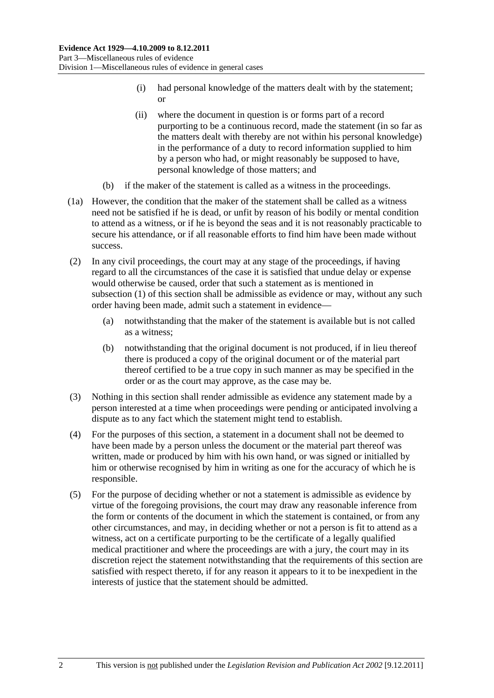- (i) had personal knowledge of the matters dealt with by the statement; or
- (ii) where the document in question is or forms part of a record purporting to be a continuous record, made the statement (in so far as the matters dealt with thereby are not within his personal knowledge) in the performance of a duty to record information supplied to him by a person who had, or might reasonably be supposed to have, personal knowledge of those matters; and
- (b) if the maker of the statement is called as a witness in the proceedings.
- (1a) However, the condition that the maker of the statement shall be called as a witness need not be satisfied if he is dead, or unfit by reason of his bodily or mental condition to attend as a witness, or if he is beyond the seas and it is not reasonably practicable to secure his attendance, or if all reasonable efforts to find him have been made without success.
- (2) In any civil proceedings, the court may at any stage of the proceedings, if having regard to all the circumstances of the case it is satisfied that undue delay or expense would otherwise be caused, order that such a statement as is mentioned in [subsection \(1\)](#page-24-0) of this section shall be admissible as evidence or may, without any such order having been made, admit such a statement in evidence—
	- (a) notwithstanding that the maker of the statement is available but is not called as a witness;
	- (b) notwithstanding that the original document is not produced, if in lieu thereof there is produced a copy of the original document or of the material part thereof certified to be a true copy in such manner as may be specified in the order or as the court may approve, as the case may be.
- (3) Nothing in this section shall render admissible as evidence any statement made by a person interested at a time when proceedings were pending or anticipated involving a dispute as to any fact which the statement might tend to establish.
- (4) For the purposes of this section, a statement in a document shall not be deemed to have been made by a person unless the document or the material part thereof was written, made or produced by him with his own hand, or was signed or initialled by him or otherwise recognised by him in writing as one for the accuracy of which he is responsible.
- (5) For the purpose of deciding whether or not a statement is admissible as evidence by virtue of the foregoing provisions, the court may draw any reasonable inference from the form or contents of the document in which the statement is contained, or from any other circumstances, and may, in deciding whether or not a person is fit to attend as a witness, act on a certificate purporting to be the certificate of a legally qualified medical practitioner and where the proceedings are with a jury, the court may in its discretion reject the statement notwithstanding that the requirements of this section are satisfied with respect thereto, if for any reason it appears to it to be inexpedient in the interests of justice that the statement should be admitted.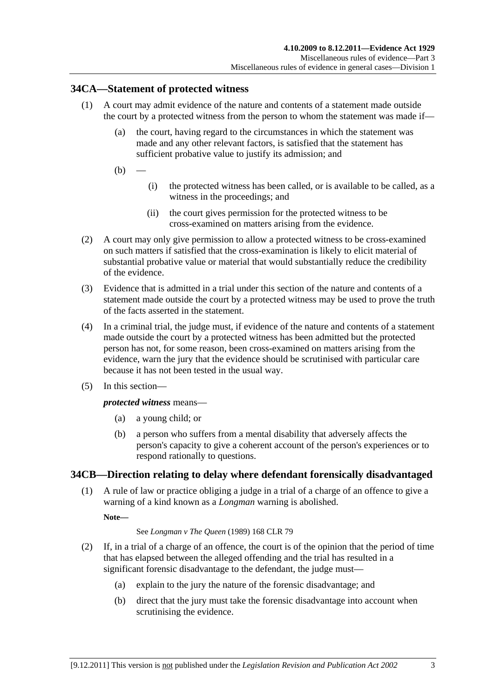# <span id="page-26-0"></span>**34CA—Statement of protected witness**

- (1) A court may admit evidence of the nature and contents of a statement made outside the court by a protected witness from the person to whom the statement was made if—
	- (a) the court, having regard to the circumstances in which the statement was made and any other relevant factors, is satisfied that the statement has sufficient probative value to justify its admission; and
	- $(b)$
- (i) the protected witness has been called, or is available to be called, as a witness in the proceedings; and
- (ii) the court gives permission for the protected witness to be cross-examined on matters arising from the evidence.
- (2) A court may only give permission to allow a protected witness to be cross-examined on such matters if satisfied that the cross-examination is likely to elicit material of substantial probative value or material that would substantially reduce the credibility of the evidence.
- (3) Evidence that is admitted in a trial under this section of the nature and contents of a statement made outside the court by a protected witness may be used to prove the truth of the facts asserted in the statement.
- (4) In a criminal trial, the judge must, if evidence of the nature and contents of a statement made outside the court by a protected witness has been admitted but the protected person has not, for some reason, been cross-examined on matters arising from the evidence, warn the jury that the evidence should be scrutinised with particular care because it has not been tested in the usual way.
- (5) In this section—

#### *protected witness* means—

- (a) a young child; or
- (b) a person who suffers from a mental disability that adversely affects the person's capacity to give a coherent account of the person's experiences or to respond rationally to questions.

# **34CB—Direction relating to delay where defendant forensically disadvantaged**

 (1) A rule of law or practice obliging a judge in a trial of a charge of an offence to give a warning of a kind known as a *Longman* warning is abolished.

**Note—** 

See *Longman v The Queen* (1989) 168 CLR 79

- (2) If, in a trial of a charge of an offence, the court is of the opinion that the period of time that has elapsed between the alleged offending and the trial has resulted in a significant forensic disadvantage to the defendant, the judge must—
	- (a) explain to the jury the nature of the forensic disadvantage; and
	- (b) direct that the jury must take the forensic disadvantage into account when scrutinising the evidence.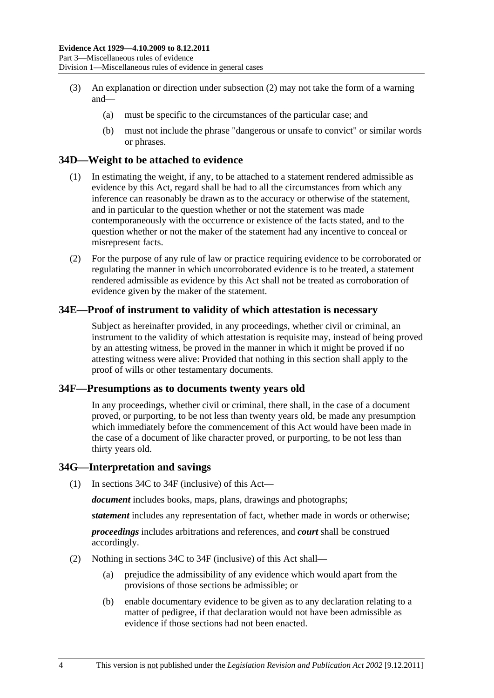- <span id="page-27-0"></span> (3) An explanation or direction under [subsection \(2\)](#page-26-0) may not take the form of a warning and—
	- (a) must be specific to the circumstances of the particular case; and
	- (b) must not include the phrase "dangerous or unsafe to convict" or similar words or phrases.

#### **34D—Weight to be attached to evidence**

- (1) In estimating the weight, if any, to be attached to a statement rendered admissible as evidence by this Act, regard shall be had to all the circumstances from which any inference can reasonably be drawn as to the accuracy or otherwise of the statement, and in particular to the question whether or not the statement was made contemporaneously with the occurrence or existence of the facts stated, and to the question whether or not the maker of the statement had any incentive to conceal or misrepresent facts.
- (2) For the purpose of any rule of law or practice requiring evidence to be corroborated or regulating the manner in which uncorroborated evidence is to be treated, a statement rendered admissible as evidence by this Act shall not be treated as corroboration of evidence given by the maker of the statement.

#### **34E—Proof of instrument to validity of which attestation is necessary**

Subject as hereinafter provided, in any proceedings, whether civil or criminal, an instrument to the validity of which attestation is requisite may, instead of being proved by an attesting witness, be proved in the manner in which it might be proved if no attesting witness were alive: Provided that nothing in this section shall apply to the proof of wills or other testamentary documents.

#### **34F—Presumptions as to documents twenty years old**

In any proceedings, whether civil or criminal, there shall, in the case of a document proved, or purporting, to be not less than twenty years old, be made any presumption which immediately before the commencement of this Act would have been made in the case of a document of like character proved, or purporting, to be not less than thirty years old.

#### **34G—Interpretation and savings**

(1) In [sections 34C](#page-24-0) to [34F](#page-27-0) (inclusive) of this Act—

*document* includes books, maps, plans, drawings and photographs;

*statement* includes any representation of fact, whether made in words or otherwise;

*proceedings* includes arbitrations and references, and *court* shall be construed accordingly.

- (2) Nothing in [sections 34C](#page-24-0) to [34F](#page-27-0) (inclusive) of this Act shall—
	- (a) prejudice the admissibility of any evidence which would apart from the provisions of those sections be admissible; or
	- (b) enable documentary evidence to be given as to any declaration relating to a matter of pedigree, if that declaration would not have been admissible as evidence if those sections had not been enacted.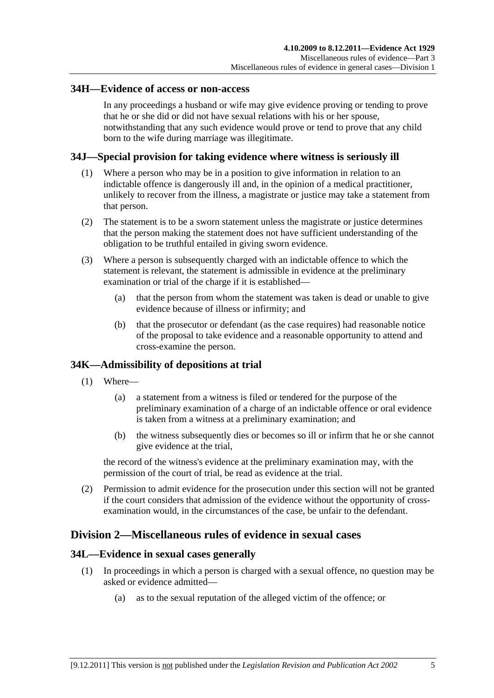#### <span id="page-28-0"></span>**34H—Evidence of access or non-access**

In any proceedings a husband or wife may give evidence proving or tending to prove that he or she did or did not have sexual relations with his or her spouse, notwithstanding that any such evidence would prove or tend to prove that any child born to the wife during marriage was illegitimate.

# **34J—Special provision for taking evidence where witness is seriously ill**

- (1) Where a person who may be in a position to give information in relation to an indictable offence is dangerously ill and, in the opinion of a medical practitioner, unlikely to recover from the illness, a magistrate or justice may take a statement from that person.
- (2) The statement is to be a sworn statement unless the magistrate or justice determines that the person making the statement does not have sufficient understanding of the obligation to be truthful entailed in giving sworn evidence.
- (3) Where a person is subsequently charged with an indictable offence to which the statement is relevant, the statement is admissible in evidence at the preliminary examination or trial of the charge if it is established—
	- (a) that the person from whom the statement was taken is dead or unable to give evidence because of illness or infirmity; and
	- (b) that the prosecutor or defendant (as the case requires) had reasonable notice of the proposal to take evidence and a reasonable opportunity to attend and cross-examine the person.

# **34K—Admissibility of depositions at trial**

- (1) Where—
	- (a) a statement from a witness is filed or tendered for the purpose of the preliminary examination of a charge of an indictable offence or oral evidence is taken from a witness at a preliminary examination; and
	- (b) the witness subsequently dies or becomes so ill or infirm that he or she cannot give evidence at the trial,

the record of the witness's evidence at the preliminary examination may, with the permission of the court of trial, be read as evidence at the trial.

 (2) Permission to admit evidence for the prosecution under this section will not be granted if the court considers that admission of the evidence without the opportunity of crossexamination would, in the circumstances of the case, be unfair to the defendant.

# **Division 2—Miscellaneous rules of evidence in sexual cases**

#### **34L—Evidence in sexual cases generally**

- (1) In proceedings in which a person is charged with a sexual offence, no question may be asked or evidence admitted—
	- (a) as to the sexual reputation of the alleged victim of the offence; or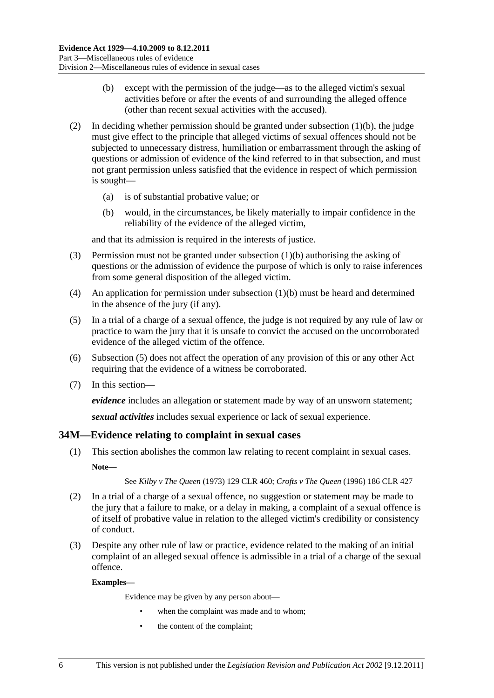- <span id="page-29-0"></span> (b) except with the permission of the judge—as to the alleged victim's sexual activities before or after the events of and surrounding the alleged offence (other than recent sexual activities with the accused).
- (2) In deciding whether permission should be granted under subsection  $(1)(b)$ , the judge must give effect to the principle that alleged victims of sexual offences should not be subjected to unnecessary distress, humiliation or embarrassment through the asking of questions or admission of evidence of the kind referred to in that subsection, and must not grant permission unless satisfied that the evidence in respect of which permission is sought—
	- (a) is of substantial probative value; or
	- (b) would, in the circumstances, be likely materially to impair confidence in the reliability of the evidence of the alleged victim,

and that its admission is required in the interests of justice.

- (3) Permission must not be granted under [subsection \(1\)\(b\)](#page-29-0) authorising the asking of questions or the admission of evidence the purpose of which is only to raise inferences from some general disposition of the alleged victim.
- (4) An application for permission under [subsection \(1\)\(b\)](#page-29-0) must be heard and determined in the absence of the jury (if any).
- (5) In a trial of a charge of a sexual offence, the judge is not required by any rule of law or practice to warn the jury that it is unsafe to convict the accused on the uncorroborated evidence of the alleged victim of the offence.
- (6) [Subsection \(5\)](#page-29-0) does not affect the operation of any provision of this or any other Act requiring that the evidence of a witness be corroborated.
- (7) In this section—

*evidence* includes an allegation or statement made by way of an unsworn statement;

*sexual activities* includes sexual experience or lack of sexual experience.

#### **34M—Evidence relating to complaint in sexual cases**

 (1) This section abolishes the common law relating to recent complaint in sexual cases. **Note—** 

See *Kilby v The Queen* (1973) 129 CLR 460; *Crofts v The Queen* (1996) 186 CLR 427

- (2) In a trial of a charge of a sexual offence, no suggestion or statement may be made to the jury that a failure to make, or a delay in making, a complaint of a sexual offence is of itself of probative value in relation to the alleged victim's credibility or consistency of conduct.
- (3) Despite any other rule of law or practice, evidence related to the making of an initial complaint of an alleged sexual offence is admissible in a trial of a charge of the sexual offence.

#### **Examples—**

Evidence may be given by any person about—

- when the complaint was made and to whom;
- the content of the complaint;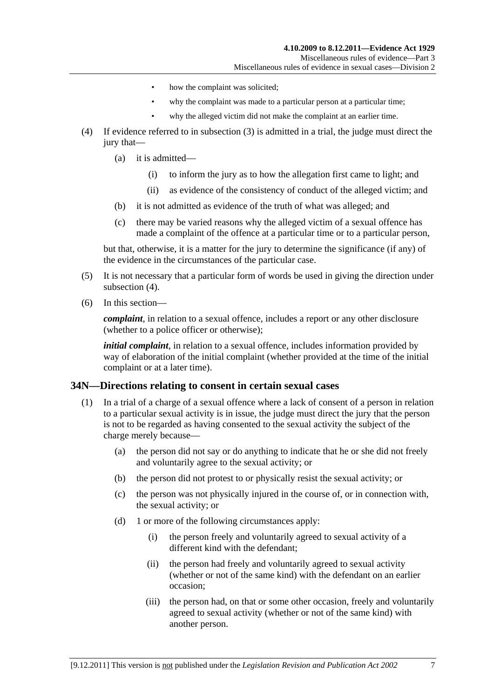- how the complaint was solicited;
- why the complaint was made to a particular person at a particular time;
- why the alleged victim did not make the complaint at an earlier time.
- <span id="page-30-0"></span> (4) If evidence referred to in [subsection \(3\)](#page-29-0) is admitted in a trial, the judge must direct the jury that—
	- (a) it is admitted—
		- (i) to inform the jury as to how the allegation first came to light; and
		- (ii) as evidence of the consistency of conduct of the alleged victim; and
	- (b) it is not admitted as evidence of the truth of what was alleged; and
	- (c) there may be varied reasons why the alleged victim of a sexual offence has made a complaint of the offence at a particular time or to a particular person,

but that, otherwise, it is a matter for the jury to determine the significance (if any) of the evidence in the circumstances of the particular case.

- (5) It is not necessary that a particular form of words be used in giving the direction under [subsection \(4\).](#page-30-0)
- (6) In this section—

*complaint*, in relation to a sexual offence, includes a report or any other disclosure (whether to a police officer or otherwise);

*initial complaint*, in relation to a sexual offence, includes information provided by way of elaboration of the initial complaint (whether provided at the time of the initial complaint or at a later time).

# **34N—Directions relating to consent in certain sexual cases**

- (1) In a trial of a charge of a sexual offence where a lack of consent of a person in relation to a particular sexual activity is in issue, the judge must direct the jury that the person is not to be regarded as having consented to the sexual activity the subject of the charge merely because—
	- (a) the person did not say or do anything to indicate that he or she did not freely and voluntarily agree to the sexual activity; or
	- (b) the person did not protest to or physically resist the sexual activity; or
	- (c) the person was not physically injured in the course of, or in connection with, the sexual activity; or
	- (d) 1 or more of the following circumstances apply:
		- (i) the person freely and voluntarily agreed to sexual activity of a different kind with the defendant;
		- (ii) the person had freely and voluntarily agreed to sexual activity (whether or not of the same kind) with the defendant on an earlier occasion;
		- (iii) the person had, on that or some other occasion, freely and voluntarily agreed to sexual activity (whether or not of the same kind) with another person.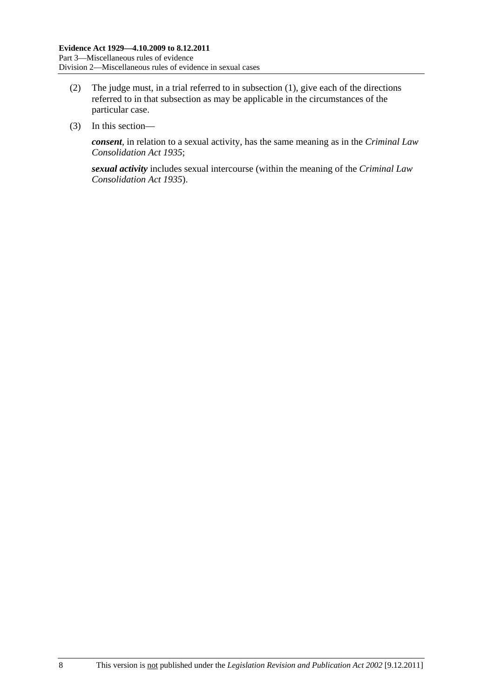- (2) The judge must, in a trial referred to in [subsection \(1\),](#page-30-0) give each of the directions referred to in that subsection as may be applicable in the circumstances of the particular case.
- (3) In this section—

*consent*, in relation to a sexual activity, has the same meaning as in the *[Criminal Law](http://www.legislation.sa.gov.au/index.aspx?action=legref&type=act&legtitle=Criminal%20Law%20Consolidation%20Act%201935)  [Consolidation Act 1935](http://www.legislation.sa.gov.au/index.aspx?action=legref&type=act&legtitle=Criminal%20Law%20Consolidation%20Act%201935)*;

*sexual activity* includes sexual intercourse (within the meaning of the *[Criminal Law](http://www.legislation.sa.gov.au/index.aspx?action=legref&type=act&legtitle=Criminal%20Law%20Consolidation%20Act%201935)  [Consolidation Act 1935](http://www.legislation.sa.gov.au/index.aspx?action=legref&type=act&legtitle=Criminal%20Law%20Consolidation%20Act%201935)*).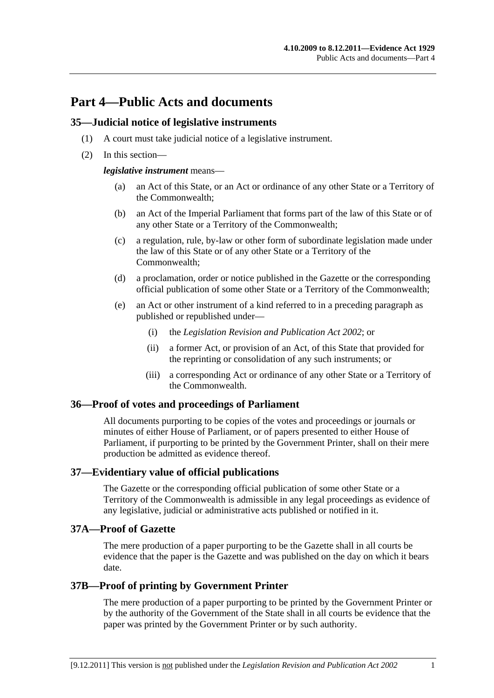# <span id="page-32-0"></span>**Part 4—Public Acts and documents**

#### **35—Judicial notice of legislative instruments**

- (1) A court must take judicial notice of a legislative instrument.
- (2) In this section—

*legislative instrument* means—

- (a) an Act of this State, or an Act or ordinance of any other State or a Territory of the Commonwealth;
- (b) an Act of the Imperial Parliament that forms part of the law of this State or of any other State or a Territory of the Commonwealth;
- (c) a regulation, rule, by-law or other form of subordinate legislation made under the law of this State or of any other State or a Territory of the Commonwealth;
- (d) a proclamation, order or notice published in the Gazette or the corresponding official publication of some other State or a Territory of the Commonwealth;
- (e) an Act or other instrument of a kind referred to in a preceding paragraph as published or republished under—
	- (i) the *[Legislation Revision and Publication Act 2002](http://www.legislation.sa.gov.au/index.aspx?action=legref&type=act&legtitle=Legislation%20Revision%20and%20Publication%20Act%202002)*; or
	- (ii) a former Act, or provision of an Act, of this State that provided for the reprinting or consolidation of any such instruments; or
	- (iii) a corresponding Act or ordinance of any other State or a Territory of the Commonwealth.

# **36—Proof of votes and proceedings of Parliament**

All documents purporting to be copies of the votes and proceedings or journals or minutes of either House of Parliament, or of papers presented to either House of Parliament, if purporting to be printed by the Government Printer, shall on their mere production be admitted as evidence thereof.

#### **37—Evidentiary value of official publications**

The Gazette or the corresponding official publication of some other State or a Territory of the Commonwealth is admissible in any legal proceedings as evidence of any legislative, judicial or administrative acts published or notified in it.

# **37A—Proof of Gazette**

The mere production of a paper purporting to be the Gazette shall in all courts be evidence that the paper is the Gazette and was published on the day on which it bears date.

# **37B—Proof of printing by Government Printer**

The mere production of a paper purporting to be printed by the Government Printer or by the authority of the Government of the State shall in all courts be evidence that the paper was printed by the Government Printer or by such authority.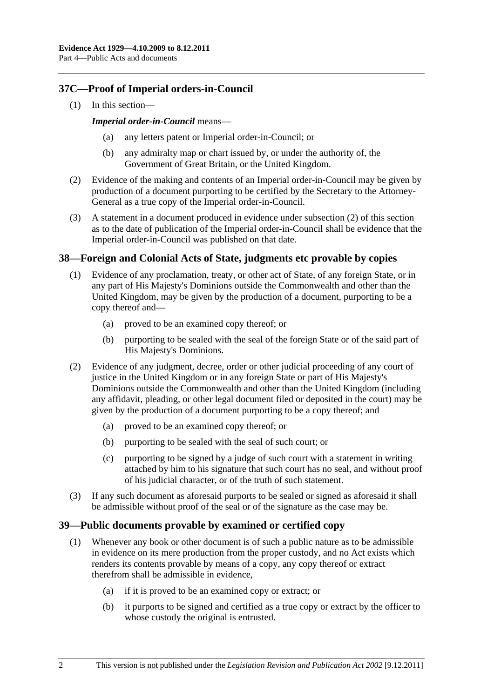# <span id="page-33-0"></span>**37C—Proof of Imperial orders-in-Council**

(1) In this section—

#### *Imperial order-in-Council* means—

- any letters patent or Imperial order-in-Council; or
- (b) any admiralty map or chart issued by, or under the authority of, the Government of Great Britain, or the United Kingdom.
- (2) Evidence of the making and contents of an Imperial order-in-Council may be given by production of a document purporting to be certified by the Secretary to the Attorney-General as a true copy of the Imperial order-in-Council.
- (3) A statement in a document produced in evidence under [subsection \(2\)](#page-33-0) of this section as to the date of publication of the Imperial order-in-Council shall be evidence that the Imperial order-in-Council was published on that date.

# **38—Foreign and Colonial Acts of State, judgments etc provable by copies**

- (1) Evidence of any proclamation, treaty, or other act of State, of any foreign State, or in any part of His Majesty's Dominions outside the Commonwealth and other than the United Kingdom, may be given by the production of a document, purporting to be a copy thereof and—
	- (a) proved to be an examined copy thereof; or
	- (b) purporting to be sealed with the seal of the foreign State or of the said part of His Majesty's Dominions.
- (2) Evidence of any judgment, decree, order or other judicial proceeding of any court of justice in the United Kingdom or in any foreign State or part of His Majesty's Dominions outside the Commonwealth and other than the United Kingdom (including any affidavit, pleading, or other legal document filed or deposited in the court) may be given by the production of a document purporting to be a copy thereof; and
	- (a) proved to be an examined copy thereof; or
	- (b) purporting to be sealed with the seal of such court; or
	- (c) purporting to be signed by a judge of such court with a statement in writing attached by him to his signature that such court has no seal, and without proof of his judicial character, or of the truth of such statement.
- (3) If any such document as aforesaid purports to be sealed or signed as aforesaid it shall be admissible without proof of the seal or of the signature as the case may be.

# **39—Public documents provable by examined or certified copy**

- (1) Whenever any book or other document is of such a public nature as to be admissible in evidence on its mere production from the proper custody, and no Act exists which renders its contents provable by means of a copy, any copy thereof or extract therefrom shall be admissible in evidence,
	- (a) if it is proved to be an examined copy or extract; or
	- (b) it purports to be signed and certified as a true copy or extract by the officer to whose custody the original is entrusted.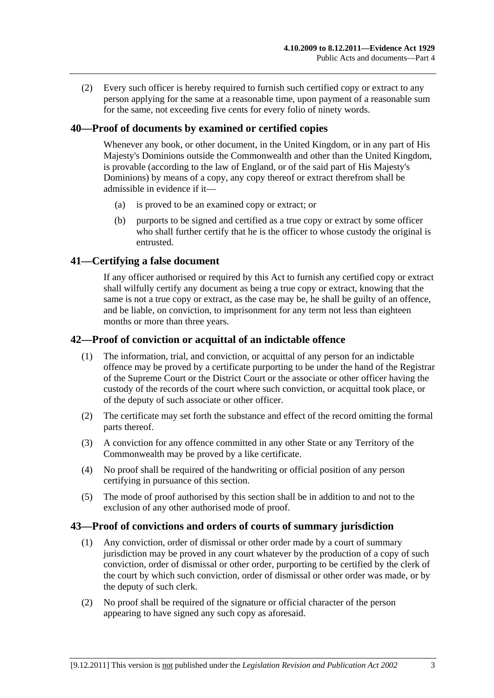<span id="page-34-0"></span> (2) Every such officer is hereby required to furnish such certified copy or extract to any person applying for the same at a reasonable time, upon payment of a reasonable sum for the same, not exceeding five cents for every folio of ninety words.

# **40—Proof of documents by examined or certified copies**

Whenever any book, or other document, in the United Kingdom, or in any part of His Majesty's Dominions outside the Commonwealth and other than the United Kingdom, is provable (according to the law of England, or of the said part of His Majesty's Dominions) by means of a copy, any copy thereof or extract therefrom shall be admissible in evidence if it—

- (a) is proved to be an examined copy or extract; or
- (b) purports to be signed and certified as a true copy or extract by some officer who shall further certify that he is the officer to whose custody the original is entrusted.

#### **41—Certifying a false document**

If any officer authorised or required by this Act to furnish any certified copy or extract shall wilfully certify any document as being a true copy or extract, knowing that the same is not a true copy or extract, as the case may be, he shall be guilty of an offence, and be liable, on conviction, to imprisonment for any term not less than eighteen months or more than three years.

#### **42—Proof of conviction or acquittal of an indictable offence**

- (1) The information, trial, and conviction, or acquittal of any person for an indictable offence may be proved by a certificate purporting to be under the hand of the Registrar of the Supreme Court or the District Court or the associate or other officer having the custody of the records of the court where such conviction, or acquittal took place, or of the deputy of such associate or other officer.
- (2) The certificate may set forth the substance and effect of the record omitting the formal parts thereof.
- (3) A conviction for any offence committed in any other State or any Territory of the Commonwealth may be proved by a like certificate.
- (4) No proof shall be required of the handwriting or official position of any person certifying in pursuance of this section.
- (5) The mode of proof authorised by this section shall be in addition to and not to the exclusion of any other authorised mode of proof.

#### **43—Proof of convictions and orders of courts of summary jurisdiction**

- (1) Any conviction, order of dismissal or other order made by a court of summary jurisdiction may be proved in any court whatever by the production of a copy of such conviction, order of dismissal or other order, purporting to be certified by the clerk of the court by which such conviction, order of dismissal or other order was made, or by the deputy of such clerk.
- (2) No proof shall be required of the signature or official character of the person appearing to have signed any such copy as aforesaid.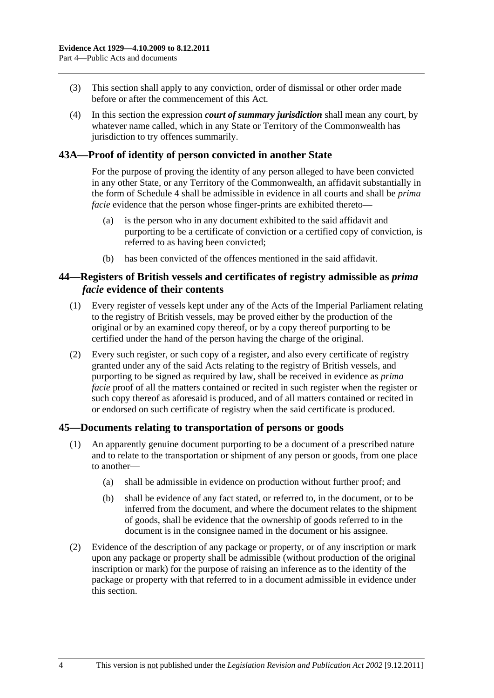- <span id="page-35-0"></span> (3) This section shall apply to any conviction, order of dismissal or other order made before or after the commencement of this Act.
- (4) In this section the expression *court of summary jurisdiction* shall mean any court, by whatever name called, which in any State or Territory of the Commonwealth has jurisdiction to try offences summarily.

# **43A—Proof of identity of person convicted in another State**

For the purpose of proving the identity of any person alleged to have been convicted in any other State, or any Territory of the Commonwealth, an affidavit substantially in the form of [Schedule 4](#page-89-0) shall be admissible in evidence in all courts and shall be *prima facie* evidence that the person whose finger-prints are exhibited thereto—

- (a) is the person who in any document exhibited to the said affidavit and purporting to be a certificate of conviction or a certified copy of conviction, is referred to as having been convicted;
- (b) has been convicted of the offences mentioned in the said affidavit.

# **44—Registers of British vessels and certificates of registry admissible as** *prima facie* **evidence of their contents**

- (1) Every register of vessels kept under any of the Acts of the Imperial Parliament relating to the registry of British vessels, may be proved either by the production of the original or by an examined copy thereof, or by a copy thereof purporting to be certified under the hand of the person having the charge of the original.
- (2) Every such register, or such copy of a register, and also every certificate of registry granted under any of the said Acts relating to the registry of British vessels, and purporting to be signed as required by law, shall be received in evidence as *prima facie* proof of all the matters contained or recited in such register when the register or such copy thereof as aforesaid is produced, and of all matters contained or recited in or endorsed on such certificate of registry when the said certificate is produced.

# **45—Documents relating to transportation of persons or goods**

- (1) An apparently genuine document purporting to be a document of a prescribed nature and to relate to the transportation or shipment of any person or goods, from one place to another—
	- (a) shall be admissible in evidence on production without further proof; and
	- (b) shall be evidence of any fact stated, or referred to, in the document, or to be inferred from the document, and where the document relates to the shipment of goods, shall be evidence that the ownership of goods referred to in the document is in the consignee named in the document or his assignee.
- (2) Evidence of the description of any package or property, or of any inscription or mark upon any package or property shall be admissible (without production of the original inscription or mark) for the purpose of raising an inference as to the identity of the package or property with that referred to in a document admissible in evidence under this section.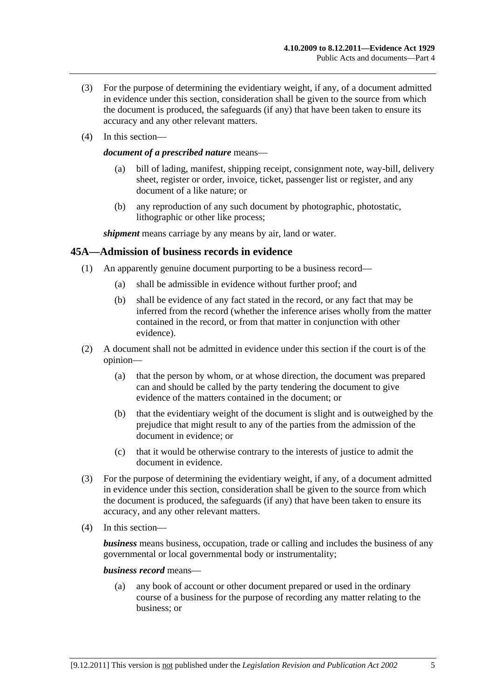- (3) For the purpose of determining the evidentiary weight, if any, of a document admitted in evidence under this section, consideration shall be given to the source from which the document is produced, the safeguards (if any) that have been taken to ensure its accuracy and any other relevant matters.
- (4) In this section—

#### *document of a prescribed nature* means—

- (a) bill of lading, manifest, shipping receipt, consignment note, way-bill, delivery sheet, register or order, invoice, ticket, passenger list or register, and any document of a like nature; or
- (b) any reproduction of any such document by photographic, photostatic, lithographic or other like process;

*shipment* means carriage by any means by air, land or water.

#### **45A—Admission of business records in evidence**

- (1) An apparently genuine document purporting to be a business record—
	- (a) shall be admissible in evidence without further proof; and
	- (b) shall be evidence of any fact stated in the record, or any fact that may be inferred from the record (whether the inference arises wholly from the matter contained in the record, or from that matter in conjunction with other evidence).
- (2) A document shall not be admitted in evidence under this section if the court is of the opinion—
	- (a) that the person by whom, or at whose direction, the document was prepared can and should be called by the party tendering the document to give evidence of the matters contained in the document; or
	- (b) that the evidentiary weight of the document is slight and is outweighed by the prejudice that might result to any of the parties from the admission of the document in evidence; or
	- (c) that it would be otherwise contrary to the interests of justice to admit the document in evidence.
- (3) For the purpose of determining the evidentiary weight, if any, of a document admitted in evidence under this section, consideration shall be given to the source from which the document is produced, the safeguards (if any) that have been taken to ensure its accuracy, and any other relevant matters.
- (4) In this section—

*business* means business, occupation, trade or calling and includes the business of any governmental or local governmental body or instrumentality;

*business record* means—

 (a) any book of account or other document prepared or used in the ordinary course of a business for the purpose of recording any matter relating to the business; or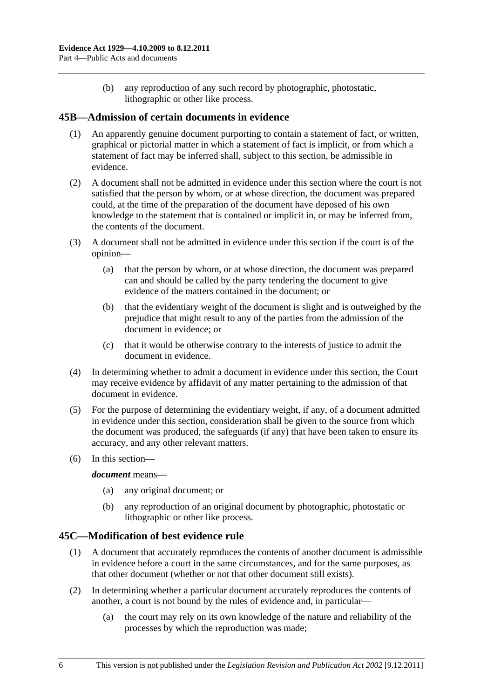(b) any reproduction of any such record by photographic, photostatic, lithographic or other like process.

### **45B—Admission of certain documents in evidence**

- (1) An apparently genuine document purporting to contain a statement of fact, or written, graphical or pictorial matter in which a statement of fact is implicit, or from which a statement of fact may be inferred shall, subject to this section, be admissible in evidence.
- (2) A document shall not be admitted in evidence under this section where the court is not satisfied that the person by whom, or at whose direction, the document was prepared could, at the time of the preparation of the document have deposed of his own knowledge to the statement that is contained or implicit in, or may be inferred from, the contents of the document.
- (3) A document shall not be admitted in evidence under this section if the court is of the opinion—
	- (a) that the person by whom, or at whose direction, the document was prepared can and should be called by the party tendering the document to give evidence of the matters contained in the document; or
	- (b) that the evidentiary weight of the document is slight and is outweighed by the prejudice that might result to any of the parties from the admission of the document in evidence; or
	- (c) that it would be otherwise contrary to the interests of justice to admit the document in evidence.
- (4) In determining whether to admit a document in evidence under this section, the Court may receive evidence by affidavit of any matter pertaining to the admission of that document in evidence.
- (5) For the purpose of determining the evidentiary weight, if any, of a document admitted in evidence under this section, consideration shall be given to the source from which the document was produced, the safeguards (if any) that have been taken to ensure its accuracy, and any other relevant matters.
- (6) In this section—

#### *document* means—

- (a) any original document; or
- (b) any reproduction of an original document by photographic, photostatic or lithographic or other like process.

### **45C—Modification of best evidence rule**

- (1) A document that accurately reproduces the contents of another document is admissible in evidence before a court in the same circumstances, and for the same purposes, as that other document (whether or not that other document still exists).
- (2) In determining whether a particular document accurately reproduces the contents of another, a court is not bound by the rules of evidence and, in particular—
	- (a) the court may rely on its own knowledge of the nature and reliability of the processes by which the reproduction was made;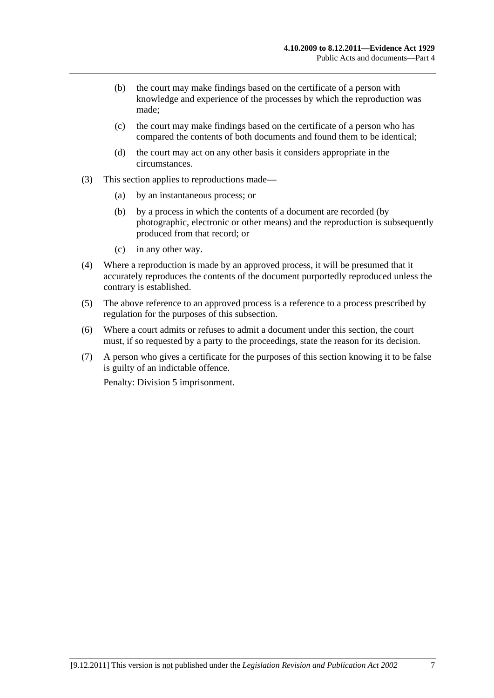- (b) the court may make findings based on the certificate of a person with knowledge and experience of the processes by which the reproduction was made;
- (c) the court may make findings based on the certificate of a person who has compared the contents of both documents and found them to be identical;
- (d) the court may act on any other basis it considers appropriate in the circumstances.
- (3) This section applies to reproductions made—
	- (a) by an instantaneous process; or
	- (b) by a process in which the contents of a document are recorded (by photographic, electronic or other means) and the reproduction is subsequently produced from that record; or
	- (c) in any other way.
- (4) Where a reproduction is made by an approved process, it will be presumed that it accurately reproduces the contents of the document purportedly reproduced unless the contrary is established.
- (5) The above reference to an approved process is a reference to a process prescribed by regulation for the purposes of this subsection.
- (6) Where a court admits or refuses to admit a document under this section, the court must, if so requested by a party to the proceedings, state the reason for its decision.
- (7) A person who gives a certificate for the purposes of this section knowing it to be false is guilty of an indictable offence.

Penalty: Division 5 imprisonment.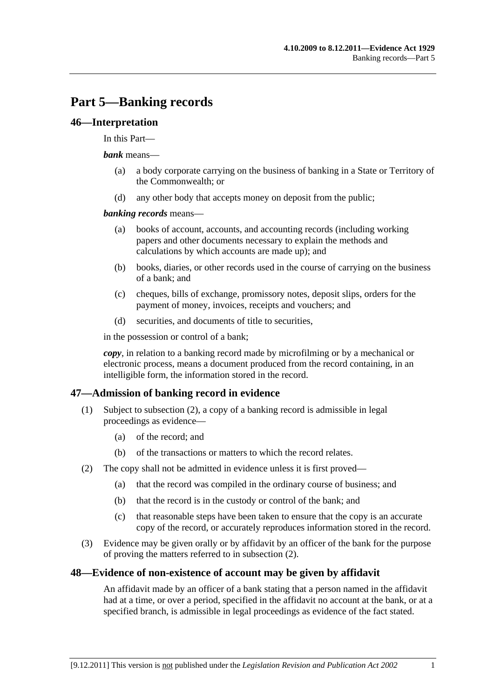# <span id="page-40-0"></span>**Part 5—Banking records**

#### **46—Interpretation**

#### In this Part—

#### *bank* means—

- (a) a body corporate carrying on the business of banking in a State or Territory of the Commonwealth; or
- (d) any other body that accepts money on deposit from the public;

#### *banking records* means—

- (a) books of account, accounts, and accounting records (including working papers and other documents necessary to explain the methods and calculations by which accounts are made up); and
- (b) books, diaries, or other records used in the course of carrying on the business of a bank; and
- (c) cheques, bills of exchange, promissory notes, deposit slips, orders for the payment of money, invoices, receipts and vouchers; and
- (d) securities, and documents of title to securities,

in the possession or control of a bank;

*copy*, in relation to a banking record made by microfilming or by a mechanical or electronic process, means a document produced from the record containing, in an intelligible form, the information stored in the record.

### **47—Admission of banking record in evidence**

- (1) Subject to [subsection \(2\),](#page-40-0) a copy of a banking record is admissible in legal proceedings as evidence—
	- (a) of the record; and
	- (b) of the transactions or matters to which the record relates.
- (2) The copy shall not be admitted in evidence unless it is first proved—
	- (a) that the record was compiled in the ordinary course of business; and
	- (b) that the record is in the custody or control of the bank; and
	- (c) that reasonable steps have been taken to ensure that the copy is an accurate copy of the record, or accurately reproduces information stored in the record.
- (3) Evidence may be given orally or by affidavit by an officer of the bank for the purpose of proving the matters referred to in [subsection \(2\)](#page-40-0).

#### **48—Evidence of non-existence of account may be given by affidavit**

An affidavit made by an officer of a bank stating that a person named in the affidavit had at a time, or over a period, specified in the affidavit no account at the bank, or at a specified branch, is admissible in legal proceedings as evidence of the fact stated.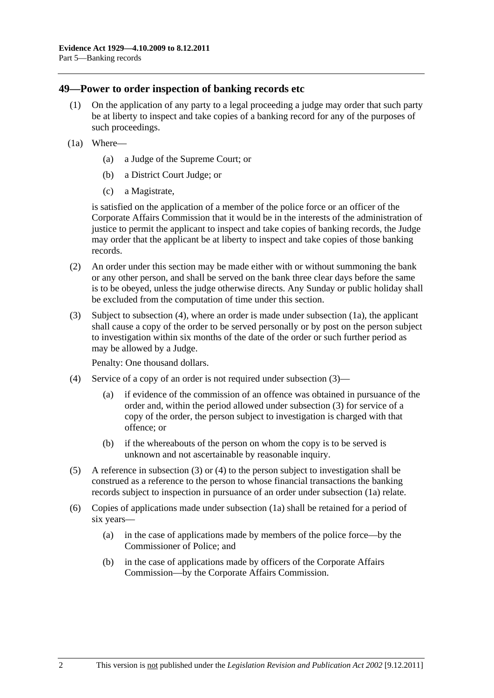#### <span id="page-41-0"></span>**49—Power to order inspection of banking records etc**

- (1) On the application of any party to a legal proceeding a judge may order that such party be at liberty to inspect and take copies of a banking record for any of the purposes of such proceedings.
- (1a) Where—
	- (a) a Judge of the Supreme Court; or
	- (b) a District Court Judge; or
	- (c) a Magistrate,

is satisfied on the application of a member of the police force or an officer of the Corporate Affairs Commission that it would be in the interests of the administration of justice to permit the applicant to inspect and take copies of banking records, the Judge may order that the applicant be at liberty to inspect and take copies of those banking records.

- (2) An order under this section may be made either with or without summoning the bank or any other person, and shall be served on the bank three clear days before the same is to be obeyed, unless the judge otherwise directs. Any Sunday or public holiday shall be excluded from the computation of time under this section.
- (3) Subject to [subsection \(4\),](#page-41-0) where an order is made under [subsection \(1a\),](#page-41-0) the applicant shall cause a copy of the order to be served personally or by post on the person subject to investigation within six months of the date of the order or such further period as may be allowed by a Judge.

Penalty: One thousand dollars.

- (4) Service of a copy of an order is not required under [subsection \(3\)](#page-41-0)
	- (a) if evidence of the commission of an offence was obtained in pursuance of the order and, within the period allowed under [subsection \(3\)](#page-41-0) for service of a copy of the order, the person subject to investigation is charged with that offence; or
	- (b) if the whereabouts of the person on whom the copy is to be served is unknown and not ascertainable by reasonable inquiry.
- (5) A reference in [subsection \(3\)](#page-41-0) or [\(4\)](#page-41-0) to the person subject to investigation shall be construed as a reference to the person to whose financial transactions the banking records subject to inspection in pursuance of an order under [subsection \(1a\)](#page-41-0) relate.
- (6) Copies of applications made under [subsection \(1a\)](#page-41-0) shall be retained for a period of six years—
	- (a) in the case of applications made by members of the police force—by the Commissioner of Police; and
	- (b) in the case of applications made by officers of the Corporate Affairs Commission—by the Corporate Affairs Commission.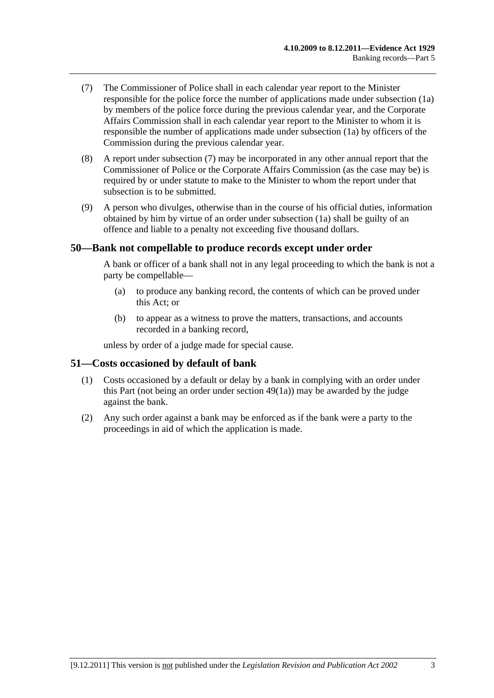- <span id="page-42-0"></span> (7) The Commissioner of Police shall in each calendar year report to the Minister responsible for the police force the number of applications made under [subsection \(1a\)](#page-41-0) by members of the police force during the previous calendar year, and the Corporate Affairs Commission shall in each calendar year report to the Minister to whom it is responsible the number of applications made under [subsection \(1a\)](#page-41-0) by officers of the Commission during the previous calendar year.
- (8) A report under [subsection \(7\)](#page-42-0) may be incorporated in any other annual report that the Commissioner of Police or the Corporate Affairs Commission (as the case may be) is required by or under statute to make to the Minister to whom the report under that subsection is to be submitted.
- (9) A person who divulges, otherwise than in the course of his official duties, information obtained by him by virtue of an order under [subsection \(1a\)](#page-41-0) shall be guilty of an offence and liable to a penalty not exceeding five thousand dollars.

#### **50—Bank not compellable to produce records except under order**

A bank or officer of a bank shall not in any legal proceeding to which the bank is not a party be compellable—

- (a) to produce any banking record, the contents of which can be proved under this Act; or
- (b) to appear as a witness to prove the matters, transactions, and accounts recorded in a banking record,

unless by order of a judge made for special cause.

#### **51—Costs occasioned by default of bank**

- (1) Costs occasioned by a default or delay by a bank in complying with an order under this Part (not being an order under [section 49\(1a\)\)](#page-41-0) may be awarded by the judge against the bank.
- (2) Any such order against a bank may be enforced as if the bank were a party to the proceedings in aid of which the application is made.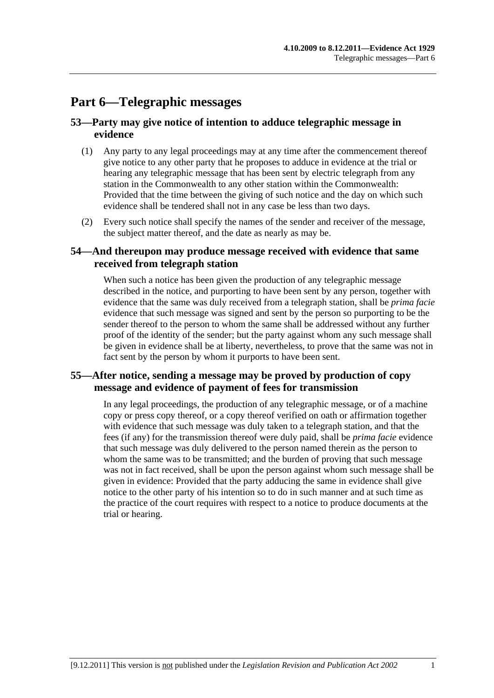# **Part 6—Telegraphic messages**

### **53—Party may give notice of intention to adduce telegraphic message in evidence**

- (1) Any party to any legal proceedings may at any time after the commencement thereof give notice to any other party that he proposes to adduce in evidence at the trial or hearing any telegraphic message that has been sent by electric telegraph from any station in the Commonwealth to any other station within the Commonwealth: Provided that the time between the giving of such notice and the day on which such evidence shall be tendered shall not in any case be less than two days.
- (2) Every such notice shall specify the names of the sender and receiver of the message, the subject matter thereof, and the date as nearly as may be.

### **54—And thereupon may produce message received with evidence that same received from telegraph station**

When such a notice has been given the production of any telegraphic message described in the notice, and purporting to have been sent by any person, together with evidence that the same was duly received from a telegraph station, shall be *prima facie* evidence that such message was signed and sent by the person so purporting to be the sender thereof to the person to whom the same shall be addressed without any further proof of the identity of the sender; but the party against whom any such message shall be given in evidence shall be at liberty, nevertheless, to prove that the same was not in fact sent by the person by whom it purports to have been sent.

## **55—After notice, sending a message may be proved by production of copy message and evidence of payment of fees for transmission**

In any legal proceedings, the production of any telegraphic message, or of a machine copy or press copy thereof, or a copy thereof verified on oath or affirmation together with evidence that such message was duly taken to a telegraph station, and that the fees (if any) for the transmission thereof were duly paid, shall be *prima facie* evidence that such message was duly delivered to the person named therein as the person to whom the same was to be transmitted; and the burden of proving that such message was not in fact received, shall be upon the person against whom such message shall be given in evidence: Provided that the party adducing the same in evidence shall give notice to the other party of his intention so to do in such manner and at such time as the practice of the court requires with respect to a notice to produce documents at the trial or hearing.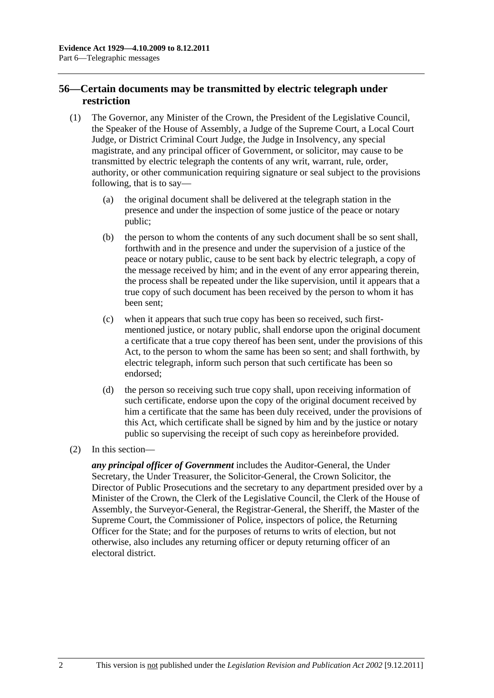# **56—Certain documents may be transmitted by electric telegraph under restriction**

- (1) The Governor, any Minister of the Crown, the President of the Legislative Council, the Speaker of the House of Assembly, a Judge of the Supreme Court, a Local Court Judge, or District Criminal Court Judge, the Judge in Insolvency, any special magistrate, and any principal officer of Government, or solicitor, may cause to be transmitted by electric telegraph the contents of any writ, warrant, rule, order, authority, or other communication requiring signature or seal subject to the provisions following, that is to say—
	- (a) the original document shall be delivered at the telegraph station in the presence and under the inspection of some justice of the peace or notary public;
	- (b) the person to whom the contents of any such document shall be so sent shall, forthwith and in the presence and under the supervision of a justice of the peace or notary public, cause to be sent back by electric telegraph, a copy of the message received by him; and in the event of any error appearing therein, the process shall be repeated under the like supervision, until it appears that a true copy of such document has been received by the person to whom it has been sent;
	- (c) when it appears that such true copy has been so received, such firstmentioned justice, or notary public, shall endorse upon the original document a certificate that a true copy thereof has been sent, under the provisions of this Act, to the person to whom the same has been so sent; and shall forthwith, by electric telegraph, inform such person that such certificate has been so endorsed;
	- (d) the person so receiving such true copy shall, upon receiving information of such certificate, endorse upon the copy of the original document received by him a certificate that the same has been duly received, under the provisions of this Act, which certificate shall be signed by him and by the justice or notary public so supervising the receipt of such copy as hereinbefore provided.
- (2) In this section—

*any principal officer of Government* includes the Auditor-General, the Under Secretary, the Under Treasurer, the Solicitor-General, the Crown Solicitor, the Director of Public Prosecutions and the secretary to any department presided over by a Minister of the Crown, the Clerk of the Legislative Council, the Clerk of the House of Assembly, the Surveyor-General, the Registrar-General, the Sheriff, the Master of the Supreme Court, the Commissioner of Police, inspectors of police, the Returning Officer for the State; and for the purposes of returns to writs of election, but not otherwise, also includes any returning officer or deputy returning officer of an electoral district.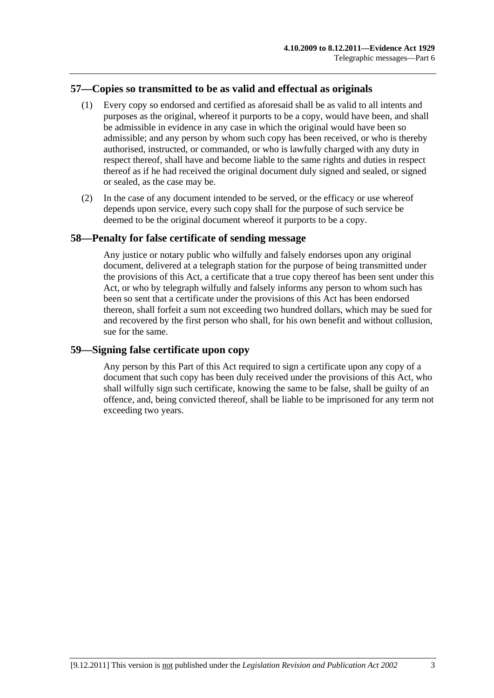### **57—Copies so transmitted to be as valid and effectual as originals**

- (1) Every copy so endorsed and certified as aforesaid shall be as valid to all intents and purposes as the original, whereof it purports to be a copy, would have been, and shall be admissible in evidence in any case in which the original would have been so admissible; and any person by whom such copy has been received, or who is thereby authorised, instructed, or commanded, or who is lawfully charged with any duty in respect thereof, shall have and become liable to the same rights and duties in respect thereof as if he had received the original document duly signed and sealed, or signed or sealed, as the case may be.
- (2) In the case of any document intended to be served, or the efficacy or use whereof depends upon service, every such copy shall for the purpose of such service be deemed to be the original document whereof it purports to be a copy.

#### **58—Penalty for false certificate of sending message**

Any justice or notary public who wilfully and falsely endorses upon any original document, delivered at a telegraph station for the purpose of being transmitted under the provisions of this Act, a certificate that a true copy thereof has been sent under this Act, or who by telegraph wilfully and falsely informs any person to whom such has been so sent that a certificate under the provisions of this Act has been endorsed thereon, shall forfeit a sum not exceeding two hundred dollars, which may be sued for and recovered by the first person who shall, for his own benefit and without collusion, sue for the same.

#### **59—Signing false certificate upon copy**

Any person by this Part of this Act required to sign a certificate upon any copy of a document that such copy has been duly received under the provisions of this Act, who shall wilfully sign such certificate, knowing the same to be false, shall be guilty of an offence, and, being convicted thereof, shall be liable to be imprisoned for any term not exceeding two years.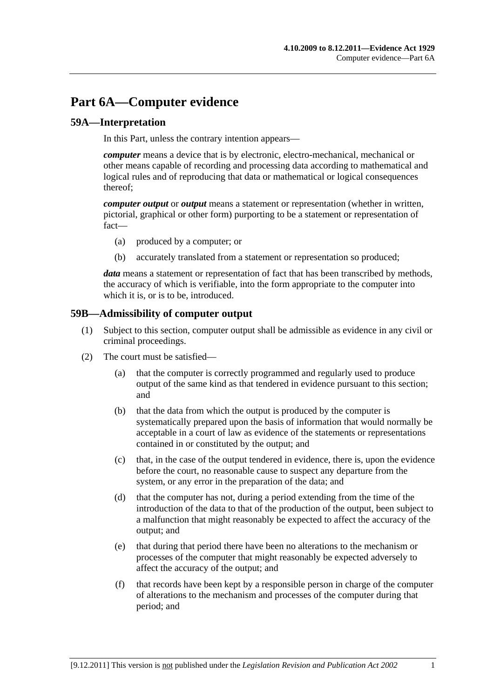# <span id="page-48-0"></span>**Part 6A—Computer evidence**

### **59A—Interpretation**

In this Part, unless the contrary intention appears—

*computer* means a device that is by electronic, electro-mechanical, mechanical or other means capable of recording and processing data according to mathematical and logical rules and of reproducing that data or mathematical or logical consequences thereof;

*computer output* or *output* means a statement or representation (whether in written, pictorial, graphical or other form) purporting to be a statement or representation of fact—

- (a) produced by a computer; or
- (b) accurately translated from a statement or representation so produced;

*data* means a statement or representation of fact that has been transcribed by methods, the accuracy of which is verifiable, into the form appropriate to the computer into which it is, or is to be, introduced.

### **59B—Admissibility of computer output**

- (1) Subject to this section, computer output shall be admissible as evidence in any civil or criminal proceedings.
- (2) The court must be satisfied—
	- (a) that the computer is correctly programmed and regularly used to produce output of the same kind as that tendered in evidence pursuant to this section; and
	- (b) that the data from which the output is produced by the computer is systematically prepared upon the basis of information that would normally be acceptable in a court of law as evidence of the statements or representations contained in or constituted by the output; and
	- (c) that, in the case of the output tendered in evidence, there is, upon the evidence before the court, no reasonable cause to suspect any departure from the system, or any error in the preparation of the data; and
	- (d) that the computer has not, during a period extending from the time of the introduction of the data to that of the production of the output, been subject to a malfunction that might reasonably be expected to affect the accuracy of the output; and
	- (e) that during that period there have been no alterations to the mechanism or processes of the computer that might reasonably be expected adversely to affect the accuracy of the output; and
	- (f) that records have been kept by a responsible person in charge of the computer of alterations to the mechanism and processes of the computer during that period; and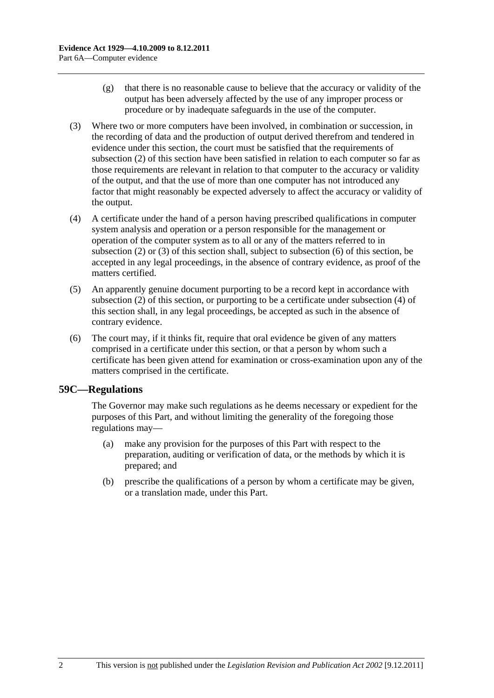- <span id="page-49-0"></span> (g) that there is no reasonable cause to believe that the accuracy or validity of the output has been adversely affected by the use of any improper process or procedure or by inadequate safeguards in the use of the computer.
- (3) Where two or more computers have been involved, in combination or succession, in the recording of data and the production of output derived therefrom and tendered in evidence under this section, the court must be satisfied that the requirements of [subsection \(2\)](#page-48-0) of this section have been satisfied in relation to each computer so far as those requirements are relevant in relation to that computer to the accuracy or validity of the output, and that the use of more than one computer has not introduced any factor that might reasonably be expected adversely to affect the accuracy or validity of the output.
- (4) A certificate under the hand of a person having prescribed qualifications in computer system analysis and operation or a person responsible for the management or operation of the computer system as to all or any of the matters referred to in [subsection \(2\)](#page-48-0) or [\(3\)](#page-49-0) of this section shall, subject to [subsection \(6\)](#page-49-0) of this section, be accepted in any legal proceedings, in the absence of contrary evidence, as proof of the matters certified.
- (5) An apparently genuine document purporting to be a record kept in accordance with [subsection \(2\)](#page-48-0) of this section, or purporting to be a certificate under [subsection \(4\)](#page-49-0) of this section shall, in any legal proceedings, be accepted as such in the absence of contrary evidence.
- (6) The court may, if it thinks fit, require that oral evidence be given of any matters comprised in a certificate under this section, or that a person by whom such a certificate has been given attend for examination or cross-examination upon any of the matters comprised in the certificate.

### **59C—Regulations**

The Governor may make such regulations as he deems necessary or expedient for the purposes of this Part, and without limiting the generality of the foregoing those regulations may—

- (a) make any provision for the purposes of this Part with respect to the preparation, auditing or verification of data, or the methods by which it is prepared; and
- (b) prescribe the qualifications of a person by whom a certificate may be given, or a translation made, under this Part.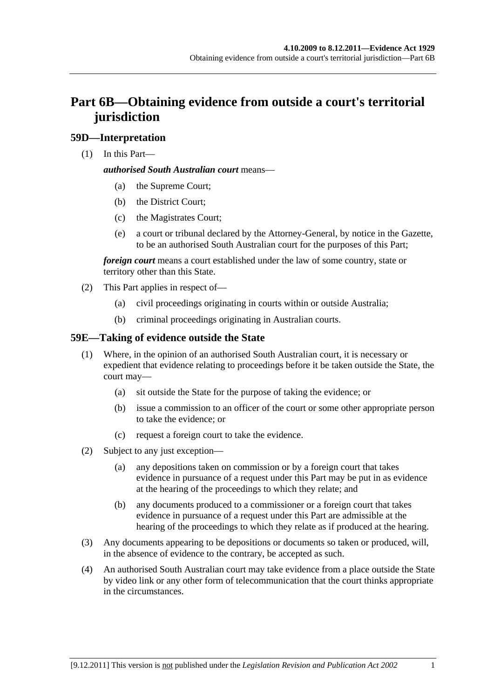# **Part 6B—Obtaining evidence from outside a court's territorial jurisdiction**

# **59D—Interpretation**

(1) In this Part—

#### *authorised South Australian court* means—

- (a) the Supreme Court;
- (b) the District Court;
- (c) the Magistrates Court;
- (e) a court or tribunal declared by the Attorney-General, by notice in the Gazette, to be an authorised South Australian court for the purposes of this Part;

*foreign court* means a court established under the law of some country, state or territory other than this State.

- (2) This Part applies in respect of—
	- (a) civil proceedings originating in courts within or outside Australia;
	- (b) criminal proceedings originating in Australian courts.

### **59E—Taking of evidence outside the State**

- (1) Where, in the opinion of an authorised South Australian court, it is necessary or expedient that evidence relating to proceedings before it be taken outside the State, the court may—
	- (a) sit outside the State for the purpose of taking the evidence; or
	- (b) issue a commission to an officer of the court or some other appropriate person to take the evidence; or
	- (c) request a foreign court to take the evidence.
- (2) Subject to any just exception—
	- (a) any depositions taken on commission or by a foreign court that takes evidence in pursuance of a request under this Part may be put in as evidence at the hearing of the proceedings to which they relate; and
	- (b) any documents produced to a commissioner or a foreign court that takes evidence in pursuance of a request under this Part are admissible at the hearing of the proceedings to which they relate as if produced at the hearing.
- (3) Any documents appearing to be depositions or documents so taken or produced, will, in the absence of evidence to the contrary, be accepted as such.
- (4) An authorised South Australian court may take evidence from a place outside the State by video link or any other form of telecommunication that the court thinks appropriate in the circumstances.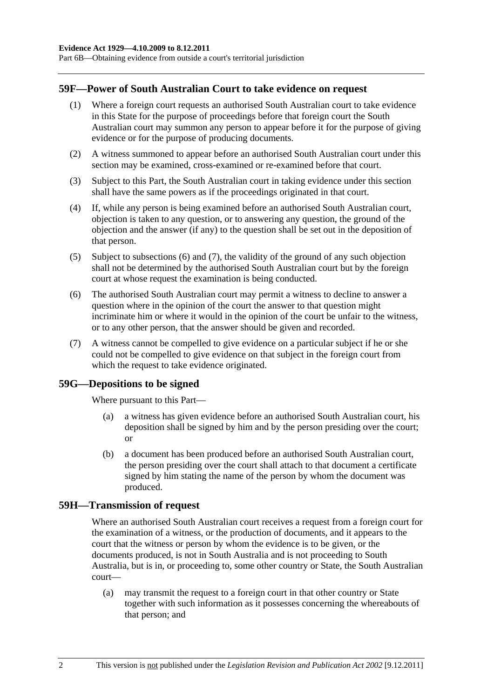<span id="page-51-0"></span>Part 6B—Obtaining evidence from outside a court's territorial jurisdiction

#### **59F—Power of South Australian Court to take evidence on request**

- (1) Where a foreign court requests an authorised South Australian court to take evidence in this State for the purpose of proceedings before that foreign court the South Australian court may summon any person to appear before it for the purpose of giving evidence or for the purpose of producing documents.
- (2) A witness summoned to appear before an authorised South Australian court under this section may be examined, cross-examined or re-examined before that court.
- (3) Subject to this Part, the South Australian court in taking evidence under this section shall have the same powers as if the proceedings originated in that court.
- (4) If, while any person is being examined before an authorised South Australian court, objection is taken to any question, or to answering any question, the ground of the objection and the answer (if any) to the question shall be set out in the deposition of that person.
- (5) Subject to [subsections \(6\)](#page-51-0) and [\(7\),](#page-51-0) the validity of the ground of any such objection shall not be determined by the authorised South Australian court but by the foreign court at whose request the examination is being conducted.
- (6) The authorised South Australian court may permit a witness to decline to answer a question where in the opinion of the court the answer to that question might incriminate him or where it would in the opinion of the court be unfair to the witness, or to any other person, that the answer should be given and recorded.
- (7) A witness cannot be compelled to give evidence on a particular subject if he or she could not be compelled to give evidence on that subject in the foreign court from which the request to take evidence originated.

#### **59G—Depositions to be signed**

Where pursuant to this Part—

- (a) a witness has given evidence before an authorised South Australian court, his deposition shall be signed by him and by the person presiding over the court; or
- (b) a document has been produced before an authorised South Australian court, the person presiding over the court shall attach to that document a certificate signed by him stating the name of the person by whom the document was produced.

#### **59H—Transmission of request**

Where an authorised South Australian court receives a request from a foreign court for the examination of a witness, or the production of documents, and it appears to the court that the witness or person by whom the evidence is to be given, or the documents produced, is not in South Australia and is not proceeding to South Australia, but is in, or proceeding to, some other country or State, the South Australian court—

 (a) may transmit the request to a foreign court in that other country or State together with such information as it possesses concerning the whereabouts of that person; and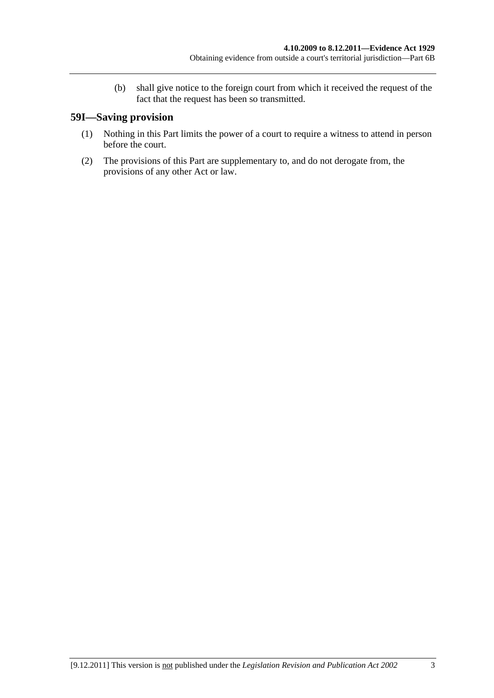(b) shall give notice to the foreign court from which it received the request of the fact that the request has been so transmitted.

# **59I—Saving provision**

- (1) Nothing in this Part limits the power of a court to require a witness to attend in person before the court.
- (2) The provisions of this Part are supplementary to, and do not derogate from, the provisions of any other Act or law.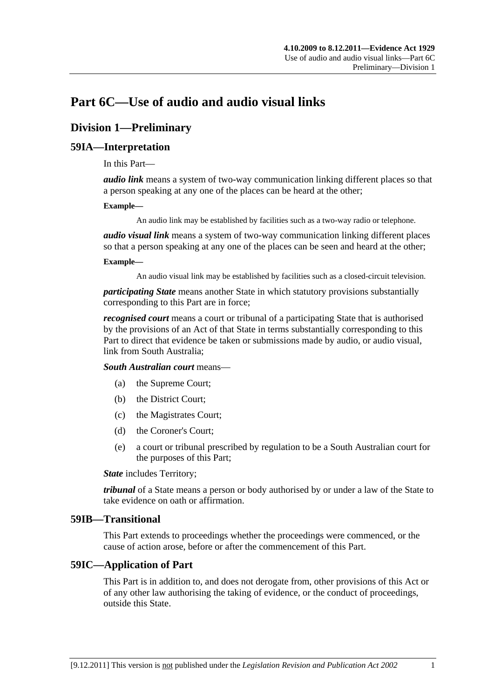# **Part 6C—Use of audio and audio visual links**

# **Division 1—Preliminary**

## **59IA—Interpretation**

In this Part—

*audio link* means a system of two-way communication linking different places so that a person speaking at any one of the places can be heard at the other;

#### **Example—**

An audio link may be established by facilities such as a two-way radio or telephone.

*audio visual link* means a system of two-way communication linking different places so that a person speaking at any one of the places can be seen and heard at the other;

#### **Example—**

An audio visual link may be established by facilities such as a closed-circuit television.

*participating State* means another State in which statutory provisions substantially corresponding to this Part are in force;

*recognised court* means a court or tribunal of a participating State that is authorised by the provisions of an Act of that State in terms substantially corresponding to this Part to direct that evidence be taken or submissions made by audio, or audio visual, link from South Australia;

*South Australian court* means—

- (a) the Supreme Court;
- (b) the District Court;
- (c) the Magistrates Court;
- (d) the Coroner's Court;
- (e) a court or tribunal prescribed by regulation to be a South Australian court for the purposes of this Part;

*State* includes Territory;

*tribunal* of a State means a person or body authorised by or under a law of the State to take evidence on oath or affirmation.

#### **59IB—Transitional**

This Part extends to proceedings whether the proceedings were commenced, or the cause of action arose, before or after the commencement of this Part.

### **59IC—Application of Part**

This Part is in addition to, and does not derogate from, other provisions of this Act or of any other law authorising the taking of evidence, or the conduct of proceedings, outside this State.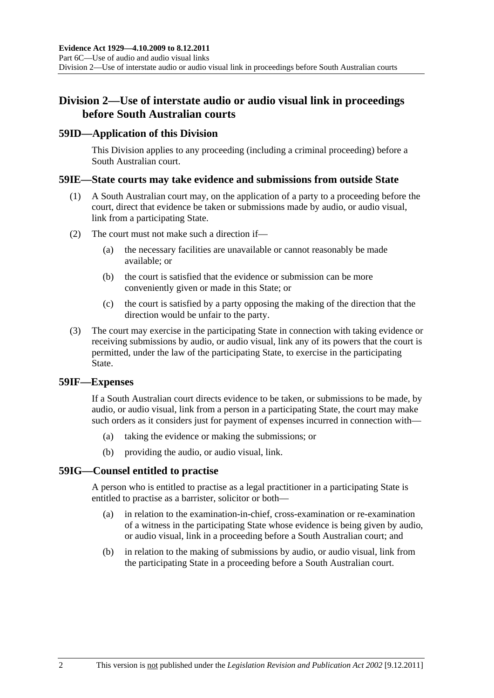# **Division 2—Use of interstate audio or audio visual link in proceedings before South Australian courts**

#### **59ID—Application of this Division**

This Division applies to any proceeding (including a criminal proceeding) before a South Australian court.

#### **59IE—State courts may take evidence and submissions from outside State**

- (1) A South Australian court may, on the application of a party to a proceeding before the court, direct that evidence be taken or submissions made by audio, or audio visual, link from a participating State.
- (2) The court must not make such a direction if—
	- (a) the necessary facilities are unavailable or cannot reasonably be made available; or
	- (b) the court is satisfied that the evidence or submission can be more conveniently given or made in this State; or
	- (c) the court is satisfied by a party opposing the making of the direction that the direction would be unfair to the party.
- (3) The court may exercise in the participating State in connection with taking evidence or receiving submissions by audio, or audio visual, link any of its powers that the court is permitted, under the law of the participating State, to exercise in the participating State.

#### **59IF—Expenses**

If a South Australian court directs evidence to be taken, or submissions to be made, by audio, or audio visual, link from a person in a participating State, the court may make such orders as it considers just for payment of expenses incurred in connection with—

- (a) taking the evidence or making the submissions; or
- (b) providing the audio, or audio visual, link.

### **59IG—Counsel entitled to practise**

A person who is entitled to practise as a legal practitioner in a participating State is entitled to practise as a barrister, solicitor or both—

- (a) in relation to the examination-in-chief, cross-examination or re-examination of a witness in the participating State whose evidence is being given by audio, or audio visual, link in a proceeding before a South Australian court; and
- (b) in relation to the making of submissions by audio, or audio visual, link from the participating State in a proceeding before a South Australian court.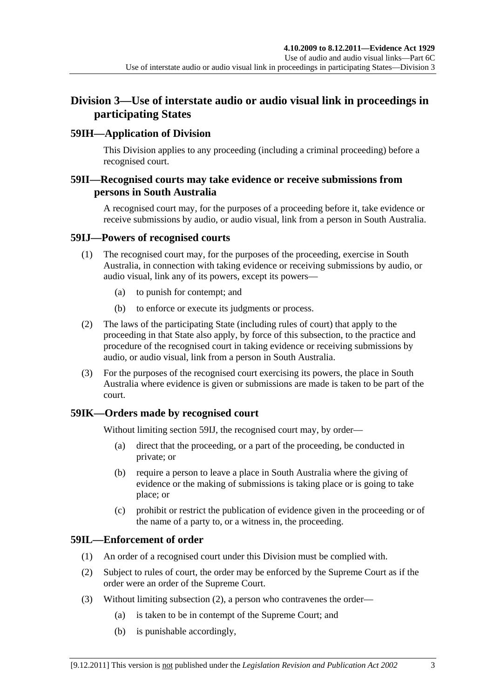# <span id="page-56-0"></span>**Division 3—Use of interstate audio or audio visual link in proceedings in participating States**

## **59IH—Application of Division**

This Division applies to any proceeding (including a criminal proceeding) before a recognised court.

### **59II—Recognised courts may take evidence or receive submissions from persons in South Australia**

A recognised court may, for the purposes of a proceeding before it, take evidence or receive submissions by audio, or audio visual, link from a person in South Australia.

#### **59IJ—Powers of recognised courts**

- (1) The recognised court may, for the purposes of the proceeding, exercise in South Australia, in connection with taking evidence or receiving submissions by audio, or audio visual, link any of its powers, except its powers—
	- (a) to punish for contempt; and
	- (b) to enforce or execute its judgments or process.
- (2) The laws of the participating State (including rules of court) that apply to the proceeding in that State also apply, by force of this subsection, to the practice and procedure of the recognised court in taking evidence or receiving submissions by audio, or audio visual, link from a person in South Australia.
- (3) For the purposes of the recognised court exercising its powers, the place in South Australia where evidence is given or submissions are made is taken to be part of the court.

### **59IK—Orders made by recognised court**

Without limiting [section 59IJ,](#page-56-0) the recognised court may, by order—

- (a) direct that the proceeding, or a part of the proceeding, be conducted in private; or
- (b) require a person to leave a place in South Australia where the giving of evidence or the making of submissions is taking place or is going to take place; or
- (c) prohibit or restrict the publication of evidence given in the proceeding or of the name of a party to, or a witness in, the proceeding.

### **59IL—Enforcement of order**

- (1) An order of a recognised court under this Division must be complied with.
- (2) Subject to rules of court, the order may be enforced by the Supreme Court as if the order were an order of the Supreme Court.
- (3) Without limiting [subsection \(2\),](#page-56-0) a person who contravenes the order—
	- (a) is taken to be in contempt of the Supreme Court; and
	- (b) is punishable accordingly,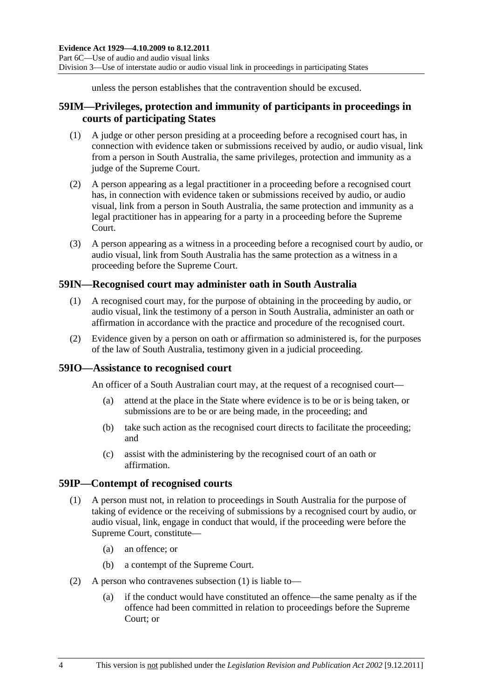unless the person establishes that the contravention should be excused.

# <span id="page-57-0"></span>**59IM—Privileges, protection and immunity of participants in proceedings in courts of participating States**

- (1) A judge or other person presiding at a proceeding before a recognised court has, in connection with evidence taken or submissions received by audio, or audio visual, link from a person in South Australia, the same privileges, protection and immunity as a judge of the Supreme Court.
- (2) A person appearing as a legal practitioner in a proceeding before a recognised court has, in connection with evidence taken or submissions received by audio, or audio visual, link from a person in South Australia, the same protection and immunity as a legal practitioner has in appearing for a party in a proceeding before the Supreme Court.
- (3) A person appearing as a witness in a proceeding before a recognised court by audio, or audio visual, link from South Australia has the same protection as a witness in a proceeding before the Supreme Court.

## **59IN—Recognised court may administer oath in South Australia**

- (1) A recognised court may, for the purpose of obtaining in the proceeding by audio, or audio visual, link the testimony of a person in South Australia, administer an oath or affirmation in accordance with the practice and procedure of the recognised court.
- (2) Evidence given by a person on oath or affirmation so administered is, for the purposes of the law of South Australia, testimony given in a judicial proceeding.

### **59IO—Assistance to recognised court**

An officer of a South Australian court may, at the request of a recognised court—

- (a) attend at the place in the State where evidence is to be or is being taken, or submissions are to be or are being made, in the proceeding; and
- (b) take such action as the recognised court directs to facilitate the proceeding; and
- (c) assist with the administering by the recognised court of an oath or affirmation.

#### **59IP—Contempt of recognised courts**

- (1) A person must not, in relation to proceedings in South Australia for the purpose of taking of evidence or the receiving of submissions by a recognised court by audio, or audio visual, link, engage in conduct that would, if the proceeding were before the Supreme Court, constitute—
	- (a) an offence; or
	- (b) a contempt of the Supreme Court.
- (2) A person who contravenes [subsection \(1\)](#page-57-0) is liable to—
	- (a) if the conduct would have constituted an offence—the same penalty as if the offence had been committed in relation to proceedings before the Supreme Court; or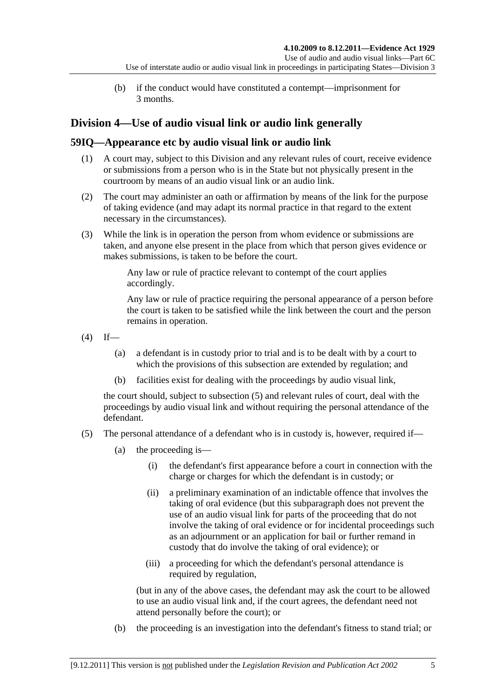(b) if the conduct would have constituted a contempt—imprisonment for 3 months.

# <span id="page-58-0"></span>**Division 4—Use of audio visual link or audio link generally**

# **59IQ—Appearance etc by audio visual link or audio link**

- (1) A court may, subject to this Division and any relevant rules of court, receive evidence or submissions from a person who is in the State but not physically present in the courtroom by means of an audio visual link or an audio link.
- (2) The court may administer an oath or affirmation by means of the link for the purpose of taking evidence (and may adapt its normal practice in that regard to the extent necessary in the circumstances).
- (3) While the link is in operation the person from whom evidence or submissions are taken, and anyone else present in the place from which that person gives evidence or makes submissions, is taken to be before the court.

Any law or rule of practice relevant to contempt of the court applies accordingly.

Any law or rule of practice requiring the personal appearance of a person before the court is taken to be satisfied while the link between the court and the person remains in operation.

- $(4)$  If—
	- (a) a defendant is in custody prior to trial and is to be dealt with by a court to which the provisions of this subsection are extended by regulation; and
	- (b) facilities exist for dealing with the proceedings by audio visual link,

the court should, subject to [subsection \(5\)](#page-58-0) and relevant rules of court, deal with the proceedings by audio visual link and without requiring the personal attendance of the defendant.

- (5) The personal attendance of a defendant who is in custody is, however, required if—
	- (a) the proceeding is—
		- (i) the defendant's first appearance before a court in connection with the charge or charges for which the defendant is in custody; or
		- (ii) a preliminary examination of an indictable offence that involves the taking of oral evidence (but this subparagraph does not prevent the use of an audio visual link for parts of the proceeding that do not involve the taking of oral evidence or for incidental proceedings such as an adjournment or an application for bail or further remand in custody that do involve the taking of oral evidence); or
		- (iii) a proceeding for which the defendant's personal attendance is required by regulation,

(but in any of the above cases, the defendant may ask the court to be allowed to use an audio visual link and, if the court agrees, the defendant need not attend personally before the court); or

(b) the proceeding is an investigation into the defendant's fitness to stand trial; or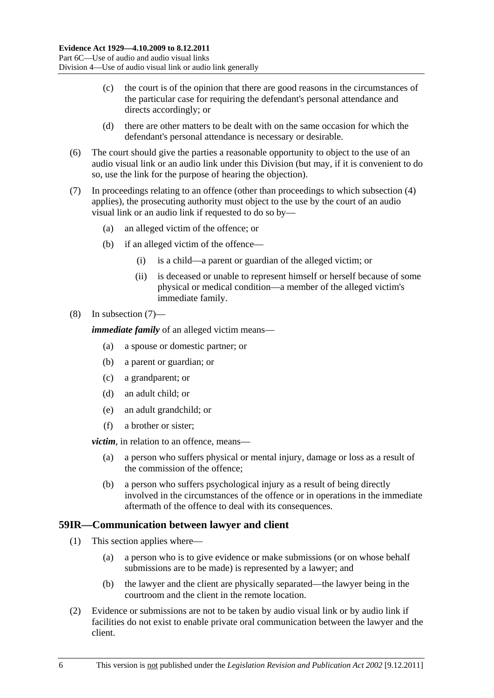- <span id="page-59-0"></span> (c) the court is of the opinion that there are good reasons in the circumstances of the particular case for requiring the defendant's personal attendance and directs accordingly; or
- (d) there are other matters to be dealt with on the same occasion for which the defendant's personal attendance is necessary or desirable.
- (6) The court should give the parties a reasonable opportunity to object to the use of an audio visual link or an audio link under this Division (but may, if it is convenient to do so, use the link for the purpose of hearing the objection).
- (7) In proceedings relating to an offence (other than proceedings to which [subsection \(4\)](#page-58-0) applies), the prosecuting authority must object to the use by the court of an audio visual link or an audio link if requested to do so by—
	- (a) an alleged victim of the offence; or
	- (b) if an alleged victim of the offence—
		- (i) is a child—a parent or guardian of the alleged victim; or
		- (ii) is deceased or unable to represent himself or herself because of some physical or medical condition—a member of the alleged victim's immediate family.

#### (8) In [subsection \(7\)—](#page-59-0)

*immediate family* of an alleged victim means—

- (a) a spouse or domestic partner; or
- (b) a parent or guardian; or
- (c) a grandparent; or
- (d) an adult child; or
- (e) an adult grandchild; or
- (f) a brother or sister;

*victim*, in relation to an offence, means—

- (a) a person who suffers physical or mental injury, damage or loss as a result of the commission of the offence;
- (b) a person who suffers psychological injury as a result of being directly involved in the circumstances of the offence or in operations in the immediate aftermath of the offence to deal with its consequences.

#### **59IR—Communication between lawyer and client**

- (1) This section applies where—
	- (a) a person who is to give evidence or make submissions (or on whose behalf submissions are to be made) is represented by a lawyer; and
	- (b) the lawyer and the client are physically separated—the lawyer being in the courtroom and the client in the remote location.
- (2) Evidence or submissions are not to be taken by audio visual link or by audio link if facilities do not exist to enable private oral communication between the lawyer and the client.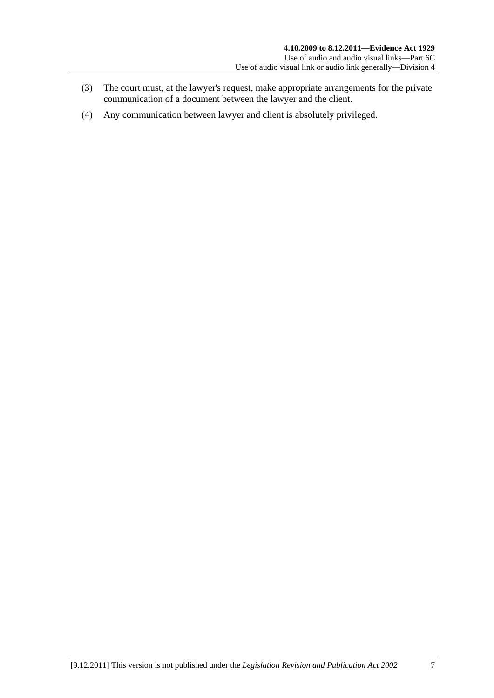- (3) The court must, at the lawyer's request, make appropriate arrangements for the private communication of a document between the lawyer and the client.
- (4) Any communication between lawyer and client is absolutely privileged.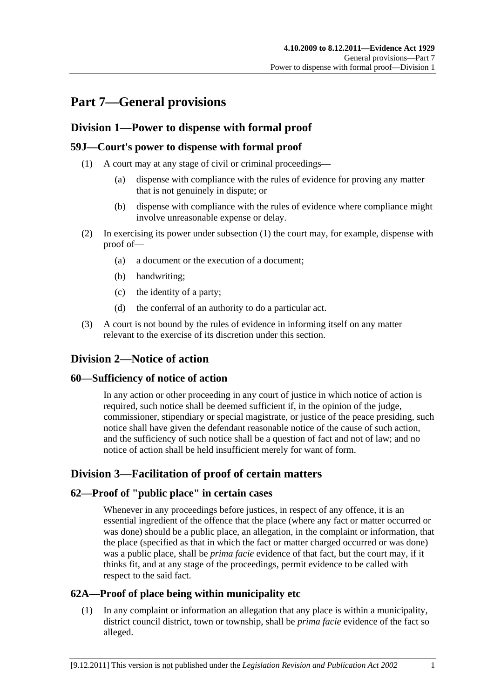# <span id="page-62-0"></span>**Part 7—General provisions**

# **Division 1—Power to dispense with formal proof**

## **59J—Court's power to dispense with formal proof**

- (1) A court may at any stage of civil or criminal proceedings—
	- (a) dispense with compliance with the rules of evidence for proving any matter that is not genuinely in dispute; or
	- (b) dispense with compliance with the rules of evidence where compliance might involve unreasonable expense or delay.
- (2) In exercising its power under [subsection \(1\)](#page-62-0) the court may, for example, dispense with proof of—
	- (a) a document or the execution of a document;
	- (b) handwriting;
	- (c) the identity of a party;
	- (d) the conferral of an authority to do a particular act.
- (3) A court is not bound by the rules of evidence in informing itself on any matter relevant to the exercise of its discretion under this section.

# **Division 2—Notice of action**

### **60—Sufficiency of notice of action**

In any action or other proceeding in any court of justice in which notice of action is required, such notice shall be deemed sufficient if, in the opinion of the judge, commissioner, stipendiary or special magistrate, or justice of the peace presiding, such notice shall have given the defendant reasonable notice of the cause of such action, and the sufficiency of such notice shall be a question of fact and not of law; and no notice of action shall be held insufficient merely for want of form.

# **Division 3—Facilitation of proof of certain matters**

### **62—Proof of "public place" in certain cases**

Whenever in any proceedings before justices, in respect of any offence, it is an essential ingredient of the offence that the place (where any fact or matter occurred or was done) should be a public place, an allegation, in the complaint or information, that the place (specified as that in which the fact or matter charged occurred or was done) was a public place, shall be *prima facie* evidence of that fact, but the court may, if it thinks fit, and at any stage of the proceedings, permit evidence to be called with respect to the said fact.

# **62A—Proof of place being within municipality etc**

 (1) In any complaint or information an allegation that any place is within a municipality, district council district, town or township, shall be *prima facie* evidence of the fact so alleged.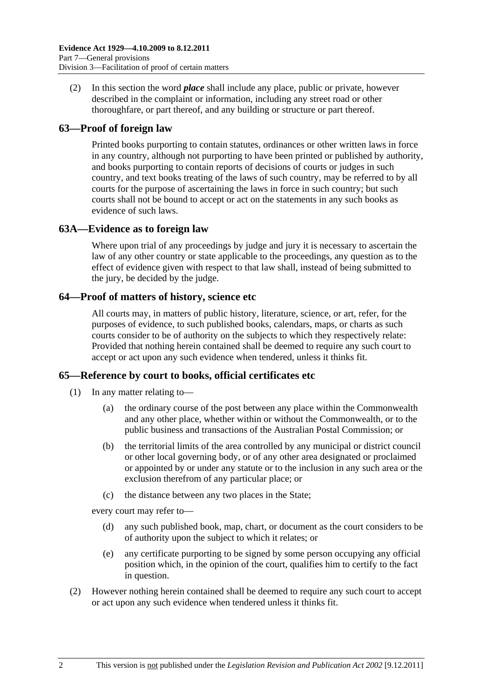(2) In this section the word *place* shall include any place, public or private, however described in the complaint or information, including any street road or other thoroughfare, or part thereof, and any building or structure or part thereof.

## **63—Proof of foreign law**

Printed books purporting to contain statutes, ordinances or other written laws in force in any country, although not purporting to have been printed or published by authority, and books purporting to contain reports of decisions of courts or judges in such country, and text books treating of the laws of such country, may be referred to by all courts for the purpose of ascertaining the laws in force in such country; but such courts shall not be bound to accept or act on the statements in any such books as evidence of such laws.

### **63A—Evidence as to foreign law**

Where upon trial of any proceedings by judge and jury it is necessary to ascertain the law of any other country or state applicable to the proceedings, any question as to the effect of evidence given with respect to that law shall, instead of being submitted to the jury, be decided by the judge.

### **64—Proof of matters of history, science etc**

All courts may, in matters of public history, literature, science, or art, refer, for the purposes of evidence, to such published books, calendars, maps, or charts as such courts consider to be of authority on the subjects to which they respectively relate: Provided that nothing herein contained shall be deemed to require any such court to accept or act upon any such evidence when tendered, unless it thinks fit.

### **65—Reference by court to books, official certificates etc**

- (1) In any matter relating to—
	- (a) the ordinary course of the post between any place within the Commonwealth and any other place, whether within or without the Commonwealth, or to the public business and transactions of the Australian Postal Commission; or
	- (b) the territorial limits of the area controlled by any municipal or district council or other local governing body, or of any other area designated or proclaimed or appointed by or under any statute or to the inclusion in any such area or the exclusion therefrom of any particular place; or
	- (c) the distance between any two places in the State;

every court may refer to—

- (d) any such published book, map, chart, or document as the court considers to be of authority upon the subject to which it relates; or
- (e) any certificate purporting to be signed by some person occupying any official position which, in the opinion of the court, qualifies him to certify to the fact in question.
- (2) However nothing herein contained shall be deemed to require any such court to accept or act upon any such evidence when tendered unless it thinks fit.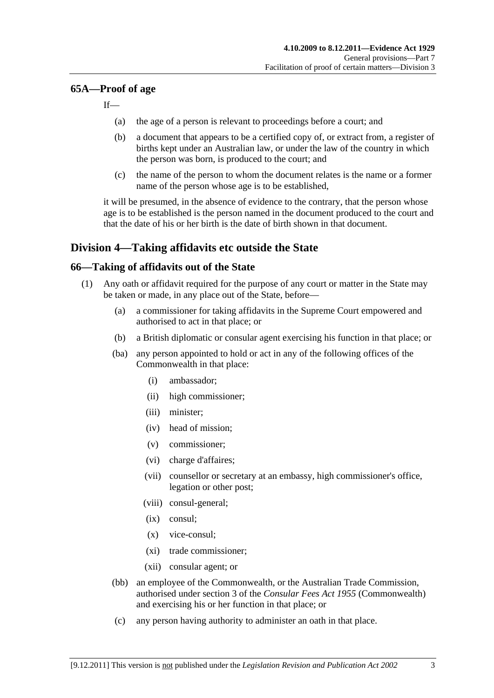### <span id="page-64-0"></span>**65A—Proof of age**

If—

- (a) the age of a person is relevant to proceedings before a court; and
- (b) a document that appears to be a certified copy of, or extract from, a register of births kept under an Australian law, or under the law of the country in which the person was born, is produced to the court; and
- (c) the name of the person to whom the document relates is the name or a former name of the person whose age is to be established,

it will be presumed, in the absence of evidence to the contrary, that the person whose age is to be established is the person named in the document produced to the court and that the date of his or her birth is the date of birth shown in that document.

# **Division 4—Taking affidavits etc outside the State**

### **66—Taking of affidavits out of the State**

- (1) Any oath or affidavit required for the purpose of any court or matter in the State may be taken or made, in any place out of the State, before—
	- (a) a commissioner for taking affidavits in the Supreme Court empowered and authorised to act in that place; or
	- (b) a British diplomatic or consular agent exercising his function in that place; or
	- (ba) any person appointed to hold or act in any of the following offices of the Commonwealth in that place:
		- (i) ambassador;
		- (ii) high commissioner;
		- (iii) minister;
		- (iv) head of mission;
		- (v) commissioner;
		- (vi) charge d'affaires;
		- (vii) counsellor or secretary at an embassy, high commissioner's office, legation or other post;
		- (viii) consul-general;
		- (ix) consul;
		- (x) vice-consul;
		- (xi) trade commissioner;
		- (xii) consular agent; or
	- (bb) an employee of the Commonwealth, or the Australian Trade Commission, authorised under section 3 of the *Consular Fees Act 1955* (Commonwealth) and exercising his or her function in that place; or
	- (c) any person having authority to administer an oath in that place.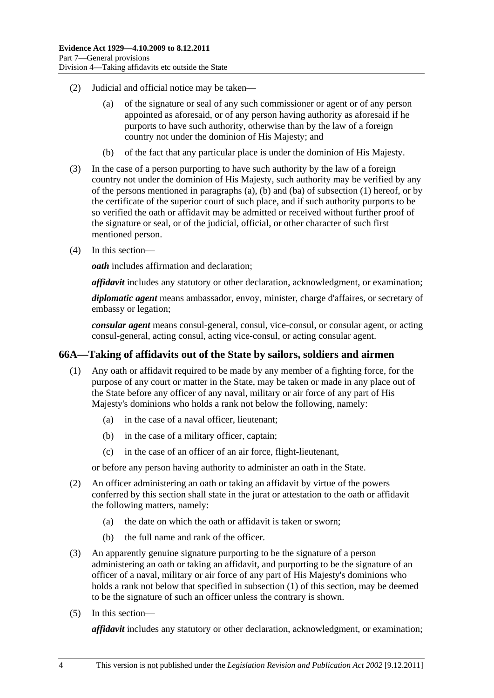- <span id="page-65-0"></span> (2) Judicial and official notice may be taken—
	- (a) of the signature or seal of any such commissioner or agent or of any person appointed as aforesaid, or of any person having authority as aforesaid if he purports to have such authority, otherwise than by the law of a foreign country not under the dominion of His Majesty; and
	- (b) of the fact that any particular place is under the dominion of His Majesty.
- (3) In the case of a person purporting to have such authority by the law of a foreign country not under the dominion of His Majesty, such authority may be verified by any of the persons mentioned in [paragraphs \(a\)](#page-64-0), [\(b\)](#page-64-0) and [\(ba\)](#page-64-0) of [subsection \(1\)](#page-64-0) hereof, or by the certificate of the superior court of such place, and if such authority purports to be so verified the oath or affidavit may be admitted or received without further proof of the signature or seal, or of the judicial, official, or other character of such first mentioned person.
- (4) In this section—

*oath* includes affirmation and declaration;

*affidavit* includes any statutory or other declaration, acknowledgment, or examination;

*diplomatic agent* means ambassador, envoy, minister, charge d'affaires, or secretary of embassy or legation;

*consular agent* means consul-general, consul, vice-consul, or consular agent, or acting consul-general, acting consul, acting vice-consul, or acting consular agent.

### **66A—Taking of affidavits out of the State by sailors, soldiers and airmen**

- (1) Any oath or affidavit required to be made by any member of a fighting force, for the purpose of any court or matter in the State, may be taken or made in any place out of the State before any officer of any naval, military or air force of any part of His Majesty's dominions who holds a rank not below the following, namely:
	- (a) in the case of a naval officer, lieutenant;
	- (b) in the case of a military officer, captain;
	- (c) in the case of an officer of an air force, flight-lieutenant,

or before any person having authority to administer an oath in the State.

- (2) An officer administering an oath or taking an affidavit by virtue of the powers conferred by this section shall state in the jurat or attestation to the oath or affidavit the following matters, namely:
	- (a) the date on which the oath or affidavit is taken or sworn;
	- (b) the full name and rank of the officer.
- (3) An apparently genuine signature purporting to be the signature of a person administering an oath or taking an affidavit, and purporting to be the signature of an officer of a naval, military or air force of any part of His Majesty's dominions who holds a rank not below that specified in [subsection \(1\)](#page-65-0) of this section, may be deemed to be the signature of such an officer unless the contrary is shown.
- (5) In this section—

*affidavit* includes any statutory or other declaration, acknowledgment, or examination;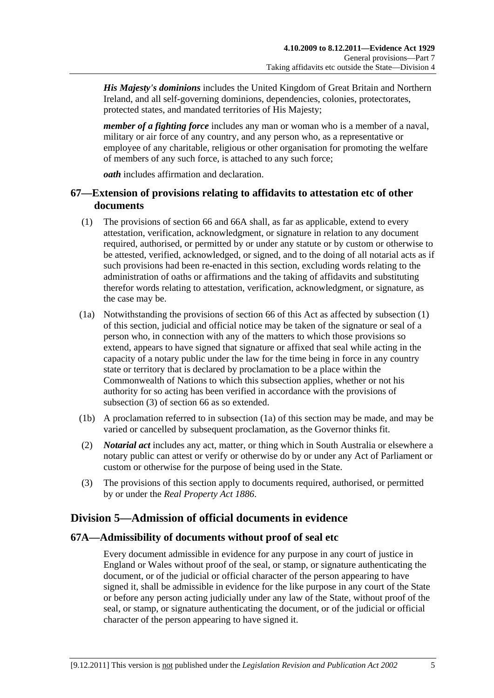<span id="page-66-0"></span>*His Majesty's dominions* includes the United Kingdom of Great Britain and Northern Ireland, and all self-governing dominions, dependencies, colonies, protectorates, protected states, and mandated territories of His Majesty;

*member of a fighting force* includes any man or woman who is a member of a naval, military or air force of any country, and any person who, as a representative or employee of any charitable, religious or other organisation for promoting the welfare of members of any such force, is attached to any such force;

*oath* includes affirmation and declaration.

## **67—Extension of provisions relating to affidavits to attestation etc of other documents**

- (1) The provisions of [section 66](#page-64-0) and [66A](#page-65-0) shall, as far as applicable, extend to every attestation, verification, acknowledgment, or signature in relation to any document required, authorised, or permitted by or under any statute or by custom or otherwise to be attested, verified, acknowledged, or signed, and to the doing of all notarial acts as if such provisions had been re-enacted in this section, excluding words relating to the administration of oaths or affirmations and the taking of affidavits and substituting therefor words relating to attestation, verification, acknowledgment, or signature, as the case may be.
- (1a) Notwithstanding the provisions of [section 66](#page-64-0) of this Act as affected by [subsection \(1\)](#page-66-0) of this section, judicial and official notice may be taken of the signature or seal of a person who, in connection with any of the matters to which those provisions so extend, appears to have signed that signature or affixed that seal while acting in the capacity of a notary public under the law for the time being in force in any country state or territory that is declared by proclamation to be a place within the Commonwealth of Nations to which this subsection applies, whether or not his authority for so acting has been verified in accordance with the provisions of [subsection \(3\)](#page-66-0) of [section 66](#page-64-0) as so extended.
- (1b) A proclamation referred to in [subsection \(1a\)](#page-66-0) of this section may be made, and may be varied or cancelled by subsequent proclamation, as the Governor thinks fit.
- (2) *Notarial act* includes any act, matter, or thing which in South Australia or elsewhere a notary public can attest or verify or otherwise do by or under any Act of Parliament or custom or otherwise for the purpose of being used in the State.
- (3) The provisions of this section apply to documents required, authorised, or permitted by or under the *[Real Property Act 1886](http://www.legislation.sa.gov.au/index.aspx?action=legref&type=act&legtitle=Real%20Property%20Act%201886)*.

# **Division 5—Admission of official documents in evidence**

### **67A—Admissibility of documents without proof of seal etc**

Every document admissible in evidence for any purpose in any court of justice in England or Wales without proof of the seal, or stamp, or signature authenticating the document, or of the judicial or official character of the person appearing to have signed it, shall be admissible in evidence for the like purpose in any court of the State or before any person acting judicially under any law of the State, without proof of the seal, or stamp, or signature authenticating the document, or of the judicial or official character of the person appearing to have signed it.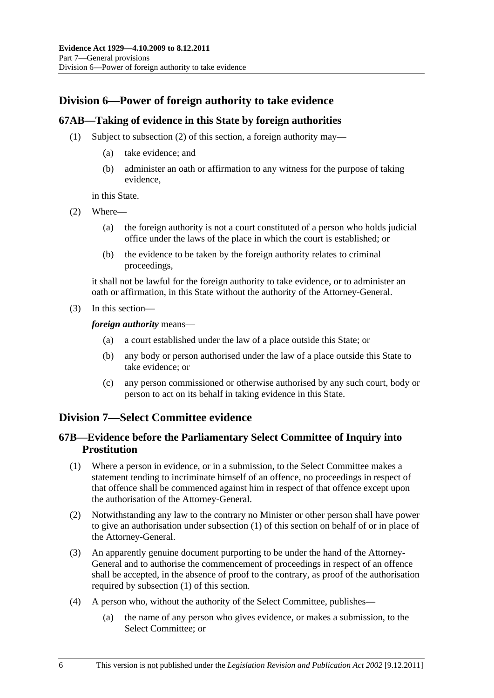# <span id="page-67-0"></span>**Division 6—Power of foreign authority to take evidence**

### **67AB—Taking of evidence in this State by foreign authorities**

- (1) Subject to [subsection \(2\)](#page-67-0) of this section, a foreign authority may—
	- (a) take evidence; and
	- (b) administer an oath or affirmation to any witness for the purpose of taking evidence,

in this State.

- (2) Where—
	- (a) the foreign authority is not a court constituted of a person who holds judicial office under the laws of the place in which the court is established; or
	- (b) the evidence to be taken by the foreign authority relates to criminal proceedings,

it shall not be lawful for the foreign authority to take evidence, or to administer an oath or affirmation, in this State without the authority of the Attorney-General.

(3) In this section—

*foreign authority* means—

- (a) a court established under the law of a place outside this State; or
- (b) any body or person authorised under the law of a place outside this State to take evidence; or
- (c) any person commissioned or otherwise authorised by any such court, body or person to act on its behalf in taking evidence in this State.

# **Division 7—Select Committee evidence**

## **67B—Evidence before the Parliamentary Select Committee of Inquiry into Prostitution**

- (1) Where a person in evidence, or in a submission, to the Select Committee makes a statement tending to incriminate himself of an offence, no proceedings in respect of that offence shall be commenced against him in respect of that offence except upon the authorisation of the Attorney-General.
- (2) Notwithstanding any law to the contrary no Minister or other person shall have power to give an authorisation under [subsection \(1\)](#page-67-0) of this section on behalf of or in place of the Attorney-General.
- (3) An apparently genuine document purporting to be under the hand of the Attorney-General and to authorise the commencement of proceedings in respect of an offence shall be accepted, in the absence of proof to the contrary, as proof of the authorisation required by [subsection \(1\)](#page-67-0) of this section.
- (4) A person who, without the authority of the Select Committee, publishes—
	- (a) the name of any person who gives evidence, or makes a submission, to the Select Committee; or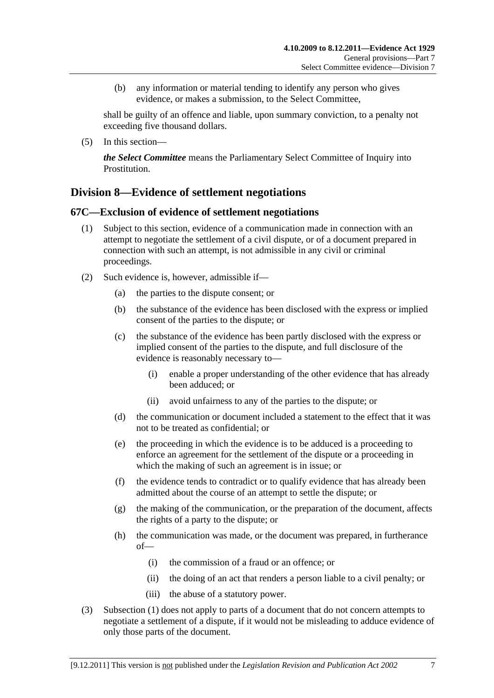<span id="page-68-0"></span> (b) any information or material tending to identify any person who gives evidence, or makes a submission, to the Select Committee,

shall be guilty of an offence and liable, upon summary conviction, to a penalty not exceeding five thousand dollars.

(5) In this section—

*the Select Committee* means the Parliamentary Select Committee of Inquiry into Prostitution.

# **Division 8—Evidence of settlement negotiations**

### **67C—Exclusion of evidence of settlement negotiations**

- (1) Subject to this section, evidence of a communication made in connection with an attempt to negotiate the settlement of a civil dispute, or of a document prepared in connection with such an attempt, is not admissible in any civil or criminal proceedings.
- (2) Such evidence is, however, admissible if—
	- (a) the parties to the dispute consent; or
	- (b) the substance of the evidence has been disclosed with the express or implied consent of the parties to the dispute; or
	- (c) the substance of the evidence has been partly disclosed with the express or implied consent of the parties to the dispute, and full disclosure of the evidence is reasonably necessary to—
		- (i) enable a proper understanding of the other evidence that has already been adduced; or
		- (ii) avoid unfairness to any of the parties to the dispute; or
	- (d) the communication or document included a statement to the effect that it was not to be treated as confidential; or
	- (e) the proceeding in which the evidence is to be adduced is a proceeding to enforce an agreement for the settlement of the dispute or a proceeding in which the making of such an agreement is in issue; or
	- (f) the evidence tends to contradict or to qualify evidence that has already been admitted about the course of an attempt to settle the dispute; or
	- (g) the making of the communication, or the preparation of the document, affects the rights of a party to the dispute; or
	- (h) the communication was made, or the document was prepared, in furtherance of—
		- (i) the commission of a fraud or an offence; or
		- (ii) the doing of an act that renders a person liable to a civil penalty; or
		- (iii) the abuse of a statutory power.
- (3) [Subsection \(1\)](#page-68-0) does not apply to parts of a document that do not concern attempts to negotiate a settlement of a dispute, if it would not be misleading to adduce evidence of only those parts of the document.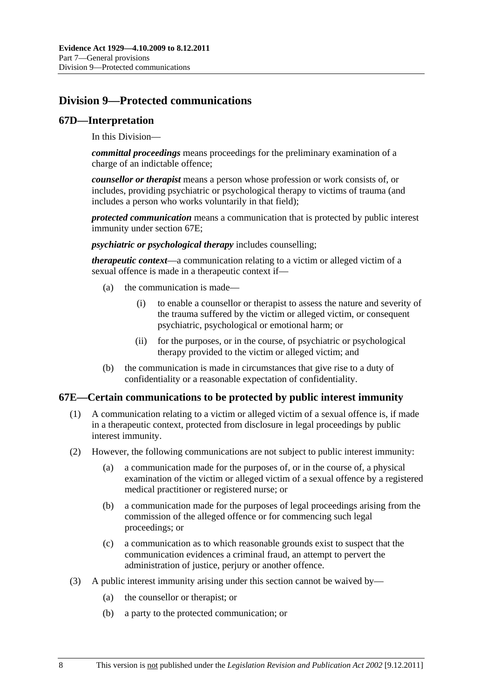# <span id="page-69-0"></span>**Division 9—Protected communications**

#### **67D—Interpretation**

In this Division—

*committal proceedings* means proceedings for the preliminary examination of a charge of an indictable offence;

*counsellor or therapist* means a person whose profession or work consists of, or includes, providing psychiatric or psychological therapy to victims of trauma (and includes a person who works voluntarily in that field);

*protected communication* means a communication that is protected by public interest immunity under [section 67E](#page-69-0);

*psychiatric or psychological therapy* includes counselling;

*therapeutic context*—a communication relating to a victim or alleged victim of a sexual offence is made in a therapeutic context if—

- (a) the communication is made—
	- (i) to enable a counsellor or therapist to assess the nature and severity of the trauma suffered by the victim or alleged victim, or consequent psychiatric, psychological or emotional harm; or
	- (ii) for the purposes, or in the course, of psychiatric or psychological therapy provided to the victim or alleged victim; and
- (b) the communication is made in circumstances that give rise to a duty of confidentiality or a reasonable expectation of confidentiality.

### **67E—Certain communications to be protected by public interest immunity**

- (1) A communication relating to a victim or alleged victim of a sexual offence is, if made in a therapeutic context, protected from disclosure in legal proceedings by public interest immunity.
- (2) However, the following communications are not subject to public interest immunity:
	- (a) a communication made for the purposes of, or in the course of, a physical examination of the victim or alleged victim of a sexual offence by a registered medical practitioner or registered nurse; or
	- (b) a communication made for the purposes of legal proceedings arising from the commission of the alleged offence or for commencing such legal proceedings; or
	- (c) a communication as to which reasonable grounds exist to suspect that the communication evidences a criminal fraud, an attempt to pervert the administration of justice, perjury or another offence.
- (3) A public interest immunity arising under this section cannot be waived by—
	- (a) the counsellor or therapist; or
	- (b) a party to the protected communication; or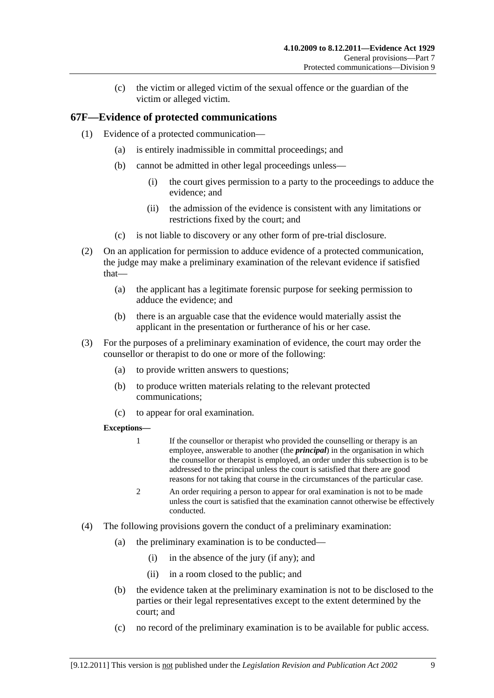(c) the victim or alleged victim of the sexual offence or the guardian of the victim or alleged victim.

# **67F—Evidence of protected communications**

- (1) Evidence of a protected communication—
	- (a) is entirely inadmissible in committal proceedings; and
	- (b) cannot be admitted in other legal proceedings unless—
		- (i) the court gives permission to a party to the proceedings to adduce the evidence; and
		- (ii) the admission of the evidence is consistent with any limitations or restrictions fixed by the court; and
	- (c) is not liable to discovery or any other form of pre-trial disclosure.
- (2) On an application for permission to adduce evidence of a protected communication, the judge may make a preliminary examination of the relevant evidence if satisfied that—
	- (a) the applicant has a legitimate forensic purpose for seeking permission to adduce the evidence; and
	- (b) there is an arguable case that the evidence would materially assist the applicant in the presentation or furtherance of his or her case.
- (3) For the purposes of a preliminary examination of evidence, the court may order the counsellor or therapist to do one or more of the following:
	- (a) to provide written answers to questions;
	- (b) to produce written materials relating to the relevant protected communications;
	- (c) to appear for oral examination.

#### **Exceptions—**

- 1 If the counsellor or therapist who provided the counselling or therapy is an employee, answerable to another (the *principal*) in the organisation in which the counsellor or therapist is employed, an order under this subsection is to be addressed to the principal unless the court is satisfied that there are good reasons for not taking that course in the circumstances of the particular case.
- 2 An order requiring a person to appear for oral examination is not to be made unless the court is satisfied that the examination cannot otherwise be effectively conducted.
- (4) The following provisions govern the conduct of a preliminary examination:
	- (a) the preliminary examination is to be conducted—
		- (i) in the absence of the jury (if any); and
		- (ii) in a room closed to the public; and
	- (b) the evidence taken at the preliminary examination is not to be disclosed to the parties or their legal representatives except to the extent determined by the court; and
	- (c) no record of the preliminary examination is to be available for public access.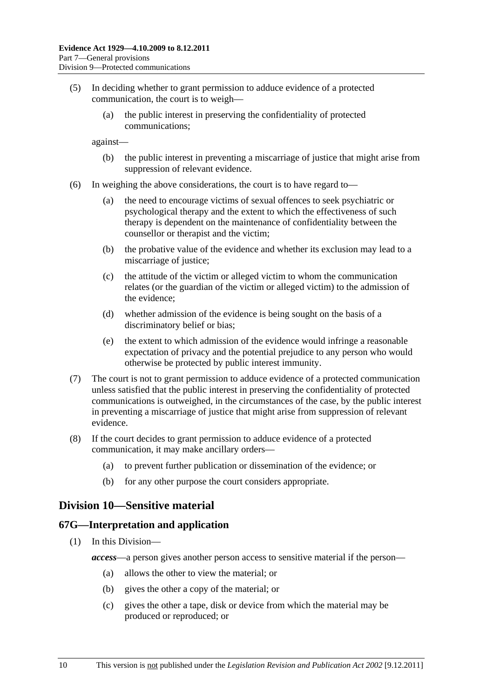- (5) In deciding whether to grant permission to adduce evidence of a protected communication, the court is to weigh—
	- (a) the public interest in preserving the confidentiality of protected communications;

against—

- (b) the public interest in preventing a miscarriage of justice that might arise from suppression of relevant evidence.
- (6) In weighing the above considerations, the court is to have regard to—
	- (a) the need to encourage victims of sexual offences to seek psychiatric or psychological therapy and the extent to which the effectiveness of such therapy is dependent on the maintenance of confidentiality between the counsellor or therapist and the victim;
	- (b) the probative value of the evidence and whether its exclusion may lead to a miscarriage of justice;
	- (c) the attitude of the victim or alleged victim to whom the communication relates (or the guardian of the victim or alleged victim) to the admission of the evidence;
	- (d) whether admission of the evidence is being sought on the basis of a discriminatory belief or bias;
	- (e) the extent to which admission of the evidence would infringe a reasonable expectation of privacy and the potential prejudice to any person who would otherwise be protected by public interest immunity.
- (7) The court is not to grant permission to adduce evidence of a protected communication unless satisfied that the public interest in preserving the confidentiality of protected communications is outweighed, in the circumstances of the case, by the public interest in preventing a miscarriage of justice that might arise from suppression of relevant evidence.
- (8) If the court decides to grant permission to adduce evidence of a protected communication, it may make ancillary orders—
	- (a) to prevent further publication or dissemination of the evidence; or
	- (b) for any other purpose the court considers appropriate.

# **Division 10—Sensitive material**

#### **67G—Interpretation and application**

- (1) In this Division
	- *access*—a person gives another person access to sensitive material if the person—
		- (a) allows the other to view the material; or
		- (b) gives the other a copy of the material; or
		- (c) gives the other a tape, disk or device from which the material may be produced or reproduced; or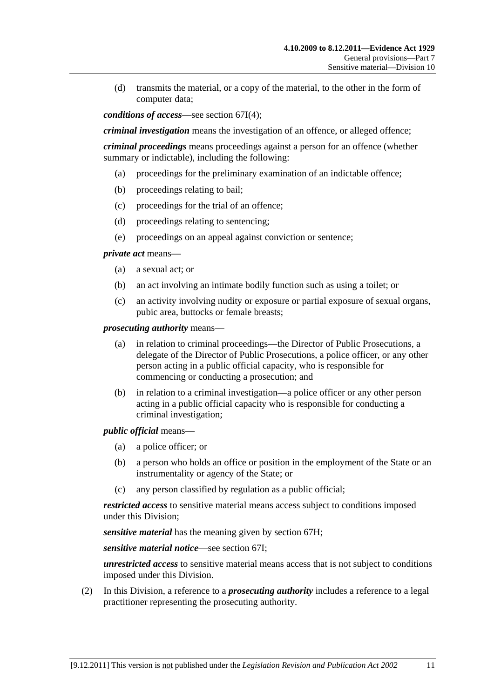(d) transmits the material, or a copy of the material, to the other in the form of computer data;

*conditions of access*—see [section 67I\(4\);](#page-73-0)

*criminal investigation* means the investigation of an offence, or alleged offence;

*criminal proceedings* means proceedings against a person for an offence (whether summary or indictable), including the following:

- (a) proceedings for the preliminary examination of an indictable offence;
- (b) proceedings relating to bail;
- (c) proceedings for the trial of an offence;
- (d) proceedings relating to sentencing;
- (e) proceedings on an appeal against conviction or sentence;

*private act* means—

- (a) a sexual act; or
- (b) an act involving an intimate bodily function such as using a toilet; or
- (c) an activity involving nudity or exposure or partial exposure of sexual organs, pubic area, buttocks or female breasts;

*prosecuting authority* means—

- (a) in relation to criminal proceedings—the Director of Public Prosecutions, a delegate of the Director of Public Prosecutions, a police officer, or any other person acting in a public official capacity, who is responsible for commencing or conducting a prosecution; and
- (b) in relation to a criminal investigation—a police officer or any other person acting in a public official capacity who is responsible for conducting a criminal investigation;

*public official* means—

- (a) a police officer; or
- (b) a person who holds an office or position in the employment of the State or an instrumentality or agency of the State; or
- (c) any person classified by regulation as a public official;

*restricted access* to sensitive material means access subject to conditions imposed under this Division;

*sensitive material* has the meaning given by [section 67H](#page-73-0);

*sensitive material notice*—see [section 67I](#page-73-0);

*unrestricted access* to sensitive material means access that is not subject to conditions imposed under this Division.

 (2) In this Division, a reference to a *prosecuting authority* includes a reference to a legal practitioner representing the prosecuting authority.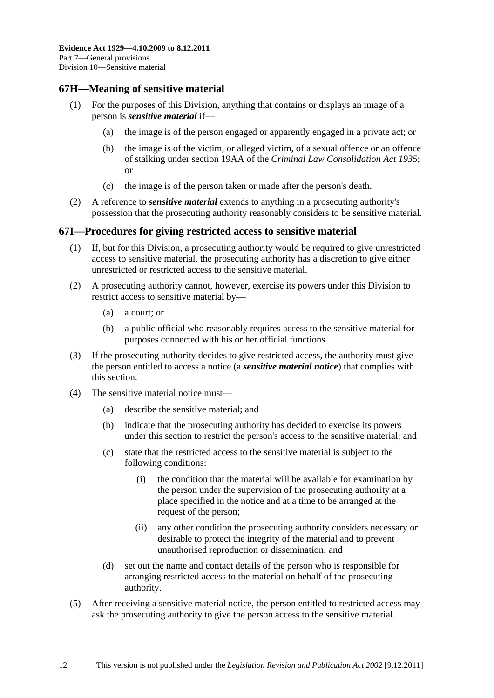### <span id="page-73-0"></span>**67H—Meaning of sensitive material**

- (1) For the purposes of this Division, anything that contains or displays an image of a person is *sensitive material* if—
	- (a) the image is of the person engaged or apparently engaged in a private act; or
	- (b) the image is of the victim, or alleged victim, of a sexual offence or an offence of stalking under section 19AA of the *[Criminal Law Consolidation Act 1935](http://www.legislation.sa.gov.au/index.aspx?action=legref&type=act&legtitle=Criminal%20Law%20Consolidation%20Act%201935)*; or
	- (c) the image is of the person taken or made after the person's death.
- (2) A reference to *sensitive material* extends to anything in a prosecuting authority's possession that the prosecuting authority reasonably considers to be sensitive material.

### **67I—Procedures for giving restricted access to sensitive material**

- (1) If, but for this Division, a prosecuting authority would be required to give unrestricted access to sensitive material, the prosecuting authority has a discretion to give either unrestricted or restricted access to the sensitive material.
- (2) A prosecuting authority cannot, however, exercise its powers under this Division to restrict access to sensitive material by—
	- (a) a court; or
	- (b) a public official who reasonably requires access to the sensitive material for purposes connected with his or her official functions.
- (3) If the prosecuting authority decides to give restricted access, the authority must give the person entitled to access a notice (a *sensitive material notice*) that complies with this section.
- (4) The sensitive material notice must—
	- (a) describe the sensitive material; and
	- (b) indicate that the prosecuting authority has decided to exercise its powers under this section to restrict the person's access to the sensitive material; and
	- (c) state that the restricted access to the sensitive material is subject to the following conditions:
		- (i) the condition that the material will be available for examination by the person under the supervision of the prosecuting authority at a place specified in the notice and at a time to be arranged at the request of the person;
		- (ii) any other condition the prosecuting authority considers necessary or desirable to protect the integrity of the material and to prevent unauthorised reproduction or dissemination; and
	- (d) set out the name and contact details of the person who is responsible for arranging restricted access to the material on behalf of the prosecuting authority.
- (5) After receiving a sensitive material notice, the person entitled to restricted access may ask the prosecuting authority to give the person access to the sensitive material.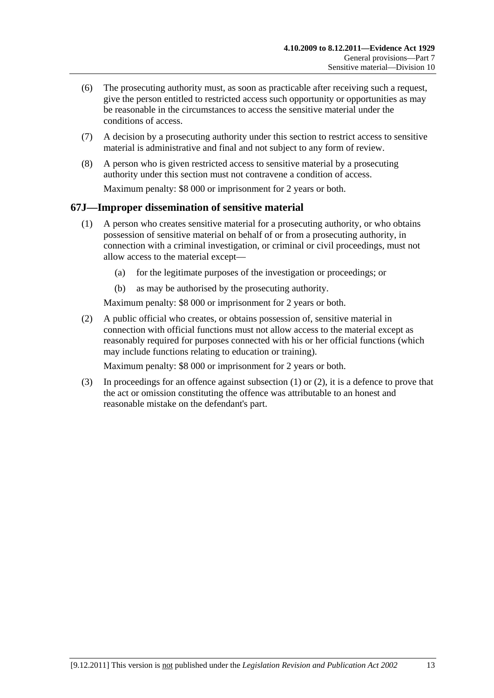- <span id="page-74-0"></span> (6) The prosecuting authority must, as soon as practicable after receiving such a request, give the person entitled to restricted access such opportunity or opportunities as may be reasonable in the circumstances to access the sensitive material under the conditions of access.
- (7) A decision by a prosecuting authority under this section to restrict access to sensitive material is administrative and final and not subject to any form of review.
- (8) A person who is given restricted access to sensitive material by a prosecuting authority under this section must not contravene a condition of access. Maximum penalty: \$8 000 or imprisonment for 2 years or both.

## **67J—Improper dissemination of sensitive material**

- (1) A person who creates sensitive material for a prosecuting authority, or who obtains possession of sensitive material on behalf of or from a prosecuting authority, in connection with a criminal investigation, or criminal or civil proceedings, must not allow access to the material except—
	- (a) for the legitimate purposes of the investigation or proceedings; or
	- (b) as may be authorised by the prosecuting authority.

Maximum penalty: \$8 000 or imprisonment for 2 years or both.

 (2) A public official who creates, or obtains possession of, sensitive material in connection with official functions must not allow access to the material except as reasonably required for purposes connected with his or her official functions (which may include functions relating to education or training).

Maximum penalty: \$8 000 or imprisonment for 2 years or both.

 (3) In proceedings for an offence against [subsection \(1\)](#page-74-0) or [\(2\)](#page-74-0), it is a defence to prove that the act or omission constituting the offence was attributable to an honest and reasonable mistake on the defendant's part.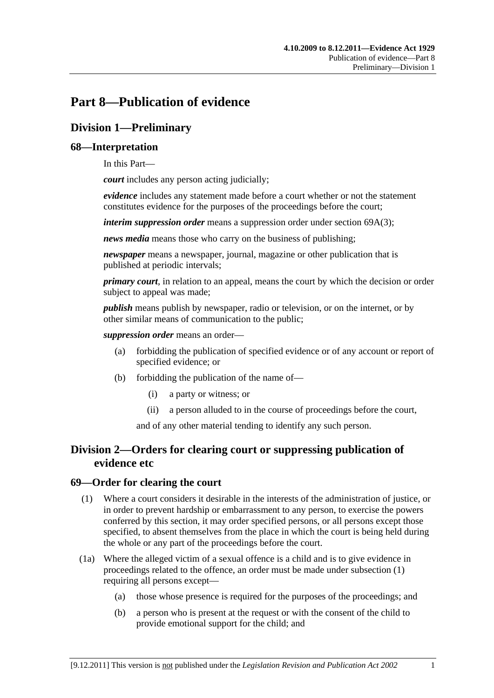# <span id="page-76-0"></span>**Part 8—Publication of evidence**

# **Division 1—Preliminary**

## **68—Interpretation**

In this Part—

*court* includes any person acting judicially;

*evidence* includes any statement made before a court whether or not the statement constitutes evidence for the purposes of the proceedings before the court;

*interim suppression order* means a suppression order under [section 69A\(3\)](#page-77-0);

*news media* means those who carry on the business of publishing;

*newspaper* means a newspaper, journal, magazine or other publication that is published at periodic intervals;

*primary court*, in relation to an appeal, means the court by which the decision or order subject to appeal was made;

*publish* means publish by newspaper, radio or television, or on the internet, or by other similar means of communication to the public;

*suppression order* means an order—

- (a) forbidding the publication of specified evidence or of any account or report of specified evidence; or
- (b) forbidding the publication of the name of—
	- (i) a party or witness; or
	- (ii) a person alluded to in the course of proceedings before the court,

and of any other material tending to identify any such person.

# **Division 2—Orders for clearing court or suppressing publication of evidence etc**

### **69—Order for clearing the court**

- (1) Where a court considers it desirable in the interests of the administration of justice, or in order to prevent hardship or embarrassment to any person, to exercise the powers conferred by this section, it may order specified persons, or all persons except those specified, to absent themselves from the place in which the court is being held during the whole or any part of the proceedings before the court.
- (1a) Where the alleged victim of a sexual offence is a child and is to give evidence in proceedings related to the offence, an order must be made under [subsection \(1\)](#page-76-0)  requiring all persons except—
	- (a) those whose presence is required for the purposes of the proceedings; and
	- (b) a person who is present at the request or with the consent of the child to provide emotional support for the child; and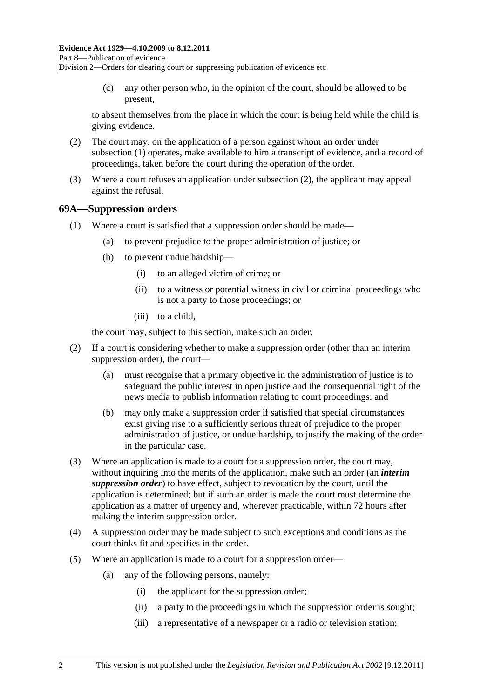<span id="page-77-0"></span> (c) any other person who, in the opinion of the court, should be allowed to be present,

to absent themselves from the place in which the court is being held while the child is giving evidence.

- (2) The court may, on the application of a person against whom an order under [subsection \(1\)](#page-76-0) operates, make available to him a transcript of evidence, and a record of proceedings, taken before the court during the operation of the order.
- (3) Where a court refuses an application under [subsection \(2\),](#page-77-0) the applicant may appeal against the refusal.

### **69A—Suppression orders**

- (1) Where a court is satisfied that a suppression order should be made—
	- (a) to prevent prejudice to the proper administration of justice; or
	- (b) to prevent undue hardship—
		- (i) to an alleged victim of crime; or
		- (ii) to a witness or potential witness in civil or criminal proceedings who is not a party to those proceedings; or
		- (iii) to a child,

the court may, subject to this section, make such an order.

- (2) If a court is considering whether to make a suppression order (other than an interim suppression order), the court—
	- (a) must recognise that a primary objective in the administration of justice is to safeguard the public interest in open justice and the consequential right of the news media to publish information relating to court proceedings; and
	- (b) may only make a suppression order if satisfied that special circumstances exist giving rise to a sufficiently serious threat of prejudice to the proper administration of justice, or undue hardship, to justify the making of the order in the particular case.
- (3) Where an application is made to a court for a suppression order, the court may, without inquiring into the merits of the application, make such an order (an *interim suppression order*) to have effect, subject to revocation by the court, until the application is determined; but if such an order is made the court must determine the application as a matter of urgency and, wherever practicable, within 72 hours after making the interim suppression order.
- (4) A suppression order may be made subject to such exceptions and conditions as the court thinks fit and specifies in the order.
- (5) Where an application is made to a court for a suppression order—
	- (a) any of the following persons, namely:
		- (i) the applicant for the suppression order;
		- (ii) a party to the proceedings in which the suppression order is sought;
		- (iii) a representative of a newspaper or a radio or television station;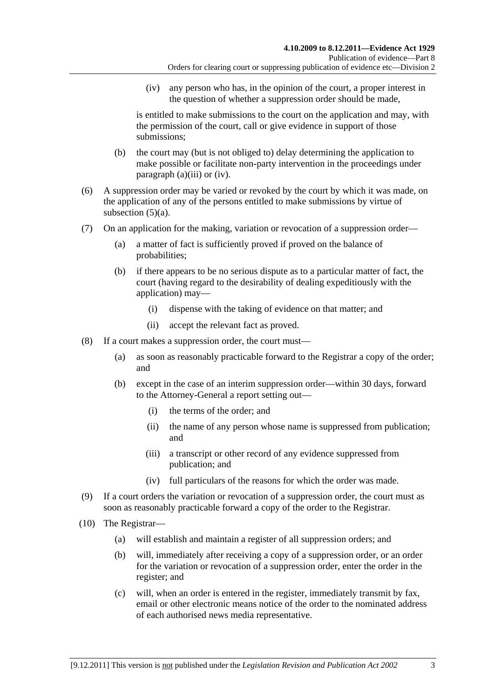<span id="page-78-0"></span> (iv) any person who has, in the opinion of the court, a proper interest in the question of whether a suppression order should be made,

is entitled to make submissions to the court on the application and may, with the permission of the court, call or give evidence in support of those submissions;

- (b) the court may (but is not obliged to) delay determining the application to make possible or facilitate non-party intervention in the proceedings under [paragraph \(a\)\(iii\)](#page-77-0) or [\(iv\)](#page-78-0).
- (6) A suppression order may be varied or revoked by the court by which it was made, on the application of any of the persons entitled to make submissions by virtue of subsection  $(5)(a)$ .
- (7) On an application for the making, variation or revocation of a suppression order—
	- (a) a matter of fact is sufficiently proved if proved on the balance of probabilities;
	- (b) if there appears to be no serious dispute as to a particular matter of fact, the court (having regard to the desirability of dealing expeditiously with the application) may—
		- (i) dispense with the taking of evidence on that matter; and
		- (ii) accept the relevant fact as proved.
- (8) If a court makes a suppression order, the court must—
	- (a) as soon as reasonably practicable forward to the Registrar a copy of the order; and
	- (b) except in the case of an interim suppression order—within 30 days, forward to the Attorney-General a report setting out—
		- (i) the terms of the order; and
		- (ii) the name of any person whose name is suppressed from publication; and
		- (iii) a transcript or other record of any evidence suppressed from publication; and
		- (iv) full particulars of the reasons for which the order was made.
- (9) If a court orders the variation or revocation of a suppression order, the court must as soon as reasonably practicable forward a copy of the order to the Registrar.
- (10) The Registrar—
	- (a) will establish and maintain a register of all suppression orders; and
	- (b) will, immediately after receiving a copy of a suppression order, or an order for the variation or revocation of a suppression order, enter the order in the register; and
	- (c) will, when an order is entered in the register, immediately transmit by fax, email or other electronic means notice of the order to the nominated address of each authorised news media representative.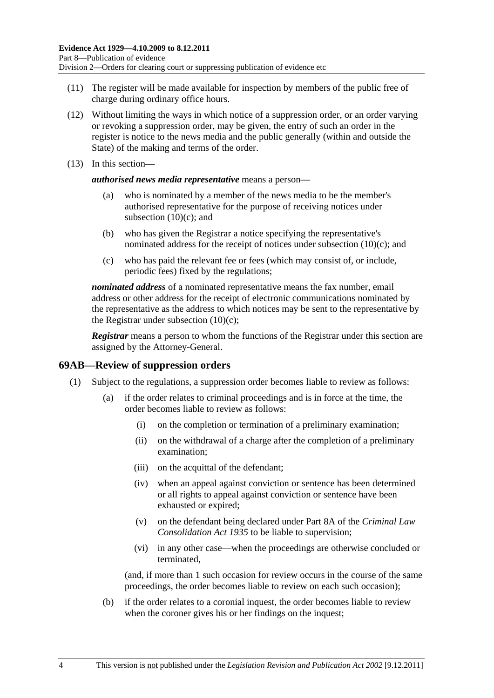- (11) The register will be made available for inspection by members of the public free of charge during ordinary office hours.
- (12) Without limiting the ways in which notice of a suppression order, or an order varying or revoking a suppression order, may be given, the entry of such an order in the register is notice to the news media and the public generally (within and outside the State) of the making and terms of the order.
- (13) In this section—

*authorised news media representative* means a person—

- (a) who is nominated by a member of the news media to be the member's authorised representative for the purpose of receiving notices under subsection  $(10)(c)$ ; and
- (b) who has given the Registrar a notice specifying the representative's nominated address for the receipt of notices under [subsection \(10\)\(c\);](#page-78-0) and
- (c) who has paid the relevant fee or fees (which may consist of, or include, periodic fees) fixed by the regulations;

*nominated address* of a nominated representative means the fax number, email address or other address for the receipt of electronic communications nominated by the representative as the address to which notices may be sent to the representative by the Registrar under subsection  $(10)(c)$ ;

*Registrar* means a person to whom the functions of the Registrar under this section are assigned by the Attorney-General.

### **69AB—Review of suppression orders**

- (1) Subject to the regulations, a suppression order becomes liable to review as follows:
	- (a) if the order relates to criminal proceedings and is in force at the time, the order becomes liable to review as follows:
		- (i) on the completion or termination of a preliminary examination;
		- (ii) on the withdrawal of a charge after the completion of a preliminary examination;
		- (iii) on the acquittal of the defendant;
		- (iv) when an appeal against conviction or sentence has been determined or all rights to appeal against conviction or sentence have been exhausted or expired;
		- (v) on the defendant being declared under Part 8A of the *[Criminal Law](http://www.legislation.sa.gov.au/index.aspx?action=legref&type=act&legtitle=Criminal%20Law%20Consolidation%20Act%201935)  [Consolidation Act 1935](http://www.legislation.sa.gov.au/index.aspx?action=legref&type=act&legtitle=Criminal%20Law%20Consolidation%20Act%201935)* to be liable to supervision;
		- (vi) in any other case—when the proceedings are otherwise concluded or terminated,

(and, if more than 1 such occasion for review occurs in the course of the same proceedings, the order becomes liable to review on each such occasion);

 (b) if the order relates to a coronial inquest, the order becomes liable to review when the coroner gives his or her findings on the inquest;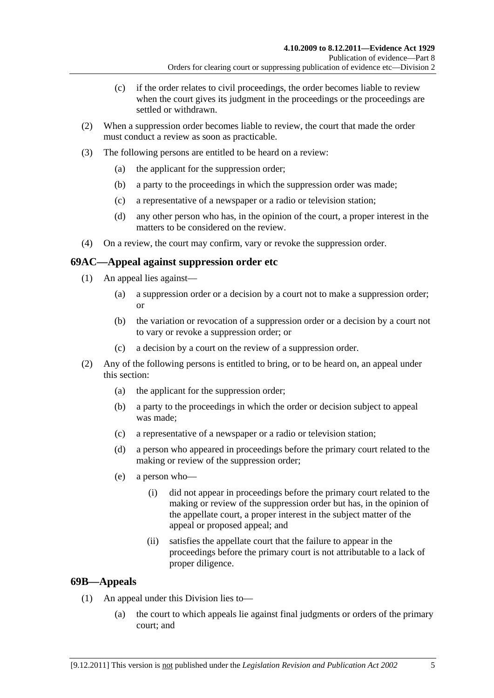- (c) if the order relates to civil proceedings, the order becomes liable to review when the court gives its judgment in the proceedings or the proceedings are settled or withdrawn.
- (2) When a suppression order becomes liable to review, the court that made the order must conduct a review as soon as practicable.
- (3) The following persons are entitled to be heard on a review:
	- (a) the applicant for the suppression order;
	- (b) a party to the proceedings in which the suppression order was made;
	- (c) a representative of a newspaper or a radio or television station;
	- (d) any other person who has, in the opinion of the court, a proper interest in the matters to be considered on the review.
- (4) On a review, the court may confirm, vary or revoke the suppression order.

## **69AC—Appeal against suppression order etc**

- (1) An appeal lies against—
	- (a) a suppression order or a decision by a court not to make a suppression order; or
	- (b) the variation or revocation of a suppression order or a decision by a court not to vary or revoke a suppression order; or
	- (c) a decision by a court on the review of a suppression order.
- (2) Any of the following persons is entitled to bring, or to be heard on, an appeal under this section:
	- (a) the applicant for the suppression order;
	- (b) a party to the proceedings in which the order or decision subject to appeal was made;
	- (c) a representative of a newspaper or a radio or television station;
	- (d) a person who appeared in proceedings before the primary court related to the making or review of the suppression order;
	- (e) a person who—
		- (i) did not appear in proceedings before the primary court related to the making or review of the suppression order but has, in the opinion of the appellate court, a proper interest in the subject matter of the appeal or proposed appeal; and
		- (ii) satisfies the appellate court that the failure to appear in the proceedings before the primary court is not attributable to a lack of proper diligence.

# **69B—Appeals**

- (1) An appeal under this Division lies to—
	- (a) the court to which appeals lie against final judgments or orders of the primary court; and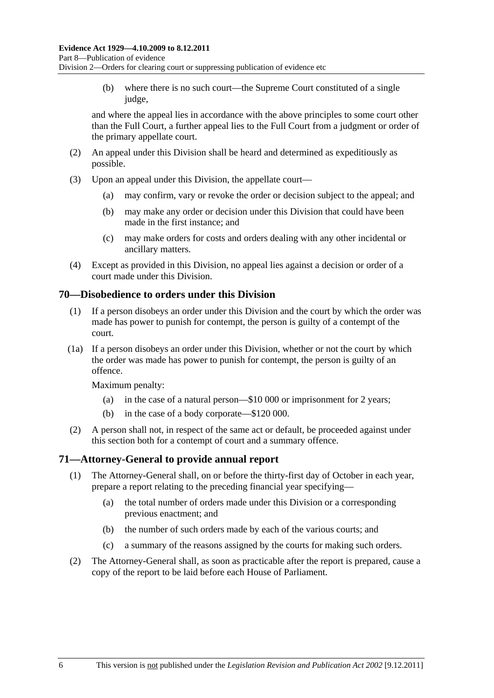(b) where there is no such court—the Supreme Court constituted of a single judge,

and where the appeal lies in accordance with the above principles to some court other than the Full Court, a further appeal lies to the Full Court from a judgment or order of the primary appellate court.

- (2) An appeal under this Division shall be heard and determined as expeditiously as possible.
- (3) Upon an appeal under this Division, the appellate court—
	- (a) may confirm, vary or revoke the order or decision subject to the appeal; and
	- (b) may make any order or decision under this Division that could have been made in the first instance; and
	- (c) may make orders for costs and orders dealing with any other incidental or ancillary matters.
- (4) Except as provided in this Division, no appeal lies against a decision or order of a court made under this Division.

### **70—Disobedience to orders under this Division**

- (1) If a person disobeys an order under this Division and the court by which the order was made has power to punish for contempt, the person is guilty of a contempt of the court.
- (1a) If a person disobeys an order under this Division, whether or not the court by which the order was made has power to punish for contempt, the person is guilty of an offence.

Maximum penalty:

- (a) in the case of a natural person—\$10 000 or imprisonment for 2 years;
- (b) in the case of a body corporate—\$120 000.
- (2) A person shall not, in respect of the same act or default, be proceeded against under this section both for a contempt of court and a summary offence.

### **71—Attorney-General to provide annual report**

- (1) The Attorney-General shall, on or before the thirty-first day of October in each year, prepare a report relating to the preceding financial year specifying—
	- (a) the total number of orders made under this Division or a corresponding previous enactment; and
	- (b) the number of such orders made by each of the various courts; and
	- (c) a summary of the reasons assigned by the courts for making such orders.
- (2) The Attorney-General shall, as soon as practicable after the report is prepared, cause a copy of the report to be laid before each House of Parliament.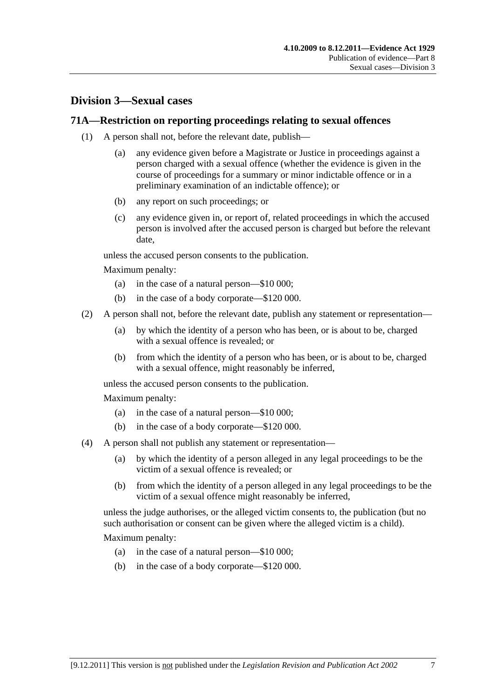# **Division 3—Sexual cases**

### **71A—Restriction on reporting proceedings relating to sexual offences**

- (1) A person shall not, before the relevant date, publish—
	- (a) any evidence given before a Magistrate or Justice in proceedings against a person charged with a sexual offence (whether the evidence is given in the course of proceedings for a summary or minor indictable offence or in a preliminary examination of an indictable offence); or
	- (b) any report on such proceedings; or
	- (c) any evidence given in, or report of, related proceedings in which the accused person is involved after the accused person is charged but before the relevant date,

unless the accused person consents to the publication.

Maximum penalty:

- (a) in the case of a natural person—\$10 000;
- (b) in the case of a body corporate—\$120 000.
- (2) A person shall not, before the relevant date, publish any statement or representation—
	- (a) by which the identity of a person who has been, or is about to be, charged with a sexual offence is revealed; or
	- (b) from which the identity of a person who has been, or is about to be, charged with a sexual offence, might reasonably be inferred,

unless the accused person consents to the publication.

Maximum penalty:

- (a) in the case of a natural person—\$10 000;
- (b) in the case of a body corporate—\$120 000.
- (4) A person shall not publish any statement or representation—
	- (a) by which the identity of a person alleged in any legal proceedings to be the victim of a sexual offence is revealed; or
	- (b) from which the identity of a person alleged in any legal proceedings to be the victim of a sexual offence might reasonably be inferred,

unless the judge authorises, or the alleged victim consents to, the publication (but no such authorisation or consent can be given where the alleged victim is a child).

Maximum penalty:

- (a) in the case of a natural person—\$10 000;
- (b) in the case of a body corporate—\$120 000.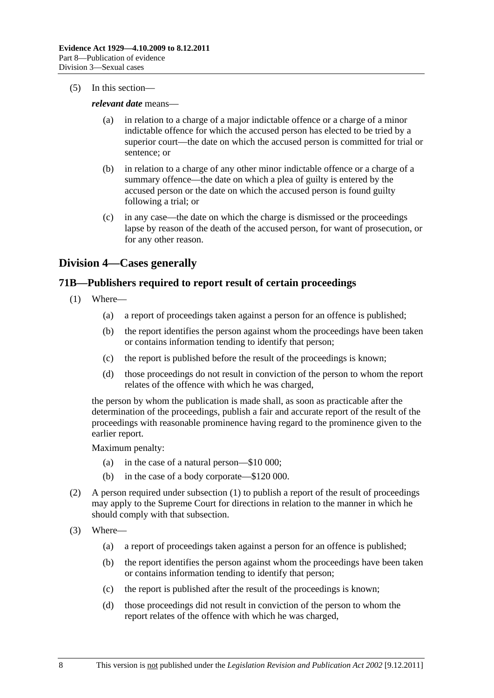<span id="page-83-0"></span>(5) In this section—

#### *relevant date* means—

- (a) in relation to a charge of a major indictable offence or a charge of a minor indictable offence for which the accused person has elected to be tried by a superior court—the date on which the accused person is committed for trial or sentence; or
- (b) in relation to a charge of any other minor indictable offence or a charge of a summary offence—the date on which a plea of guilty is entered by the accused person or the date on which the accused person is found guilty following a trial; or
- (c) in any case—the date on which the charge is dismissed or the proceedings lapse by reason of the death of the accused person, for want of prosecution, or for any other reason.

## **Division 4—Cases generally**

### **71B—Publishers required to report result of certain proceedings**

- (1) Where—
	- (a) a report of proceedings taken against a person for an offence is published;
	- (b) the report identifies the person against whom the proceedings have been taken or contains information tending to identify that person;
	- (c) the report is published before the result of the proceedings is known;
	- (d) those proceedings do not result in conviction of the person to whom the report relates of the offence with which he was charged,

the person by whom the publication is made shall, as soon as practicable after the determination of the proceedings, publish a fair and accurate report of the result of the proceedings with reasonable prominence having regard to the prominence given to the earlier report.

Maximum penalty:

- (a) in the case of a natural person—\$10 000;
- (b) in the case of a body corporate—\$120 000.
- (2) A person required under [subsection \(1\)](#page-83-0) to publish a report of the result of proceedings may apply to the Supreme Court for directions in relation to the manner in which he should comply with that subsection.
- (3) Where—
	- (a) a report of proceedings taken against a person for an offence is published;
	- (b) the report identifies the person against whom the proceedings have been taken or contains information tending to identify that person;
	- (c) the report is published after the result of the proceedings is known;
	- (d) those proceedings did not result in conviction of the person to whom the report relates of the offence with which he was charged,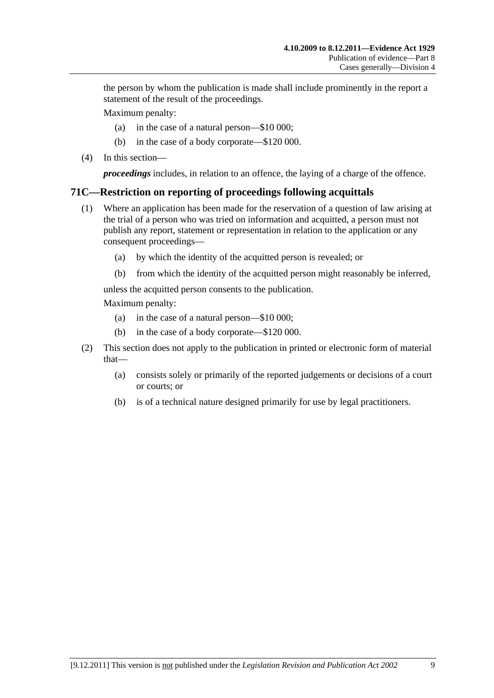the person by whom the publication is made shall include prominently in the report a statement of the result of the proceedings.

Maximum penalty:

- (a) in the case of a natural person—\$10 000;
- (b) in the case of a body corporate—\$120 000.
- (4) In this section—

*proceedings* includes, in relation to an offence, the laying of a charge of the offence.

## **71C—Restriction on reporting of proceedings following acquittals**

- (1) Where an application has been made for the reservation of a question of law arising at the trial of a person who was tried on information and acquitted, a person must not publish any report, statement or representation in relation to the application or any consequent proceedings—
	- (a) by which the identity of the acquitted person is revealed; or
	- (b) from which the identity of the acquitted person might reasonably be inferred,

unless the acquitted person consents to the publication.

Maximum penalty:

- (a) in the case of a natural person—\$10 000;
- (b) in the case of a body corporate—\$120 000.
- (2) This section does not apply to the publication in printed or electronic form of material that—
	- (a) consists solely or primarily of the reported judgements or decisions of a court or courts; or
	- (b) is of a technical nature designed primarily for use by legal practitioners.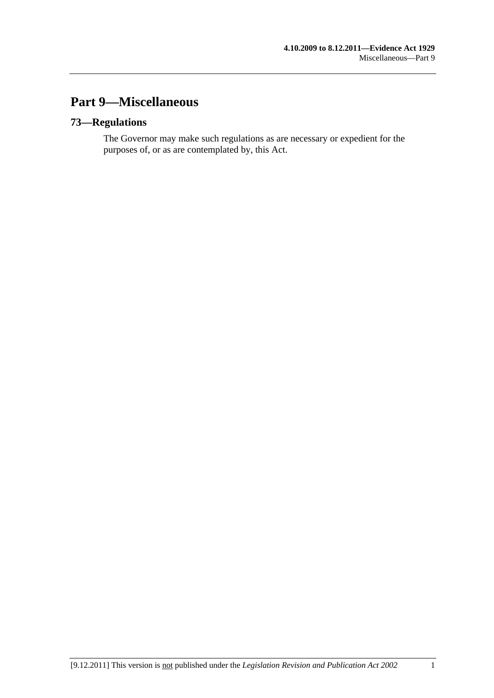# **Part 9—Miscellaneous**

# **73—Regulations**

The Governor may make such regulations as are necessary or expedient for the purposes of, or as are contemplated by, this Act.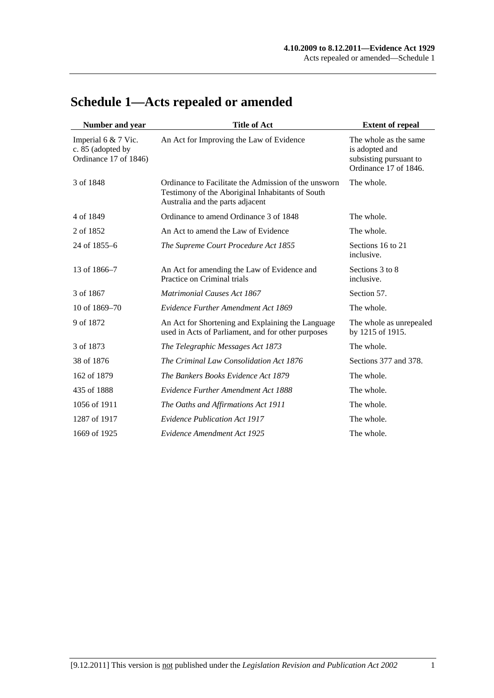| Number and year                                                     | <b>Title of Act</b>                                                                                                                          | <b>Extent of repeal</b>                                                                    |
|---------------------------------------------------------------------|----------------------------------------------------------------------------------------------------------------------------------------------|--------------------------------------------------------------------------------------------|
| Imperial $6 & 7$ Vic.<br>c. 85 (adopted by<br>Ordinance 17 of 1846) | An Act for Improving the Law of Evidence                                                                                                     | The whole as the same<br>is adopted and<br>subsisting pursuant to<br>Ordinance 17 of 1846. |
| 3 of 1848                                                           | Ordinance to Facilitate the Admission of the unsworn<br>Testimony of the Aboriginal Inhabitants of South<br>Australia and the parts adjacent | The whole.                                                                                 |
| 4 of 1849                                                           | Ordinance to amend Ordinance 3 of 1848                                                                                                       | The whole.                                                                                 |
| 2 of 1852                                                           | An Act to amend the Law of Evidence                                                                                                          | The whole.                                                                                 |
| 24 of 1855–6                                                        | The Supreme Court Procedure Act 1855                                                                                                         | Sections 16 to 21<br>inclusive.                                                            |
| 13 of 1866-7                                                        | An Act for amending the Law of Evidence and<br>Practice on Criminal trials                                                                   | Sections 3 to 8<br>inclusive.                                                              |
| 3 of 1867                                                           | <b>Matrimonial Causes Act 1867</b>                                                                                                           | Section 57.                                                                                |
| 10 of 1869-70                                                       | Evidence Further Amendment Act 1869                                                                                                          | The whole.                                                                                 |
| 9 of 1872                                                           | An Act for Shortening and Explaining the Language<br>used in Acts of Parliament, and for other purposes                                      | The whole as unrepealed<br>by 1215 of 1915.                                                |
| 3 of 1873                                                           | The Telegraphic Messages Act 1873                                                                                                            | The whole.                                                                                 |
| 38 of 1876                                                          | The Criminal Law Consolidation Act 1876                                                                                                      | Sections 377 and 378.                                                                      |
| 162 of 1879                                                         | The Bankers Books Evidence Act 1879                                                                                                          | The whole.                                                                                 |
| 435 of 1888                                                         | <b>Evidence Further Amendment Act 1888</b>                                                                                                   | The whole.                                                                                 |
| 1056 of 1911                                                        | The Oaths and Affirmations Act 1911                                                                                                          | The whole.                                                                                 |
| 1287 of 1917                                                        | <b>Evidence Publication Act 1917</b>                                                                                                         | The whole.                                                                                 |
| 1669 of 1925                                                        | Evidence Amendment Act 1925                                                                                                                  | The whole.                                                                                 |

# **Schedule 1—Acts repealed or amended**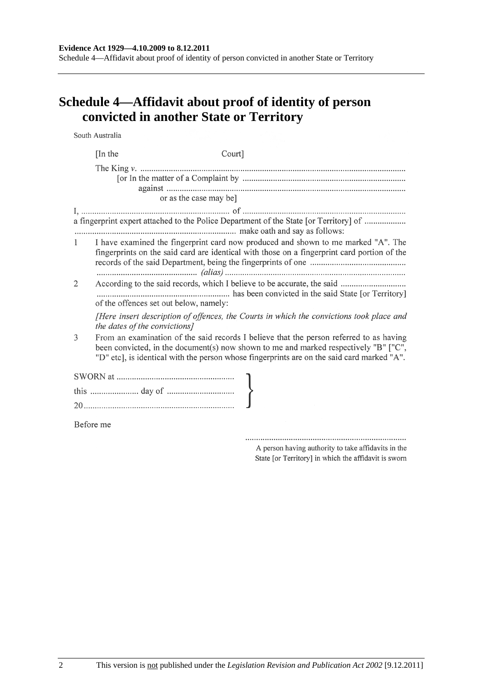Schedule 4—Affidavit about proof of identity of person convicted in another State or Territory

# **Schedule 4—Affidavit about proof of identity of person convicted in another State or Territory**

South Australia

|                | [In the]<br>Court]                     |                                                                                                                                                                                                                                                                               |
|----------------|----------------------------------------|-------------------------------------------------------------------------------------------------------------------------------------------------------------------------------------------------------------------------------------------------------------------------------|
|                | or as the case may be]                 |                                                                                                                                                                                                                                                                               |
|                |                                        | a fingerprint expert attached to the Police Department of the State [or Territory] of                                                                                                                                                                                         |
| $\mathbf{1}$   |                                        | I have examined the fingerprint card now produced and shown to me marked "A". The<br>fingerprints on the said card are identical with those on a fingerprint card portion of the                                                                                              |
| $\overline{2}$ | of the offences set out below, namely: |                                                                                                                                                                                                                                                                               |
|                | the dates of the convictions]          | [Here insert description of offences, the Courts in which the convictions took place and                                                                                                                                                                                      |
| 3              |                                        | From an examination of the said records I believe that the person referred to as having<br>been convicted, in the document(s) now shown to me and marked respectively "B" ["C",<br>"D" etc], is identical with the person whose fingerprints are on the said card marked "A". |
|                |                                        |                                                                                                                                                                                                                                                                               |
|                |                                        |                                                                                                                                                                                                                                                                               |
|                |                                        |                                                                                                                                                                                                                                                                               |
| Before me      |                                        |                                                                                                                                                                                                                                                                               |

A person having authority to take affidavits in the State [or Territory] in which the affidavit is sworn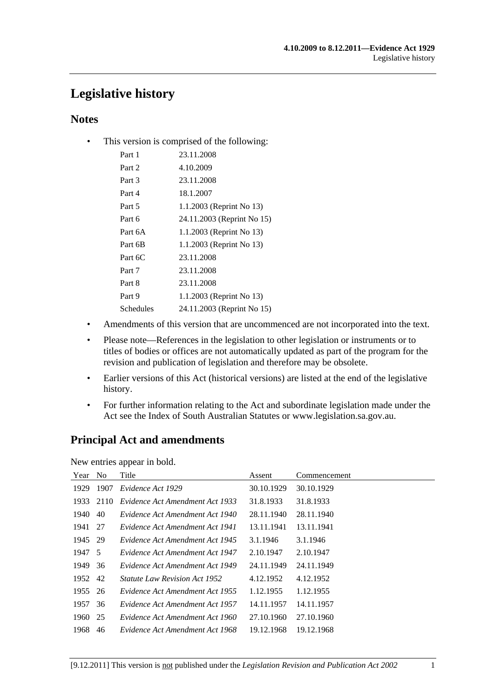# **Legislative history**

## **Notes**

• This version is comprised of the following:

| Part 1    | 23.11.2008                 |
|-----------|----------------------------|
| Part 2    | 4.10.2009                  |
| Part 3    | 23.11.2008                 |
| Part 4    | 18.1.2007                  |
| Part 5    | 1.1.2003 (Reprint No 13)   |
| Part 6    | 24.11.2003 (Reprint No 15) |
| Part 6A   | 1.1.2003 (Reprint No 13)   |
| Part 6B   | 1.1.2003 (Reprint No 13)   |
| Part 6C   | 23.11.2008                 |
| Part 7    | 23.11.2008                 |
| Part 8    | 23.11.2008                 |
| Part 9    | 1.1.2003 (Reprint No 13)   |
| Schedules | 24.11.2003 (Reprint No 15) |
|           |                            |

- Amendments of this version that are uncommenced are not incorporated into the text.
- Please note—References in the legislation to other legislation or instruments or to titles of bodies or offices are not automatically updated as part of the program for the revision and publication of legislation and therefore may be obsolete.
- Earlier versions of this Act (historical versions) are listed at the end of the legislative history.
- For further information relating to the Act and subordinate legislation made under the Act see the Index of South Australian Statutes or www.legislation.sa.gov.au.

# **Principal Act and amendments**

New entries appear in bold.

|      | Title                                                                           | Assent     | Commencement |
|------|---------------------------------------------------------------------------------|------------|--------------|
| 1907 | Evidence Act 1929                                                               | 30.10.1929 | 30.10.1929   |
| 2110 | Evidence Act Amendment Act 1933                                                 | 31.8.1933  | 31.8.1933    |
| 40   | Evidence Act Amendment Act 1940                                                 | 28.11.1940 | 28.11.1940   |
|      | Evidence Act Amendment Act 1941                                                 | 13.11.1941 | 13.11.1941   |
| 29   | Evidence Act Amendment Act 1945                                                 | 3.1.1946   | 3.1.1946     |
|      | Evidence Act Amendment Act 1947                                                 | 2.10.1947  | 2.10.1947    |
| 36   | Evidence Act Amendment Act 1949                                                 | 24.11.1949 | 24.11.1949   |
|      | <i>Statute Law Revision Act 1952</i>                                            | 4.12.1952  | 4.12.1952    |
| 26   | Evidence Act Amendment Act 1955                                                 | 1.12.1955  | 1.12.1955    |
| 36   | Evidence Act Amendment Act 1957                                                 | 14.11.1957 | 14.11.1957   |
| 25   | Evidence Act Amendment Act 1960                                                 | 27.10.1960 | 27.10.1960   |
| 46   | Evidence Act Amendment Act 1968                                                 | 19.12.1968 | 19.12.1968   |
|      | Year No<br>1940<br>1941 27<br>1945<br>1947 5<br>1949<br>1952 42<br>1955<br>1960 |            |              |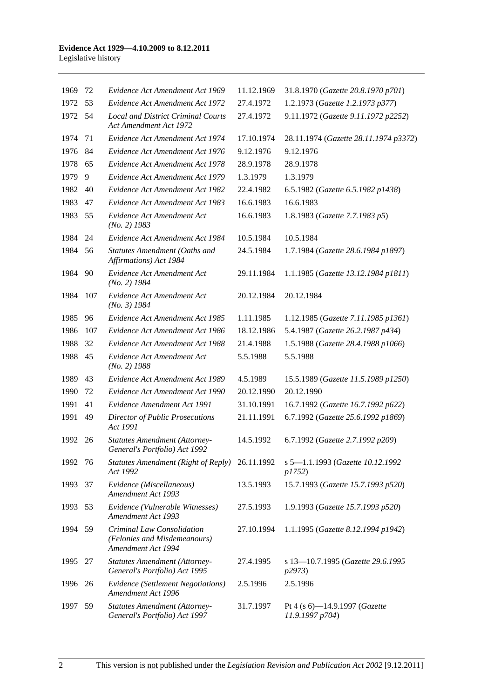| 1969    | 72  | Evidence Act Amendment Act 1969                                                  | 11.12.1969 | 31.8.1970 (Gazette 20.8.1970 p701)               |
|---------|-----|----------------------------------------------------------------------------------|------------|--------------------------------------------------|
| 1972    | 53  | Evidence Act Amendment Act 1972                                                  | 27.4.1972  | 1.2.1973 (Gazette 1.2.1973 p377)                 |
| 1972    | 54  | <b>Local and District Criminal Courts</b><br>Act Amendment Act 1972              | 27.4.1972  | 9.11.1972 (Gazette 9.11.1972 p2252)              |
| 1974    | 71  | Evidence Act Amendment Act 1974                                                  | 17.10.1974 | 28.11.1974 (Gazette 28.11.1974 p3372)            |
| 1976    | 84  | Evidence Act Amendment Act 1976                                                  | 9.12.1976  | 9.12.1976                                        |
| 1978    | 65  | Evidence Act Amendment Act 1978                                                  | 28.9.1978  | 28.9.1978                                        |
| 1979    | 9   | Evidence Act Amendment Act 1979                                                  | 1.3.1979   | 1.3.1979                                         |
| 1982    | 40  | Evidence Act Amendment Act 1982                                                  | 22.4.1982  | 6.5.1982 (Gazette 6.5.1982 p1438)                |
| 1983    | 47  | Evidence Act Amendment Act 1983                                                  | 16.6.1983  | 16.6.1983                                        |
| 1983    | 55  | Evidence Act Amendment Act<br>$(No. 2)$ 1983                                     | 16.6.1983  | 1.8.1983 (Gazette 7.7.1983 p5)                   |
| 1984    | 24  | Evidence Act Amendment Act 1984                                                  | 10.5.1984  | 10.5.1984                                        |
| 1984    | 56  | Statutes Amendment (Oaths and<br>Affirmations) Act 1984                          | 24.5.1984  | 1.7.1984 (Gazette 28.6.1984 p1897)               |
| 1984    | 90  | Evidence Act Amendment Act<br>$(No. 2)$ 1984                                     | 29.11.1984 | 1.1.1985 (Gazette 13.12.1984 p1811)              |
| 1984    | 107 | Evidence Act Amendment Act<br>$(No. 3)$ 1984                                     | 20.12.1984 | 20.12.1984                                       |
| 1985    | 96  | Evidence Act Amendment Act 1985                                                  | 1.11.1985  | 1.12.1985 (Gazette 7.11.1985 p1361)              |
| 1986    | 107 | Evidence Act Amendment Act 1986                                                  | 18.12.1986 | 5.4.1987 (Gazette 26.2.1987 p434)                |
| 1988    | 32  | Evidence Act Amendment Act 1988                                                  | 21.4.1988  | 1.5.1988 (Gazette 28.4.1988 p1066)               |
| 1988    | 45  | Evidence Act Amendment Act<br>$(No. 2)$ 1988                                     | 5.5.1988   | 5.5.1988                                         |
| 1989    | 43  | Evidence Act Amendment Act 1989                                                  | 4.5.1989   | 15.5.1989 (Gazette 11.5.1989 p1250)              |
| 1990    | 72  | Evidence Act Amendment Act 1990                                                  | 20.12.1990 | 20.12.1990                                       |
| 1991    | 41  | Evidence Amendment Act 1991                                                      | 31.10.1991 | 16.7.1992 (Gazette 16.7.1992 p622)               |
| 1991    | 49  | <b>Director of Public Prosecutions</b><br>Act 1991                               | 21.11.1991 | 6.7.1992 (Gazette 25.6.1992 p1869)               |
| 1992    | 26  | <b>Statutes Amendment (Attorney-</b><br>General's Portfolio) Act 1992            | 14.5.1992  | 6.7.1992 (Gazette 2.7.1992 p209)                 |
| 1992 76 |     | Statutes Amendment (Right of Reply)<br>Act 1992                                  | 26.11.1992 | s 5-1.1.1993 (Gazette 10.12.1992<br>p1752)       |
| 1993    | 37  | Evidence (Miscellaneous)<br>Amendment Act 1993                                   | 13.5.1993  | 15.7.1993 (Gazette 15.7.1993 p520)               |
| 1993    | 53  | Evidence (Vulnerable Witnesses)<br>Amendment Act 1993                            | 27.5.1993  | 1.9.1993 (Gazette 15.7.1993 p520)                |
| 1994    | 59  | Criminal Law Consolidation<br>(Felonies and Misdemeanours)<br>Amendment Act 1994 | 27.10.1994 | 1.1.1995 (Gazette 8.12.1994 p1942)               |
| 1995    | 27  | <b>Statutes Amendment (Attorney-</b><br>General's Portfolio) Act 1995            | 27.4.1995  | s 13-10.7.1995 (Gazette 29.6.1995)<br>p2973)     |
| 1996    | 26  | Evidence (Settlement Negotiations)<br>Amendment Act 1996                         | 2.5.1996   | 2.5.1996                                         |
| 1997    | 59  | <b>Statutes Amendment (Attorney-</b><br>General's Portfolio) Act 1997            | 31.7.1997  | Pt 4 (s 6)-14.9.1997 (Gazette<br>11.9.1997 p704) |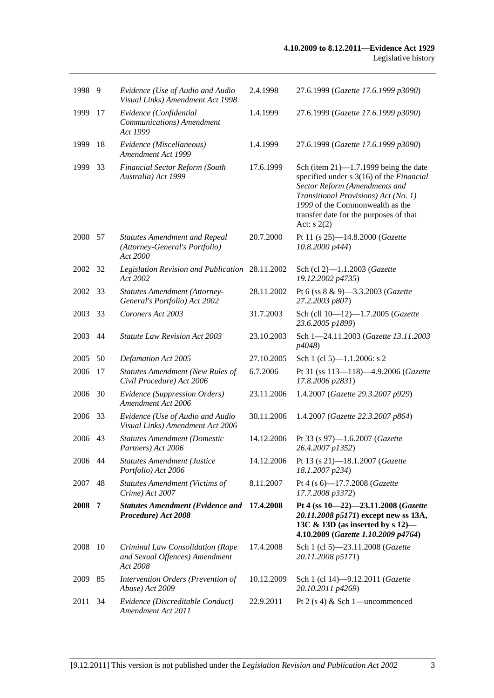| 1998 9  |    | Evidence (Use of Audio and Audio<br>Visual Links) Amendment Act 1998               | 2.4.1998   | 27.6.1999 (Gazette 17.6.1999 p3090)                                                                                                                                                                                                                       |
|---------|----|------------------------------------------------------------------------------------|------------|-----------------------------------------------------------------------------------------------------------------------------------------------------------------------------------------------------------------------------------------------------------|
| 1999    | 17 | Evidence (Confidential<br>Communications) Amendment<br>Act 1999                    | 1.4.1999   | 27.6.1999 (Gazette 17.6.1999 p3090)                                                                                                                                                                                                                       |
| 1999    | 18 | Evidence (Miscellaneous)<br>Amendment Act 1999                                     | 1.4.1999   | 27.6.1999 (Gazette 17.6.1999 p3090)                                                                                                                                                                                                                       |
| 1999    | 33 | Financial Sector Reform (South<br>Australia) Act 1999                              | 17.6.1999  | Sch (item $21$ )—1.7.1999 being the date<br>specified under s 3(16) of the Financial<br>Sector Reform (Amendments and<br>Transitional Provisions) Act (No. 1)<br>1999 of the Commonwealth as the<br>transfer date for the purposes of that<br>Act: $s(2)$ |
| 2000 57 |    | <b>Statutes Amendment and Repeal</b><br>(Attorney-General's Portfolio)<br>Act 2000 | 20.7.2000  | Pt 11 (s 25)-14.8.2000 (Gazette<br>10.8.2000 p444)                                                                                                                                                                                                        |
| 2002    | 32 | Legislation Revision and Publication 28.11.2002<br>Act 2002                        |            | Sch (cl 2)-1.1.2003 (Gazette<br>19.12.2002 p4735)                                                                                                                                                                                                         |
| 2002    | 33 | <b>Statutes Amendment (Attorney-</b><br>General's Portfolio) Act 2002              | 28.11.2002 | Pt 6 (ss 8 & 9)-3.3.2003 (Gazette<br>27.2.2003 p807)                                                                                                                                                                                                      |
| 2003    | 33 | Coroners Act 2003                                                                  | 31.7.2003  | Sch (cll 10-12)-1.7.2005 (Gazette<br>23.6.2005 p1899)                                                                                                                                                                                                     |
| 2003    | 44 | <b>Statute Law Revision Act 2003</b>                                               | 23.10.2003 | Sch 1-24.11.2003 (Gazette 13.11.2003)<br>p4048)                                                                                                                                                                                                           |
| 2005    | 50 | <b>Defamation Act 2005</b>                                                         | 27.10.2005 | Sch 1 (cl 5)-1.1.2006: s 2                                                                                                                                                                                                                                |
| 2006    | 17 | <b>Statutes Amendment (New Rules of</b><br>Civil Procedure) Act 2006               | 6.7.2006   | Pt 31 (ss 113-118)-4.9.2006 (Gazette<br>17.8.2006 p2831)                                                                                                                                                                                                  |
| 2006    | 30 | Evidence (Suppression Orders)<br>Amendment Act 2006                                | 23.11.2006 | 1.4.2007 (Gazette 29.3.2007 p929)                                                                                                                                                                                                                         |
| 2006    | 33 | Evidence (Use of Audio and Audio<br>Visual Links) Amendment Act 2006               | 30.11.2006 | 1.4.2007 (Gazette 22.3.2007 p864)                                                                                                                                                                                                                         |
| 2006    | 43 | <b>Statutes Amendment (Domestic</b><br>Partners) Act 2006                          | 14.12.2006 | Pt 33 (s 97)-1.6.2007 (Gazette<br>26.4.2007 p1352)                                                                                                                                                                                                        |
| 2006 44 |    | <b>Statutes Amendment (Justice</b><br>Portfolio) Act 2006                          | 14.12.2006 | Pt 13 (s 21)-18.1.2007 (Gazette<br>18.1.2007 p234)                                                                                                                                                                                                        |
| 2007    | 48 | <b>Statutes Amendment (Victims of</b><br>Crime) Act 2007                           | 8.11.2007  | Pt 4 (s 6)-17.7.2008 (Gazette<br>17.7.2008 p3372)                                                                                                                                                                                                         |
| 2008 7  |    | <b>Statutes Amendment (Evidence and</b><br>Procedure) Act 2008                     | 17.4.2008  | Pt 4 (ss 10-22)-23.11.2008 (Gazette<br>20.11.2008 p5171) except new ss 13A,<br>13C & 13D (as inserted by s 12)-<br>4.10.2009 (Gazette 1.10.2009 p4764)                                                                                                    |
| 2008    | 10 | Criminal Law Consolidation (Rape<br>and Sexual Offences) Amendment<br>Act 2008     | 17.4.2008  | Sch 1 (cl 5)-23.11.2008 (Gazette<br>20.11.2008 p5171)                                                                                                                                                                                                     |
| 2009    | 85 | Intervention Orders (Prevention of<br>Abuse) Act 2009                              | 10.12.2009 | Sch 1 (cl 14)-9.12.2011 (Gazette<br>20.10.2011 p4269)                                                                                                                                                                                                     |
| 2011    | 34 | Evidence (Discreditable Conduct)<br>Amendment Act 2011                             | 22.9.2011  | Pt 2 $(s 4)$ & Sch 1—uncommenced                                                                                                                                                                                                                          |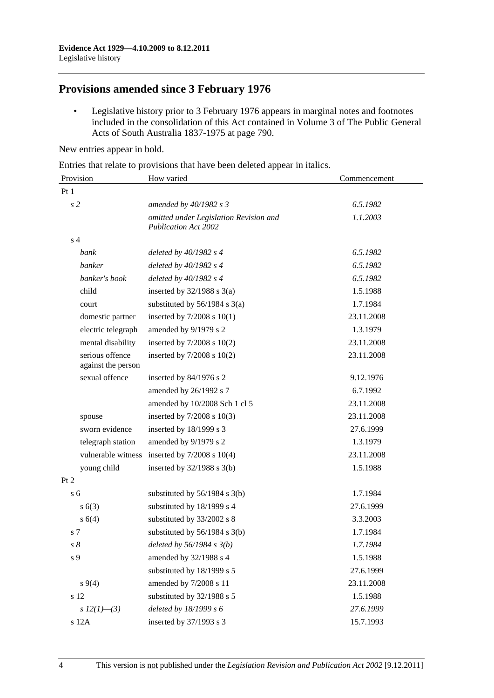# **Provisions amended since 3 February 1976**

 • Legislative history prior to 3 February 1976 appears in marginal notes and footnotes included in the consolidation of this Act contained in Volume 3 of The Public General Acts of South Australia 1837-1975 at page 790.

New entries appear in bold.

Entries that relate to provisions that have been deleted appear in italics.

| Provision                             | How varied                                                            | Commencement |
|---------------------------------------|-----------------------------------------------------------------------|--------------|
| Pt1                                   |                                                                       |              |
| s <sub>2</sub>                        | amended by 40/1982 s 3                                                | 6.5.1982     |
|                                       | omitted under Legislation Revision and<br><b>Publication Act 2002</b> | 1.1.2003     |
| s <sub>4</sub>                        |                                                                       |              |
| bank                                  | deleted by $40/1982$ s 4                                              | 6.5.1982     |
| <i>banker</i>                         | deleted by $40/1982$ s 4                                              | 6.5.1982     |
| banker's book                         | deleted by 40/1982 s 4                                                | 6.5.1982     |
| child                                 | inserted by $32/1988$ s $3(a)$                                        | 1.5.1988     |
| court                                 | substituted by $56/1984$ s 3(a)                                       | 1.7.1984     |
| domestic partner                      | inserted by $7/2008$ s $10(1)$                                        | 23.11.2008   |
| electric telegraph                    | amended by 9/1979 s 2                                                 | 1.3.1979     |
| mental disability                     | inserted by $7/2008$ s $10(2)$                                        | 23.11.2008   |
| serious offence<br>against the person | inserted by $7/2008$ s $10(2)$                                        | 23.11.2008   |
| sexual offence                        | inserted by 84/1976 s 2                                               | 9.12.1976    |
|                                       | amended by 26/1992 s 7                                                | 6.7.1992     |
|                                       | amended by 10/2008 Sch 1 cl 5                                         | 23.11.2008   |
| spouse                                | inserted by $7/2008$ s $10(3)$                                        | 23.11.2008   |
| sworn evidence                        | inserted by 18/1999 s 3                                               | 27.6.1999    |
| telegraph station                     | amended by 9/1979 s 2                                                 | 1.3.1979     |
| vulnerable witness                    | inserted by $7/2008$ s $10(4)$                                        | 23.11.2008   |
| young child                           | inserted by $32/1988$ s $3(b)$                                        | 1.5.1988     |
| Pt 2                                  |                                                                       |              |
| s <sub>6</sub>                        | substituted by $56/1984$ s $3(b)$                                     | 1.7.1984     |
| s(6(3))                               | substituted by 18/1999 s 4                                            | 27.6.1999    |
| s 6(4)                                | substituted by 33/2002 s 8                                            | 3.3.2003     |
| s 7                                   | substituted by $56/1984$ s 3(b)                                       | 1.7.1984     |
| $s\mathrel{\mathcal{S}}$              | deleted by $56/1984 s 3(b)$                                           | 1.7.1984     |
| s 9                                   | amended by 32/1988 s 4                                                | 1.5.1988     |
|                                       | substituted by 18/1999 s 5                                            | 27.6.1999    |
| $s\,9(4)$                             | amended by 7/2008 s 11                                                | 23.11.2008   |
| s 12                                  | substituted by 32/1988 s 5                                            | 1.5.1988     |
| s $12(1)$ —(3)                        | deleted by 18/1999 s 6                                                | 27.6.1999    |
| s 12A                                 | inserted by 37/1993 s 3                                               | 15.7.1993    |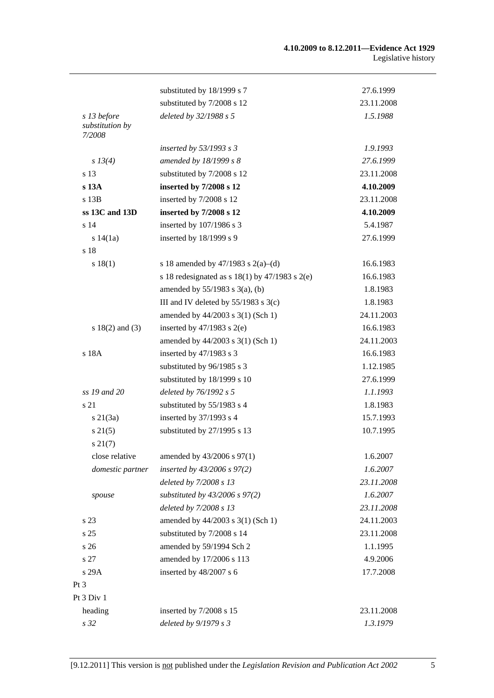|                                          | substituted by 18/1999 s 7                           | 27.6.1999  |
|------------------------------------------|------------------------------------------------------|------------|
|                                          | substituted by 7/2008 s 12                           | 23.11.2008 |
| s 13 before<br>substitution by<br>7/2008 | deleted by 32/1988 s 5                               | 1.5.1988   |
|                                          | inserted by 53/1993 s 3                              | 1.9.1993   |
| $s\,13(4)$                               | amended by 18/1999 s 8                               | 27.6.1999  |
| s 13                                     | substituted by 7/2008 s 12                           | 23.11.2008 |
| s 13A                                    | inserted by 7/2008 s 12                              | 4.10.2009  |
| s 13B                                    | inserted by 7/2008 s 12                              | 23.11.2008 |
| ss 13C and 13D                           | inserted by 7/2008 s 12                              | 4.10.2009  |
| s 14                                     | inserted by 107/1986 s 3                             | 5.4.1987   |
| s 14(1a)                                 | inserted by 18/1999 s 9                              | 27.6.1999  |
| s 18                                     |                                                      |            |
| s 18(1)                                  | s 18 amended by 47/1983 s 2(a)–(d)                   | 16.6.1983  |
|                                          | s 18 redesignated as s $18(1)$ by $47/1983$ s $2(e)$ | 16.6.1983  |
|                                          | amended by $55/1983$ s $3(a)$ , (b)                  | 1.8.1983   |
|                                          | III and IV deleted by $55/1983$ s $3(c)$             | 1.8.1983   |
|                                          | amended by 44/2003 s 3(1) (Sch 1)                    | 24.11.2003 |
| s $18(2)$ and $(3)$                      | inserted by $47/1983$ s $2(e)$                       | 16.6.1983  |
|                                          | amended by 44/2003 s 3(1) (Sch 1)                    | 24.11.2003 |
| s 18A                                    | inserted by 47/1983 s 3                              | 16.6.1983  |
|                                          | substituted by 96/1985 s 3                           | 1.12.1985  |
|                                          | substituted by 18/1999 s 10                          | 27.6.1999  |
| ss 19 and 20                             | deleted by 76/1992 s 5                               | 1.1.1993   |
| s <sub>21</sub>                          | substituted by 55/1983 s 4                           | 1.8.1983   |
| $s\ 21(3a)$                              | inserted by 37/1993 s 4                              | 15.7.1993  |
| $s \, 21(5)$                             | substituted by 27/1995 s 13                          | 10.7.1995  |
| s 21(7)                                  |                                                      |            |
| close relative                           | amended by 43/2006 s 97(1)                           | 1.6.2007   |
| domestic partner                         | inserted by $43/2006$ s $97(2)$                      | 1.6.2007   |
|                                          | deleted by 7/2008 s 13                               | 23.11.2008 |
| spouse                                   | substituted by $43/2006$ s $97(2)$                   | 1.6.2007   |
|                                          | deleted by 7/2008 s 13                               | 23.11.2008 |
| s 23                                     | amended by 44/2003 s 3(1) (Sch 1)                    | 24.11.2003 |
| s <sub>25</sub>                          | substituted by 7/2008 s 14                           | 23.11.2008 |
| s 26                                     | amended by 59/1994 Sch 2                             | 1.1.1995   |
| s 27                                     | amended by 17/2006 s 113                             | 4.9.2006   |
| s 29A                                    | inserted by 48/2007 s 6                              | 17.7.2008  |
| Pt <sub>3</sub>                          |                                                      |            |
| Pt 3 Div 1                               |                                                      |            |
| heading                                  | inserted by 7/2008 s 15                              | 23.11.2008 |
| s 32                                     | deleted by $9/1979 s 3$                              | 1.3.1979   |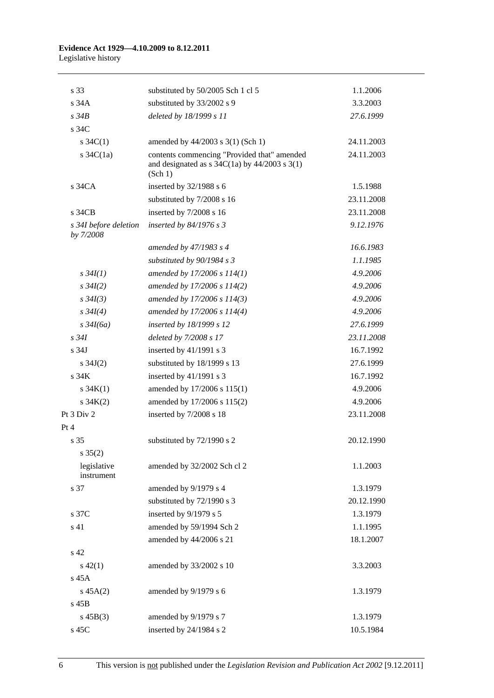### **Evidence Act 1929—4.10.2009 to 8.12.2011**  Legislative history

| s 33                               | substituted by 50/2005 Sch 1 cl 5                                                                                                        | 1.1.2006   |
|------------------------------------|------------------------------------------------------------------------------------------------------------------------------------------|------------|
| s 34A                              | substituted by 33/2002 s 9                                                                                                               | 3.3.2003   |
| s34B                               | deleted by 18/1999 s 11                                                                                                                  | 27.6.1999  |
| s 34C                              |                                                                                                                                          |            |
| s $34C(1)$                         | amended by 44/2003 s 3(1) (Sch 1)                                                                                                        | 24.11.2003 |
| s $34C(1a)$                        | contents commencing "Provided that" amended<br>and designated as $s \frac{34C(1a)}{y} \frac{44}{2003} \frac{s \cdot 3(1)}{y}$<br>(Sch 1) | 24.11.2003 |
| s 34CA                             | inserted by 32/1988 s 6                                                                                                                  | 1.5.1988   |
|                                    | substituted by 7/2008 s 16                                                                                                               | 23.11.2008 |
| s 34CB                             | inserted by 7/2008 s 16                                                                                                                  | 23.11.2008 |
| s 34I before deletion<br>by 7/2008 | inserted by $84/1976$ s 3                                                                                                                | 9.12.1976  |
|                                    | amended by 47/1983 s 4                                                                                                                   | 16.6.1983  |
|                                    | substituted by 90/1984 s 3                                                                                                               | 1.1.1985   |
| $s \, 34I(1)$                      | amended by 17/2006 s 114(1)                                                                                                              | 4.9.2006   |
| $s \, 34I(2)$                      | amended by 17/2006 s 114(2)                                                                                                              | 4.9.2006   |
| $s \, 34I(3)$                      | amended by 17/2006 s 114(3)                                                                                                              | 4.9.2006   |
| $s \, 34I(4)$                      | amended by 17/2006 s 114(4)                                                                                                              | 4.9.2006   |
| $s\,34I(6a)$                       | inserted by 18/1999 s 12                                                                                                                 | 27.6.1999  |
| $s\,34I$                           | deleted by 7/2008 s 17                                                                                                                   | 23.11.2008 |
| s <sub>34J</sub>                   | inserted by 41/1991 s 3                                                                                                                  | 16.7.1992  |
| s $34J(2)$                         | substituted by 18/1999 s 13                                                                                                              | 27.6.1999  |
| s <sub>34K</sub>                   | inserted by 41/1991 s 3                                                                                                                  | 16.7.1992  |
| s $34K(1)$                         | amended by 17/2006 s 115(1)                                                                                                              | 4.9.2006   |
| $s \, 34K(2)$                      | amended by 17/2006 s 115(2)                                                                                                              | 4.9.2006   |
| Pt 3 Div 2                         | inserted by 7/2008 s 18                                                                                                                  | 23.11.2008 |
| Pt 4                               |                                                                                                                                          |            |
| s 35<br>$s \; 35(2)$               | substituted by 72/1990 s 2                                                                                                               | 20.12.1990 |
| legislative<br>instrument          | amended by 32/2002 Sch cl 2                                                                                                              | 1.1.2003   |
| s 37                               | amended by 9/1979 s 4                                                                                                                    | 1.3.1979   |
|                                    | substituted by 72/1990 s 3                                                                                                               | 20.12.1990 |
| s 37C                              | inserted by 9/1979 s 5                                                                                                                   | 1.3.1979   |
| s 41                               | amended by 59/1994 Sch 2                                                                                                                 | 1.1.1995   |
|                                    | amended by 44/2006 s 21                                                                                                                  | 18.1.2007  |
| s 42                               |                                                                                                                                          |            |
| $s\ 42(1)$                         | amended by 33/2002 s 10                                                                                                                  | 3.3.2003   |
| s 45A                              |                                                                                                                                          |            |
| $s\,45A(2)$                        | amended by 9/1979 s 6                                                                                                                    | 1.3.1979   |
| s 45B                              |                                                                                                                                          |            |
| $s\,45B(3)$                        | amended by 9/1979 s 7                                                                                                                    | 1.3.1979   |
| s 45C                              | inserted by 24/1984 s 2                                                                                                                  | 10.5.1984  |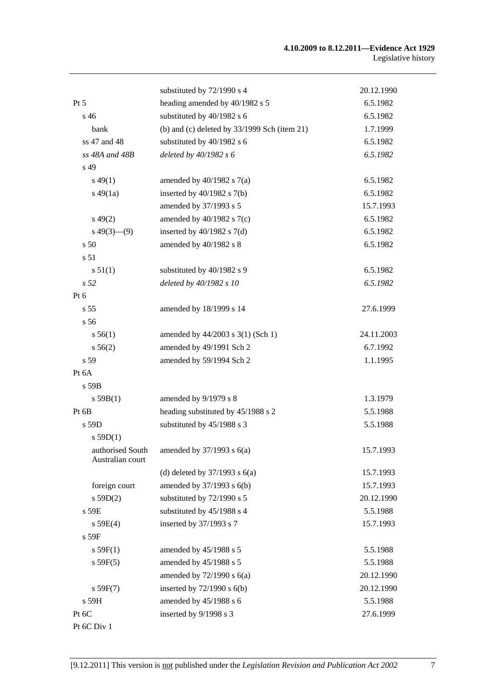|                                      | substituted by 72/1990 s 4                     | 20.12.1990 |
|--------------------------------------|------------------------------------------------|------------|
| $Pt\,5$                              | heading amended by 40/1982 s 5                 | 6.5.1982   |
| s 46                                 | substituted by 40/1982 s 6                     | 6.5.1982   |
| bank                                 | (b) and (c) deleted by $33/1999$ Sch (item 21) | 1.7.1999   |
| ss 47 and 48                         | substituted by 40/1982 s 6                     | 6.5.1982   |
| ss 48A and 48B                       | deleted by 40/1982 s 6                         | 6.5.1982   |
| s 49                                 |                                                |            |
| $s\,49(1)$                           | amended by $40/1982$ s $7(a)$                  | 6.5.1982   |
| $s\,49(1a)$                          | inserted by $40/1982$ s $7(b)$                 | 6.5.1982   |
|                                      | amended by 37/1993 s 5                         | 15.7.1993  |
| $s\,49(2)$                           | amended by $40/1982$ s $7(c)$                  | 6.5.1982   |
| $s\,49(3)$ —(9)                      | inserted by $40/1982$ s $7(d)$                 | 6.5.1982   |
| s 50                                 | amended by 40/1982 s 8                         | 6.5.1982   |
| s <sub>51</sub>                      |                                                |            |
| s 51(1)                              | substituted by 40/1982 s 9                     | 6.5.1982   |
| s <sub>52</sub>                      | deleted by 40/1982 s 10                        | 6.5.1982   |
| $Pt\ 6$                              |                                                |            |
| s <sub>55</sub>                      | amended by 18/1999 s 14                        | 27.6.1999  |
| s 56                                 |                                                |            |
| s 56(1)                              | amended by 44/2003 s 3(1) (Sch 1)              | 24.11.2003 |
| s 56(2)                              | amended by 49/1991 Sch 2                       | 6.7.1992   |
| s 59                                 | amended by 59/1994 Sch 2                       | 1.1.1995   |
| Pt 6A                                |                                                |            |
| s 59B                                |                                                |            |
| s 59B(1)                             | amended by 9/1979 s 8                          | 1.3.1979   |
| Pt 6B                                | heading substituted by 45/1988 s 2             | 5.5.1988   |
| s 59D                                | substituted by 45/1988 s 3                     | 5.5.1988   |
| $s$ 59D(1)                           |                                                |            |
| authorised South<br>Australian court | amended by $37/1993$ s $6(a)$                  | 15.7.1993  |
|                                      | (d) deleted by $37/1993$ s $6(a)$              | 15.7.1993  |
| foreign court                        | amended by 37/1993 s 6(b)                      | 15.7.1993  |
| s 59D(2)                             | substituted by 72/1990 s 5                     | 20.12.1990 |
| s 59E                                | substituted by 45/1988 s 4                     | 5.5.1988   |
| s 59E(4)                             | inserted by 37/1993 s 7                        | 15.7.1993  |
| s 59F                                |                                                |            |
| s 59F(1)                             | amended by 45/1988 s 5                         | 5.5.1988   |
| s 59F(5)                             | amended by 45/1988 s 5                         | 5.5.1988   |
|                                      | amended by $72/1990$ s $6(a)$                  | 20.12.1990 |
| s 59F(7)                             | inserted by $72/1990$ s $6(b)$                 | 20.12.1990 |
| s 59H                                | amended by 45/1988 s 6                         | 5.5.1988   |
| Pt 6C                                | inserted by 9/1998 s 3                         | 27.6.1999  |
| Pt 6C Div 1                          |                                                |            |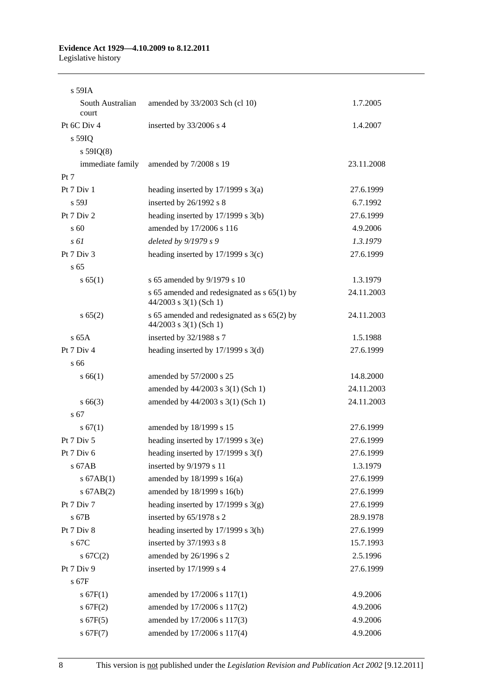## **Evidence Act 1929—4.10.2009 to 8.12.2011**

Legislative history

| $s$ 59IA                  |                                                                           |            |
|---------------------------|---------------------------------------------------------------------------|------------|
| South Australian<br>court | amended by 33/2003 Sch (cl 10)                                            | 1.7.2005   |
| Pt 6C Div 4               | inserted by 33/2006 s 4                                                   | 1.4.2007   |
| s 59IQ                    |                                                                           |            |
| s $59IQ(8)$               |                                                                           |            |
| immediate family          | amended by 7/2008 s 19                                                    | 23.11.2008 |
| Pt 7                      |                                                                           |            |
| Pt 7 Div 1                | heading inserted by $17/1999$ s $3(a)$                                    | 27.6.1999  |
| s 59J                     | inserted by 26/1992 s 8                                                   | 6.7.1992   |
| Pt 7 Div 2                | heading inserted by 17/1999 s 3(b)                                        | 27.6.1999  |
| $\mathrm{s}$ 60           | amended by 17/2006 s 116                                                  | 4.9.2006   |
| $s \omega$                | deleted by 9/1979 s 9                                                     | 1.3.1979   |
| Pt 7 Div 3                | heading inserted by $17/1999$ s $3(c)$                                    | 27.6.1999  |
| s <sub>65</sub>           |                                                                           |            |
| s 65(1)                   | s 65 amended by 9/1979 s 10                                               | 1.3.1979   |
|                           | s 65 amended and redesignated as $s$ 65(1) by<br>$44/2003$ s 3(1) (Sch 1) | 24.11.2003 |
| s 65(2)                   | s 65 amended and redesignated as s 65(2) by<br>$44/2003$ s 3(1) (Sch 1)   | 24.11.2003 |
| $s$ 65A                   | inserted by 32/1988 s 7                                                   | 1.5.1988   |
| Pt 7 Div 4                | heading inserted by $17/1999$ s $3(d)$                                    | 27.6.1999  |
| s 66                      |                                                                           |            |
| s 66(1)                   | amended by 57/2000 s 25                                                   | 14.8.2000  |
|                           | amended by 44/2003 s 3(1) (Sch 1)                                         | 24.11.2003 |
| $s\,66(3)$                | amended by 44/2003 s 3(1) (Sch 1)                                         | 24.11.2003 |
| s <sub>67</sub>           |                                                                           |            |
| s 67(1)                   | amended by 18/1999 s 15                                                   | 27.6.1999  |
| Pt 7 Div 5                | heading inserted by $17/1999$ s $3(e)$                                    | 27.6.1999  |
| Pt 7 Div 6                | heading inserted by 17/1999 s 3(f)                                        | 27.6.1999  |
| s 67AB                    | inserted by 9/1979 s 11                                                   | 1.3.1979   |
| $s$ 67AB $(1)$            | amended by 18/1999 s 16(a)                                                | 27.6.1999  |
| $s$ 67AB $(2)$            | amended by 18/1999 s 16(b)                                                | 27.6.1999  |
| Pt 7 Div 7                | heading inserted by $17/1999$ s $3(g)$                                    | 27.6.1999  |
| s 67B                     | inserted by 65/1978 s 2                                                   | 28.9.1978  |
| Pt 7 Div 8                | heading inserted by 17/1999 s 3(h)                                        | 27.6.1999  |
| s 67C                     | inserted by 37/1993 s 8                                                   | 15.7.1993  |
| s 67C(2)                  | amended by 26/1996 s 2                                                    | 2.5.1996   |
| Pt 7 Div 9                | inserted by 17/1999 s 4                                                   | 27.6.1999  |
| $s$ 67 $F$                |                                                                           |            |
| s 67F(1)                  | amended by 17/2006 s 117(1)                                               | 4.9.2006   |
| $s$ 67F(2)                | amended by 17/2006 s 117(2)                                               | 4.9.2006   |
| $s$ 67F(5)                | amended by 17/2006 s 117(3)                                               | 4.9.2006   |
| $s$ 67F(7)                | amended by 17/2006 s 117(4)                                               | 4.9.2006   |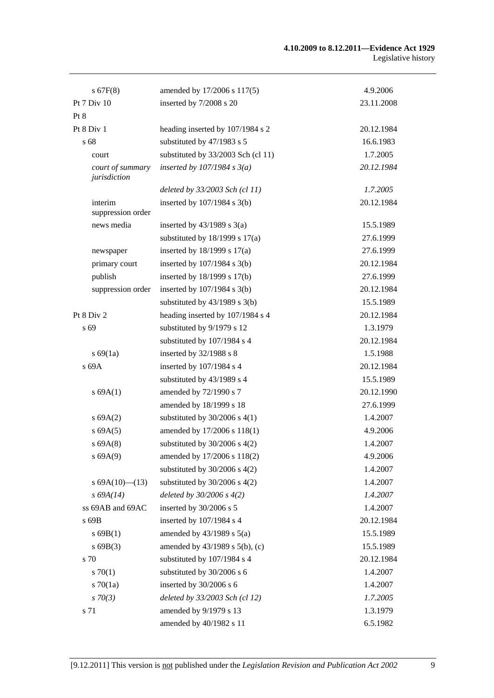| $s$ 67F(8)                       | amended by 17/2006 s 117(5)        | 4.9.2006   |
|----------------------------------|------------------------------------|------------|
| Pt 7 Div 10                      | inserted by 7/2008 s 20            | 23.11.2008 |
| Pt 8                             |                                    |            |
| Pt 8 Div 1                       | heading inserted by 107/1984 s 2   | 20.12.1984 |
| s 68                             | substituted by 47/1983 s 5         | 16.6.1983  |
| court                            | substituted by 33/2003 Sch (cl 11) | 1.7.2005   |
| court of summary<br>jurisdiction | inserted by $107/1984$ s $3(a)$    | 20.12.1984 |
|                                  | deleted by 33/2003 Sch (cl 11)     | 1.7.2005   |
| interim<br>suppression order     | inserted by $107/1984$ s $3(b)$    | 20.12.1984 |
| news media                       | inserted by $43/1989$ s $3(a)$     | 15.5.1989  |
|                                  | substituted by $18/1999$ s $17(a)$ | 27.6.1999  |
| newspaper                        | inserted by $18/1999$ s $17(a)$    | 27.6.1999  |
| primary court                    | inserted by $107/1984$ s $3(b)$    | 20.12.1984 |
| publish                          | inserted by 18/1999 s 17(b)        | 27.6.1999  |
| suppression order                | inserted by $107/1984$ s $3(b)$    | 20.12.1984 |
|                                  | substituted by $43/1989$ s $3(b)$  | 15.5.1989  |
| Pt 8 Div 2                       | heading inserted by 107/1984 s 4   | 20.12.1984 |
| s 69                             | substituted by 9/1979 s 12         | 1.3.1979   |
|                                  | substituted by 107/1984 s 4        | 20.12.1984 |
| s 69(1a)                         | inserted by 32/1988 s 8            | 1.5.1988   |
| s 69A                            | inserted by 107/1984 s 4           | 20.12.1984 |
|                                  | substituted by 43/1989 s 4         | 15.5.1989  |
| s 69A(1)                         | amended by 72/1990 s 7             | 20.12.1990 |
|                                  | amended by 18/1999 s 18            | 27.6.1999  |
| s 69A(2)                         | substituted by $30/2006$ s $4(1)$  | 1.4.2007   |
| s 69A(5)                         | amended by 17/2006 s 118(1)        | 4.9.2006   |
| s 69A(8)                         | substituted by $30/2006$ s $4(2)$  | 1.4.2007   |
| s 69A(9)                         | amended by 17/2006 s 118(2)        | 4.9.2006   |
|                                  | substituted by $30/2006$ s $4(2)$  | 1.4.2007   |
| s $69A(10)$ (13)                 | substituted by $30/2006$ s $4(2)$  | 1.4.2007   |
| $s\,69A(14)$                     | deleted by $30/2006 s 4(2)$        | 1.4.2007   |
| ss 69AB and 69AC                 | inserted by 30/2006 s 5            | 1.4.2007   |
| s 69B                            | inserted by 107/1984 s 4           | 20.12.1984 |
| $s$ 69B(1)                       | amended by $43/1989$ s $5(a)$      | 15.5.1989  |
| s69B(3)                          | amended by 43/1989 s 5(b), (c)     | 15.5.1989  |
| s 70                             | substituted by 107/1984 s 4        | 20.12.1984 |
| 570(1)                           | substituted by 30/2006 s 6         | 1.4.2007   |
| 570(1a)                          | inserted by 30/2006 s 6            | 1.4.2007   |
| $s \, 70(3)$                     | deleted by 33/2003 Sch (cl 12)     | 1.7.2005   |
| s 71                             | amended by 9/1979 s 13             | 1.3.1979   |
|                                  | amended by 40/1982 s 11            | 6.5.1982   |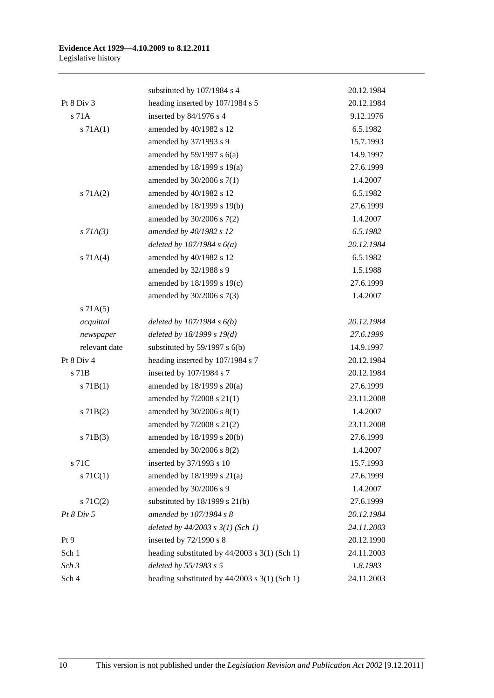|               | substituted by 107/1984 s 4                   | 20.12.1984 |
|---------------|-----------------------------------------------|------------|
| Pt 8 Div 3    | heading inserted by 107/1984 s 5              | 20.12.1984 |
| s 71A         | inserted by 84/1976 s 4                       | 9.12.1976  |
| s 71A(1)      | amended by 40/1982 s 12                       | 6.5.1982   |
|               | amended by 37/1993 s 9                        | 15.7.1993  |
|               | amended by $59/1997$ s $6(a)$                 | 14.9.1997  |
|               | amended by 18/1999 s 19(a)                    | 27.6.1999  |
|               | amended by 30/2006 s 7(1)                     | 1.4.2007   |
| s 71A(2)      | amended by 40/1982 s 12                       | 6.5.1982   |
|               | amended by 18/1999 s 19(b)                    | 27.6.1999  |
|               | amended by 30/2006 s 7(2)                     | 1.4.2007   |
| $s$ 71A(3)    | amended by 40/1982 s 12                       | 6.5.1982   |
|               | deleted by $107/1984 s 6(a)$                  | 20.12.1984 |
| s $71A(4)$    | amended by 40/1982 s 12                       | 6.5.1982   |
|               | amended by 32/1988 s 9                        | 1.5.1988   |
|               | amended by 18/1999 s 19(c)                    | 27.6.1999  |
|               | amended by $30/2006$ s $7(3)$                 | 1.4.2007   |
| s 71A(5)      |                                               |            |
| acquittal     | deleted by $107/1984 s 6(b)$                  | 20.12.1984 |
| newspaper     | deleted by $18/1999 s 19(d)$                  | 27.6.1999  |
| relevant date | substituted by $59/1997$ s $6(b)$             | 14.9.1997  |
| Pt 8 Div 4    | heading inserted by 107/1984 s 7              | 20.12.1984 |
| $s$ 71 $B$    | inserted by 107/1984 s 7                      | 20.12.1984 |
| s 71B(1)      | amended by 18/1999 s 20(a)                    | 27.6.1999  |
|               | amended by 7/2008 s 21(1)                     | 23.11.2008 |
| $s$ 71B(2)    | amended by 30/2006 s 8(1)                     | 1.4.2007   |
|               | amended by $7/2008$ s $21(2)$                 | 23.11.2008 |
| s71B(3)       | amended by 18/1999 s 20(b)                    | 27.6.1999  |
|               | amended by 30/2006 s 8(2)                     | 1.4.2007   |
| s 71C         | inserted by 37/1993 s 10                      | 15.7.1993  |
| $s \, 71C(1)$ | amended by 18/1999 s 21(a)                    | 27.6.1999  |
|               | amended by 30/2006 s 9                        | 1.4.2007   |
| $s \, 71C(2)$ | substituted by $18/1999$ s $21(b)$            | 27.6.1999  |
| Pt 8 Div 5    | amended by 107/1984 s 8                       | 20.12.1984 |
|               | deleted by $44/2003$ s $3(1)$ (Sch 1)         | 24.11.2003 |
| Pt 9          | inserted by 72/1990 s 8                       | 20.12.1990 |
| Sch 1         | heading substituted by 44/2003 s 3(1) (Sch 1) | 24.11.2003 |
| Sch 3         | deleted by 55/1983 s 5                        | 1.8.1983   |
| Sch 4         | heading substituted by 44/2003 s 3(1) (Sch 1) | 24.11.2003 |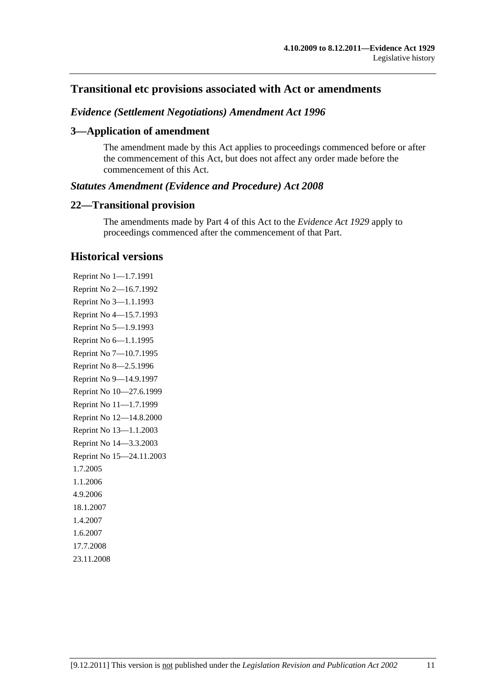## **Transitional etc provisions associated with Act or amendments**

### *Evidence (Settlement Negotiations) Amendment Act 1996*

### **3—Application of amendment**

The amendment made by this Act applies to proceedings commenced before or after the commencement of this Act, but does not affect any order made before the commencement of this Act.

### *Statutes Amendment (Evidence and Procedure) Act 2008*

### **22—Transitional provision**

The amendments made by [Part 4](#page-0-0) of this Act to the *[Evidence Act 1929](http://www.legislation.sa.gov.au/index.aspx?action=legref&type=act&legtitle=Evidence%20Act%201929)* apply to proceedings commenced after the commencement of that Part.

# **Historical versions**

Reprint No 1—1.7.1991 Reprint No 2—16.7.1992 Reprint No 3—1.1.1993 Reprint No 4—15.7.1993 Reprint No 5—1.9.1993 Reprint No 6—1.1.1995 Reprint No 7—10.7.1995 Reprint No 8—2.5.1996 Reprint No 9—14.9.1997 Reprint No 10—27.6.1999 Reprint No 11—1.7.1999 Reprint No 12—14.8.2000 Reprint No 13—1.1.2003 Reprint No 14—3.3.2003 Reprint No 15—24.11.2003 1.7.2005 1.1.2006 4.9.2006 18.1.2007 1.4.2007 1.6.2007 17.7.2008 23.11.2008